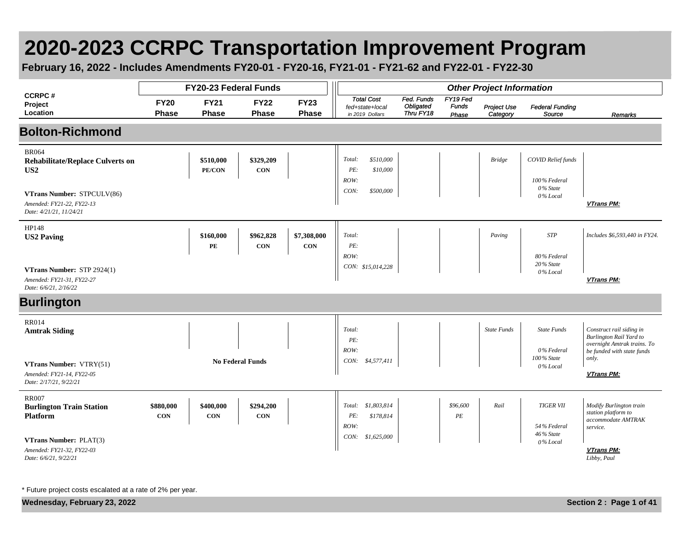## **2020-2023 CCRPC Transportation Improvement Program**

**February 16, 2022 - Includes Amendments FY20-01 - FY20-16, FY21-01 - FY21-62 and FY22-01 - FY22-30**

|                                                                                       |                             | FY20-23 Federal Funds       |                             |                             |                                                         |                                             |                                   | <b>Other Project Information</b> |                                           |                                                                                                                  |
|---------------------------------------------------------------------------------------|-----------------------------|-----------------------------|-----------------------------|-----------------------------|---------------------------------------------------------|---------------------------------------------|-----------------------------------|----------------------------------|-------------------------------------------|------------------------------------------------------------------------------------------------------------------|
| <b>CCRPC#</b><br>Project<br>Location                                                  | <b>FY20</b><br><b>Phase</b> | <b>FY21</b><br><b>Phase</b> | <b>FY22</b><br><b>Phase</b> | <b>FY23</b><br><b>Phase</b> | <b>Total Cost</b><br>fed+state+local<br>in 2019 Dollars | Fed. Funds<br><b>Obligated</b><br>Thru FY18 | FY19 Fed<br><b>Funds</b><br>Phase | Project Use<br>Category          | <b>Federal Funding</b><br>Source          | Remarks                                                                                                          |
| <b>Bolton-Richmond</b>                                                                |                             |                             |                             |                             |                                                         |                                             |                                   |                                  |                                           |                                                                                                                  |
| <b>BR064</b><br><b>Rehabilitate/Replace Culverts on</b><br>US <sub>2</sub>            |                             | \$510,000<br>PE/CON         | \$329,209<br><b>CON</b>     |                             | \$510,000<br>Total:<br>PE:<br>\$10,000<br>ROW:          |                                             |                                   | <b>Bridge</b>                    | <b>COVID Relief funds</b><br>100% Federal |                                                                                                                  |
| VTrans Number: STPCULV(86)<br>Amended: FY21-22, FY22-13<br>Date: 4/21/21, 11/24/21    |                             |                             |                             |                             | CON:<br>\$500,000                                       |                                             |                                   |                                  | 0% State<br>0% Local                      | VTrans PM:                                                                                                       |
| HP148<br><b>US2 Paving</b>                                                            |                             | \$160,000<br>PE             | \$962,828<br>CON            | \$7,308,000<br><b>CON</b>   | Total:<br>PE:<br>ROW:                                   |                                             |                                   | Paving                           | <b>STP</b><br>80% Federal                 | Includes \$6,593,440 in FY24.                                                                                    |
| VTrans Number: STP 2924(1)<br>Amended: FY21-31, FY22-27<br>Date: 6/6/21, 2/16/22      |                             |                             |                             |                             | CON: \$15,014,228                                       |                                             |                                   |                                  | 20% State<br>0% Local                     | <b>VTrans PM:</b>                                                                                                |
| <b>Burlington</b>                                                                     |                             |                             |                             |                             |                                                         |                                             |                                   |                                  |                                           |                                                                                                                  |
| <b>RR014</b><br><b>Amtrak Siding</b>                                                  |                             |                             |                             |                             | Total:<br>PE:<br>ROW:                                   |                                             |                                   | <b>State Funds</b>               | <b>State Funds</b><br>0% Federal          | Construct rail siding in<br>Burlington Rail Yard to<br>overnight Amtrak trains. To<br>be funded with state funds |
| <b>VTrans Number: VTRY(51)</b><br>Amended: FY21-14, FY22-05<br>Date: 2/17/21, 9/22/21 |                             |                             | <b>No Federal Funds</b>     |                             | CON: \$4,577,411                                        |                                             |                                   |                                  | 100% State<br>0% Local                    | only.<br>VTrans PM:                                                                                              |
| <b>RR007</b><br><b>Burlington Train Station</b><br>Platform                           | \$880,000<br><b>CON</b>     | \$400,000<br><b>CON</b>     | \$294,200<br><b>CON</b>     |                             | Total: \$1,803,814<br>PE:<br>\$178,814<br>ROW:          |                                             | \$96,600<br>$\cal PE$             | Rail                             | <b>TIGER VII</b><br>54% Federal           | Modify Burlington train<br>station platform to<br>accommodate AMTRAK<br>service.                                 |
| <b>VTrans Number: PLAT(3)</b><br>Amended: FY21-32, FY22-03<br>Date: 6/6/21, 9/22/21   |                             |                             |                             |                             | CON:<br>\$1,625,000                                     |                                             |                                   |                                  | 46% State<br>$0\%$ Local                  | VTrans PM:<br>Libby, Paul                                                                                        |

\* Future project costs escalated at a rate of 2% per year.

**Wednesday, February 23, 2022 Section 2 : Page 1 of 41**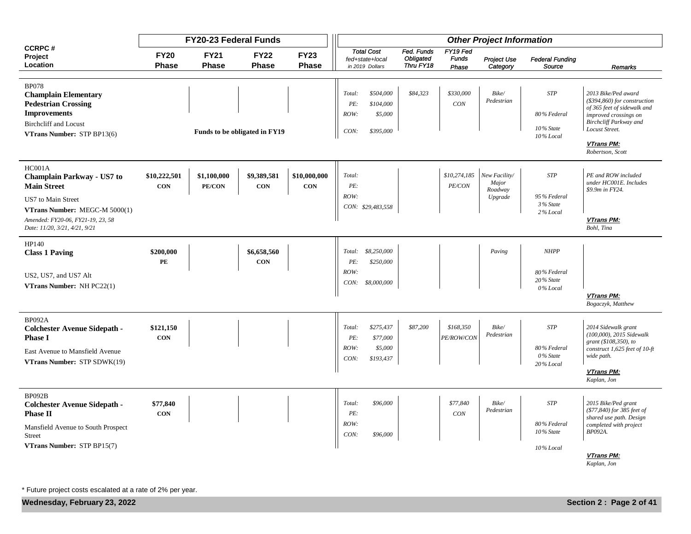|                                                                                                                                                                |                             | FY20-23 Federal Funds       |                               |                             |                                                                                 |                                      |                                   | <b>Other Project Information</b>  |                                        |                                                                                                                                                          |
|----------------------------------------------------------------------------------------------------------------------------------------------------------------|-----------------------------|-----------------------------|-------------------------------|-----------------------------|---------------------------------------------------------------------------------|--------------------------------------|-----------------------------------|-----------------------------------|----------------------------------------|----------------------------------------------------------------------------------------------------------------------------------------------------------|
| <b>CCRPC#</b><br>Project<br>Location                                                                                                                           | <b>FY20</b><br><b>Phase</b> | <b>FY21</b><br><b>Phase</b> | <b>FY22</b><br><b>Phase</b>   | <b>FY23</b><br><b>Phase</b> | <b>Total Cost</b><br>fed+state+local<br>in 2019 Dollars                         | Fed. Funds<br>Obligated<br>Thru FY18 | FY19 Fed<br><b>Funds</b><br>Phase | <b>Project Use</b><br>Category    | <b>Federal Funding</b><br>Source       | Remarks                                                                                                                                                  |
| <b>BP078</b><br><b>Champlain Elementary</b><br><b>Pedestrian Crossing</b><br><b>Improvements</b><br><b>Birchcliff and Locust</b><br>VTrans Number: STP BP13(6) |                             |                             | Funds to be obligated in FY19 |                             | \$504,000<br>Total:<br>PE:<br>\$104,000<br>\$5,000<br>ROW:<br>\$395,000<br>CON: | \$84,323                             | \$330,000<br>CON                  | Bike/<br>Pedestrian               | <b>STP</b><br>80% Federal<br>10% State | 2013 Bike/Ped award<br>$($394,860)$ for construction<br>of 365 feet of sidewalk and<br>improved crossings on<br>Birchcliff Parkway and<br>Locust Street. |
|                                                                                                                                                                |                             |                             |                               |                             |                                                                                 |                                      |                                   |                                   | 10% Local                              | VTrans PM:<br>Robertson, Scott                                                                                                                           |
| HC001A<br>Champlain Parkway - US7 to<br><b>Main Street</b>                                                                                                     | \$10,222,501<br>CON         | \$1,100,000<br>PE/CON       | \$9,389,581<br><b>CON</b>     | \$10,000,000<br>CON         | Total:<br>PE:<br>ROW:                                                           |                                      | \$10,274,185<br>PE/CON            | New Facility/<br>Major<br>Roadway | <b>STP</b>                             | PE and ROW included<br>under HC001E. Includes<br>\$9.9m in FY24.                                                                                         |
| US7 to Main Street<br>VTrans Number: MEGC-M 5000(1)<br>Amended: FY20-06, FY21-19, 23, 58<br>Date: 11/20, 3/21, 4/21, 9/21                                      |                             |                             |                               |                             | CON: \$29,483,558                                                               |                                      |                                   | Upgrade                           | 95% Federal<br>3 % State<br>2% Local   | VTrans PM:<br>Bohl, Tina                                                                                                                                 |
| HP140<br><b>Class 1 Paving</b>                                                                                                                                 | \$200,000<br>PE             |                             | \$6,658,560<br><b>CON</b>     |                             | \$8,250,000<br>Total:<br>PE:<br>\$250,000                                       |                                      |                                   | Paving                            | <b>NHPP</b>                            |                                                                                                                                                          |
| US2, US7, and US7 Alt<br>VTrans Number: NH PC22(1)                                                                                                             |                             |                             |                               |                             | ROW:<br>CON:<br>\$8,000,000                                                     |                                      |                                   |                                   | 80% Federal<br>20% State<br>0% Local   |                                                                                                                                                          |
|                                                                                                                                                                |                             |                             |                               |                             |                                                                                 |                                      |                                   |                                   |                                        | VTrans PM:<br>Bogaczyk, Matthew                                                                                                                          |
| <b>BP092A</b><br><b>Colchester Avenue Sidepath -</b><br><b>Phase I</b><br>East Avenue to Mansfield Avenue                                                      | \$121,150<br><b>CON</b>     |                             |                               |                             | \$275,437<br>Total:<br>PE:<br>\$77,000<br>ROW:<br>\$5,000                       | \$87,200                             | \$168,350<br>PE/ROW/CON           | Bike/<br>Pedestrian               | <b>STP</b><br>80% Federal              | 2014 Sidewalk grant<br>(100,000), 2015 Sidewalk<br>grant (\$108,350), to<br>construct 1,625 feet of 10-ft                                                |
| VTrans Number: STP SDWK(19)                                                                                                                                    |                             |                             |                               |                             | CON:<br>\$193,437                                                               |                                      |                                   |                                   | 0% State<br>20% Local                  | wide path.<br><b>VTrans PM:</b><br>Kaplan, Jon                                                                                                           |
| <b>BP092B</b><br><b>Colchester Avenue Sidepath -</b><br><b>Phase II</b>                                                                                        | \$77,840<br><b>CON</b>      |                             |                               |                             | Total:<br>\$96,000<br>PE:                                                       |                                      | \$77,840<br>$CON$                 | Bike/<br>Pedestrian               | <b>STP</b>                             | 2015 Bike/Ped grant<br>(\$77,840) for 385 feet of<br>shared use path. Design                                                                             |
| Mansfield Avenue to South Prospect<br>Street                                                                                                                   |                             |                             |                               |                             | ROW:<br>CON:<br>\$96,000                                                        |                                      |                                   |                                   | 80% Federal<br>10% State               | completed with project<br>BP092A.                                                                                                                        |
| VTrans Number: STP BP15(7)                                                                                                                                     |                             |                             |                               |                             |                                                                                 |                                      |                                   |                                   | 10% Local                              | <b>VTrans PM:</b><br>Kaplan, Jon                                                                                                                         |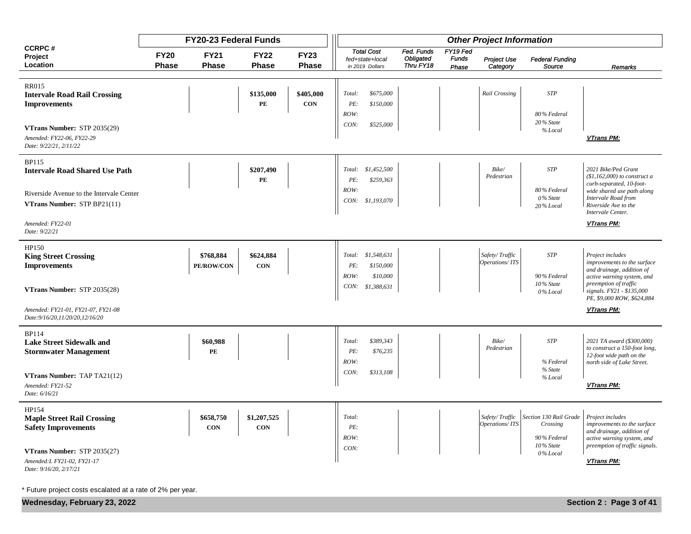|                                                                                                   |                             | <b>FY20-23 Federal Funds</b> |                           |                             |                                                                                      |                                      |                                   | <b>Other Project Information</b> |                                                                |                                                                                                                                              |
|---------------------------------------------------------------------------------------------------|-----------------------------|------------------------------|---------------------------|-----------------------------|--------------------------------------------------------------------------------------|--------------------------------------|-----------------------------------|----------------------------------|----------------------------------------------------------------|----------------------------------------------------------------------------------------------------------------------------------------------|
| <b>CCRPC#</b><br>Project<br>Location                                                              | <b>FY20</b><br><b>Phase</b> | <b>FY21</b><br>Phase         | <b>FY22</b><br>Phase      | <b>FY23</b><br><b>Phase</b> | <b>Total Cost</b><br>fed+state+local<br>in 2019 Dollars                              | Fed. Funds<br>Obligated<br>Thru FY18 | FY19 Fed<br><b>Funds</b><br>Phase | Project Use<br>Category          | <b>Federal Funding</b><br>Source                               | Remarks                                                                                                                                      |
| <b>RR015</b><br><b>Intervale Road Rail Crossing</b><br><b>Improvements</b>                        |                             |                              | \$135,000<br>PE           | \$405,000<br><b>CON</b>     | \$675,000<br>Total:<br>PE:<br>\$150,000<br>ROW:                                      |                                      |                                   | Rail Crossing                    | <b>STP</b><br>80% Federal                                      |                                                                                                                                              |
| VTrans Number: STP 2035(29)<br>Amended: FY22-06, FY22-29<br>Date: 9/22/21, 2/11/22                |                             |                              |                           |                             | CON:<br>\$525,000                                                                    |                                      |                                   |                                  | 20% State<br>% Local                                           | VTrans PM:                                                                                                                                   |
| <b>BP115</b><br><b>Intervale Road Shared Use Path</b><br>Riverside Avenue to the Intervale Center |                             |                              | \$207,490<br>PE           |                             | \$1,452,500<br>Total:<br>PE:<br>\$259,363<br>ROW:                                    |                                      |                                   | Bike/<br>Pedestrian              | <b>STP</b><br>80% Federal                                      | 2021 Bike/Ped Grant<br>$($1, 162, 000)$ to construct a<br>curb-separated, 10-foot-<br>wide shared use path along                             |
| VTrans Number: STP BP21(11)<br>Amended: FY22-01<br>Date: 9/22/21                                  |                             |                              |                           |                             | CON: \$1,193,070                                                                     |                                      |                                   |                                  | 0% State<br>20% Local                                          | Intervale Road from<br>Riverside Ave to the<br>Intervale Center.<br>VTrans PM:                                                               |
| HP150<br><b>King Street Crossing</b><br><b>Improvements</b><br>VTrans Number: STP 2035(28)        |                             | \$768,884<br>PE/ROW/CON      | \$624,884<br><b>CON</b>   |                             | \$1,548,631<br>Total:<br>PE:<br>\$150,000<br>ROW:<br>\$10,000<br>\$1,388,631<br>CON: |                                      |                                   | Safety/Traffic<br>Operations/ITS | <b>STP</b><br>90% Federal<br>10% State                         | Project includes<br>improvements to the surface<br>and drainage, addition of<br>active warning system, and<br>preemption of traffic          |
| Amended: FY21-01, FY21-07, FY21-08<br>Date: 9/16/20, 11/20/20, 12/16/20                           |                             |                              |                           |                             |                                                                                      |                                      |                                   |                                  | 0% Local                                                       | signals. FY21 - \$135,000<br>PE, \$9,000 ROW, \$624,884<br>VTrans PM:                                                                        |
| <b>BP114</b><br><b>Lake Street Sidewalk and</b><br><b>Stormwater Management</b>                   |                             | \$60,988<br>PE               |                           |                             | \$389,343<br>Total:<br>PE:<br>\$76,235<br>ROW:                                       |                                      |                                   | Bike/<br>Pedestrian              | <b>STP</b><br>% Federal                                        | 2021 TA award (\$300,000)<br>to construct a 150-foot long,<br>12-foot wide path on the<br>north side of Lake Street.                         |
| VTrans Number: TAP TA21(12)<br>Amended: FY21-52<br>Date: 6/16/21                                  |                             |                              |                           |                             | CON:<br>\$313,108                                                                    |                                      |                                   |                                  | % State<br>% Local                                             | VTrans PM:                                                                                                                                   |
| HP154<br><b>Maple Street Rail Crossing</b><br><b>Safety Improvements</b>                          |                             | \$658,750<br>CON             | \$1,207,525<br><b>CON</b> |                             | Total:<br>PE:<br>ROW:<br>CON:                                                        |                                      |                                   | Safety/Traffic<br>Operations/ITS | Section 130 Rail Grade<br>Crossing<br>90% Federal<br>10% State | Project includes<br>improvements to the surface<br>and drainage, addition of<br>active warning system, and<br>preemption of traffic signals. |
| VTrans Number: STP 2035(27)<br>Amended: L FY21-02, FY21-17<br>Date: 9/16/20, 2/17/21              |                             |                              |                           |                             |                                                                                      |                                      |                                   |                                  | 0% Local                                                       | VTrans PM:                                                                                                                                   |

**Wednesday, February 23, 2022 Section 2 : Page 3 of 41**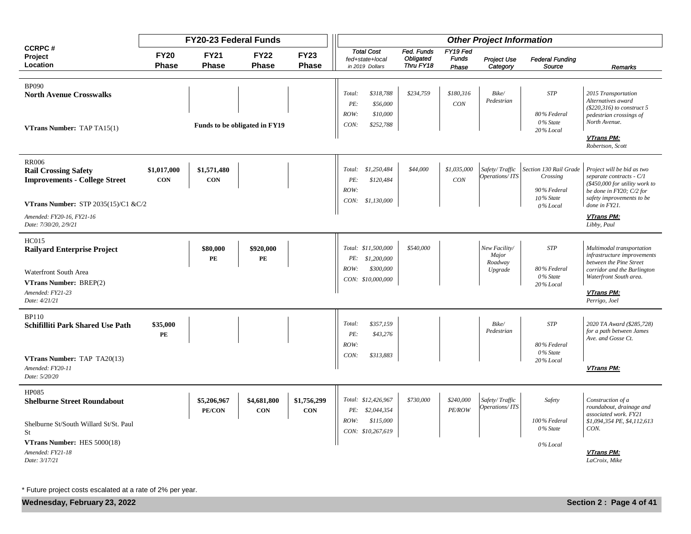|                                                                                                                                                                 |                             | <b>FY20-23 Federal Funds</b> |                               |                             |                                                                                     |                                      |                                   | <b>Other Project Information</b>             |                                                       |                                                                                                                                                                                    |
|-----------------------------------------------------------------------------------------------------------------------------------------------------------------|-----------------------------|------------------------------|-------------------------------|-----------------------------|-------------------------------------------------------------------------------------|--------------------------------------|-----------------------------------|----------------------------------------------|-------------------------------------------------------|------------------------------------------------------------------------------------------------------------------------------------------------------------------------------------|
| <b>CCRPC#</b><br>Project<br>Location                                                                                                                            | <b>FY20</b><br><b>Phase</b> | <b>FY21</b><br><b>Phase</b>  | <b>FY22</b><br><b>Phase</b>   | <b>FY23</b><br><b>Phase</b> | <b>Total Cost</b><br>fed+state+local<br>in 2019 Dollars                             | Fed. Funds<br>Obligated<br>Thru FY18 | FY19 Fed<br><b>Funds</b><br>Phase | Project Use<br>Category                      | <b>Federal Funding</b><br>Source                      | Remarks                                                                                                                                                                            |
| <b>BP090</b><br><b>North Avenue Crosswalks</b><br>VTrans Number: TAP TA15(1)                                                                                    |                             |                              | Funds to be obligated in FY19 |                             | \$318,788<br>Total:<br>PE:<br>\$56,000<br>ROW:<br>\$10,000<br>CON:<br>\$252,788     | \$234,759                            | \$180,316<br>CON                  | Bike/<br>Pedestrian                          | <b>STP</b><br>80% Federal<br>0% State<br>$20\%$ Local | 2015 Transportation<br>Alternatives award<br>$($220,316)$ to construct 5<br>pedestrian crossings of<br>North Avenue.<br><b>VTrans PM:</b>                                          |
| <b>RR006</b><br><b>Rail Crossing Safety</b><br><b>Improvements - College Street</b>                                                                             | \$1,017,000<br><b>CON</b>   | \$1,571,480<br><b>CON</b>    |                               |                             | \$1,250,484<br>Total:<br>\$120,484<br>PE:<br>ROW:                                   | \$44,000                             | \$1,035,000<br>CON                | Safety/Traffic<br>Operations/ITS             | Section 130 Rail Grade<br>Crossing<br>90% Federal     | Robertson, Scott<br>Project will be bid as two<br>separate contracts - C/1<br>$($450,000$ for utility work to<br>be done in $FY20$ ; $C/2$ for                                     |
| VTrans Number: STP $2035(15)/C1$ &C/2<br>Amended: FY20-16, FY21-16<br>Date: 7/30/20, 2/9/21                                                                     |                             |                              |                               |                             | \$1,130,000<br>CON:                                                                 |                                      |                                   |                                              | 10% State<br>0% Local                                 | safety improvements to be<br>done in FY21.<br><b>VTrans PM:</b><br>Libby, Paul                                                                                                     |
| <b>HC015</b><br><b>Railyard Enterprise Project</b><br>Waterfront South Area<br>VTrans Number: BREP(2)<br>Amended: FY21-23<br>Date: 4/21/21                      |                             | \$80,000<br>PE               | \$920,000<br>PE               |                             | Total: \$11,500,000<br>PE:<br>\$1,200,000<br>ROW:<br>\$300,000<br>CON: \$10,000,000 | \$540,000                            |                                   | New Facility/<br>Major<br>Roadway<br>Upgrade | <b>STP</b><br>80% Federal<br>0% State<br>$20\%$ Local | Multimodal transportation<br>infrastructure improvements<br>between the Pine Street<br>corridor and the Burlington<br>Waterfront South area.<br><b>VTrans PM:</b><br>Perrigo, Joel |
| <b>BP110</b><br>Schifilliti Park Shared Use Path<br><b>VTrans Number: TAP TA20(13)</b><br>Amended: FY20-11<br>Date: 5/20/20                                     | \$35,000<br>PE              |                              |                               |                             | \$357,159<br>Total:<br>PE:<br>\$43,276<br>ROW:<br>\$313,883<br>CON:                 |                                      |                                   | Bike/<br>Pedestrian                          | <b>STP</b><br>80% Federal<br>0% State<br>20% Local    | 2020 TA Award (\$285,728)<br>for a path between James<br>Ave. and Gosse Ct.<br><b>VTrans PM:</b>                                                                                   |
| HP085<br><b>Shelburne Street Roundabout</b><br>Shelburne St/South Willard St/St. Paul<br>St<br>VTrans Number: HES 5000(18)<br>Amended: FY21-18<br>Date: 3/17/21 |                             | \$5,206,967<br>PE/CON        | \$4,681,800<br><b>CON</b>     | \$1,756,299<br><b>CON</b>   | Total: \$12,426,967<br>PE: \$2,044,354<br>ROW:<br>\$115,000<br>CON: \$10,267,619    | \$730,000                            | \$240,000<br>PE/ROW               | Safety/Traffic<br>Operations/ITS             | Safety<br>100% Federal<br>0% State<br>0% Local        | Construction of a<br>roundabout, drainage and<br>associated work. FY21<br>\$1,094,354 PE, \$4,112,613<br>CON.<br><b>VTrans PM:</b><br>LaCroix, Mike                                |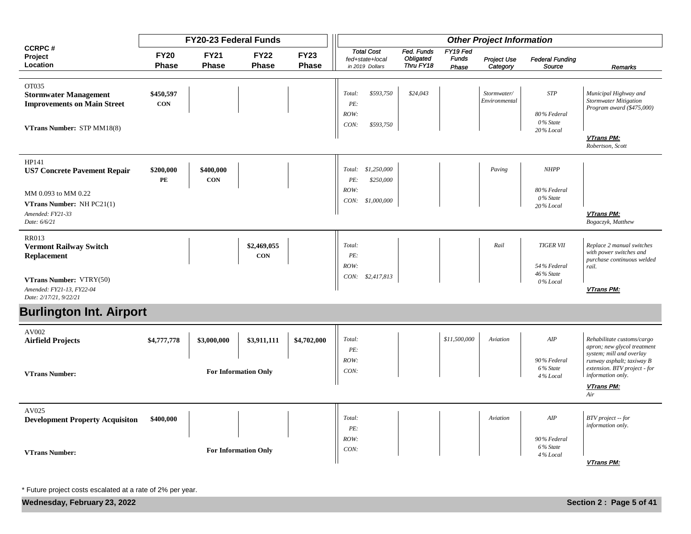|                                                                                      |                             | FY20-23 Federal Funds   |                             |                             |                                                         |                                             |                                   | <b>Other Project Information</b> |                                      |                                                                                                                    |
|--------------------------------------------------------------------------------------|-----------------------------|-------------------------|-----------------------------|-----------------------------|---------------------------------------------------------|---------------------------------------------|-----------------------------------|----------------------------------|--------------------------------------|--------------------------------------------------------------------------------------------------------------------|
| <b>CCRPC#</b><br>Project<br>Location                                                 | <b>FY20</b><br><b>Phase</b> | <b>FY21</b><br>Phase    | <b>FY22</b><br><b>Phase</b> | <b>FY23</b><br><b>Phase</b> | <b>Total Cost</b><br>fed+state+local<br>in 2019 Dollars | Fed. Funds<br><b>Obligated</b><br>Thru FY18 | FY19 Fed<br><b>Funds</b><br>Phase | Project Use<br>Category          | <b>Federal Funding</b><br>Source     | Remarks                                                                                                            |
| OT035<br><b>Stormwater Management</b><br><b>Improvements on Main Street</b>          | \$450,597<br><b>CON</b>     |                         |                             |                             | \$593,750<br>Total:<br>PE:<br>ROW:                      | \$24,043                                    |                                   | Stormwater/<br>Environmental     | <b>STP</b><br>80% Federal            | Municipal Highway and<br><b>Stormwater Mitigation</b><br>Program award (\$475,000)                                 |
| VTrans Number: STP MM18(8)                                                           |                             |                         |                             |                             | CON:<br>\$593,750                                       |                                             |                                   |                                  | 0% State<br>20% Local                | VTrans PM:<br>Robertson, Scott                                                                                     |
| HP141<br><b>US7 Concrete Pavement Repair</b>                                         | \$200,000<br>PE             | \$400,000<br><b>CON</b> |                             |                             | \$1,250,000<br>Total:<br>\$250,000<br>PE:               |                                             |                                   | Paving                           | <b>NHPP</b>                          |                                                                                                                    |
| MM 0.093 to MM 0.22<br>VTrans Number: NH PC21(1)<br>Amended: FY21-33<br>Date: 6/6/21 |                             |                         |                             |                             | ROW:<br>CON:<br>\$1,000,000                             |                                             |                                   |                                  | 80% Federal<br>0% State<br>20% Local | VTrans PM:<br>Bogaczyk, Matthew                                                                                    |
| <b>RR013</b><br><b>Vermont Railway Switch</b><br>Replacement                         |                             |                         | \$2,469,055<br><b>CON</b>   |                             | Total:<br>PE:                                           |                                             |                                   | Rail                             | <b>TIGER VII</b>                     | Replace 2 manual switches<br>with power switches and<br>purchase continuous welded                                 |
| VTrans Number: VTRY(50)<br>Amended: FY21-13, FY22-04<br>Date: 2/17/21, 9/22/21       |                             |                         |                             |                             | ROW:<br>CON:<br>\$2,417,813                             |                                             |                                   |                                  | 54% Federal<br>46% State<br>0% Local | rail.<br><b>VTrans PM:</b>                                                                                         |
| <b>Burlington Int. Airport</b>                                                       |                             |                         |                             |                             |                                                         |                                             |                                   |                                  |                                      |                                                                                                                    |
| AV002                                                                                |                             |                         |                             |                             |                                                         |                                             |                                   |                                  |                                      |                                                                                                                    |
| <b>Airfield Projects</b>                                                             | \$4,777,778                 | \$3,000,000             | \$3,911,111                 | \$4,702,000                 | Total:<br>PE:<br>ROW:                                   |                                             | \$11,500,000                      | Aviation                         | $A I\hspace{-0.1em}P$<br>90% Federal | Rehabilitate customs/cargo<br>apron; new glycol treatment<br>system; mill and overlay<br>runway asphalt; taxiway B |
| <b>VTrans Number:</b>                                                                |                             |                         | <b>For Information Only</b> |                             | CON:                                                    |                                             |                                   |                                  | 6% State<br>4% Local                 | extension. BTV project - for<br>information only.<br>VTrans PM:<br>Air                                             |
| AV025<br><b>Development Property Acquisiton</b>                                      | \$400,000                   |                         |                             |                             | Total:<br>PE:                                           |                                             |                                   | Aviation                         | AIP                                  | BTV project -- for<br>information only.                                                                            |
| <b>VTrans Number:</b>                                                                |                             |                         | <b>For Information Only</b> |                             | ROW:<br>CON:                                            |                                             |                                   |                                  | 90% Federal<br>6% State<br>4% Local  | <b>VTrans PM:</b>                                                                                                  |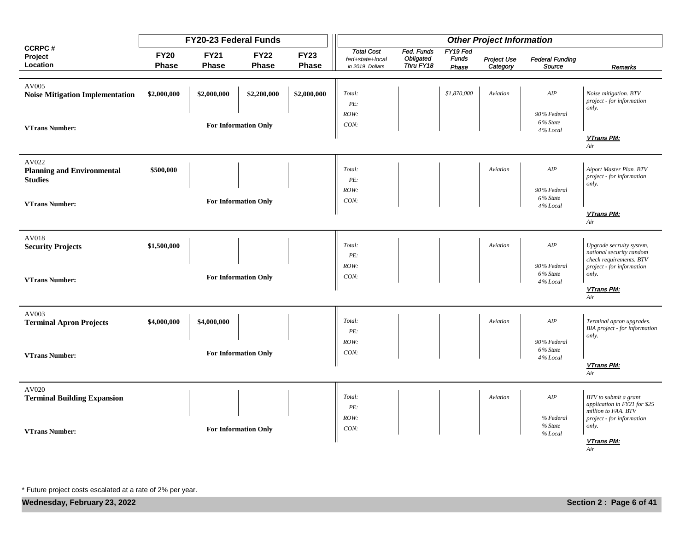|                                                              |                      | FY20-23 Federal Funds       |                             |                             |                                                         |                                      |                                   | <b>Other Project Information</b> |                                     |                                                                                 |
|--------------------------------------------------------------|----------------------|-----------------------------|-----------------------------|-----------------------------|---------------------------------------------------------|--------------------------------------|-----------------------------------|----------------------------------|-------------------------------------|---------------------------------------------------------------------------------|
| <b>CCRPC#</b><br>Project<br>Location                         | <b>FY20</b><br>Phase | <b>FY21</b><br><b>Phase</b> | <b>FY22</b><br><b>Phase</b> | <b>FY23</b><br><b>Phase</b> | <b>Total Cost</b><br>fed+state+local<br>in 2019 Dollars | Fed. Funds<br>Obligated<br>Thru FY18 | FY19 Fed<br><b>Funds</b><br>Phase | <b>Project Use</b><br>Category   | <b>Federal Funding</b><br>Source    | Remarks                                                                         |
| AV005<br><b>Noise Mitigation Implementation</b>              | \$2,000,000          | \$2,000,000                 | \$2,200,000                 | \$2,000,000                 | Total:<br>PE:                                           |                                      | \$1,870,000                       | Aviation                         | AIP                                 | Noise mitigation. BTV<br>project - for information                              |
| <b>VTrans Number:</b>                                        |                      |                             | For Information Only        |                             | ROW:<br>CON:                                            |                                      |                                   |                                  | 90% Federal<br>6% State<br>4% Local | only.                                                                           |
|                                                              |                      |                             |                             |                             |                                                         |                                      |                                   |                                  |                                     | <b>VTrans PM:</b><br>Air                                                        |
| AV022<br><b>Planning and Environmental</b><br><b>Studies</b> | \$500,000            |                             |                             |                             | Total:<br>PE:                                           |                                      |                                   | Aviation                         | AIP                                 | Aiport Master Plan. BTV<br>project - for information                            |
| <b>VTrans Number:</b>                                        |                      |                             | <b>For Information Only</b> |                             | ROW:<br>CON:                                            |                                      |                                   |                                  | 90% Federal<br>6% State<br>4% Local | only.                                                                           |
|                                                              |                      |                             |                             |                             |                                                         |                                      |                                   |                                  |                                     | <b>VTrans PM:</b><br>Air                                                        |
| AV018<br><b>Security Projects</b>                            | \$1,500,000          |                             |                             |                             | Total:<br>PE:                                           |                                      |                                   | Aviation                         | $A I\hspace{-0.1em}P$               | Upgrade secruity system,<br>national security random<br>check requirements. BTV |
| <b>VTrans Number:</b>                                        |                      |                             | <b>For Information Only</b> |                             | ROW:<br>CON:                                            |                                      |                                   |                                  | 90% Federal<br>6% State<br>4% Local | project - for information<br>only.                                              |
|                                                              |                      |                             |                             |                             |                                                         |                                      |                                   |                                  |                                     | VTrans PM:<br>Air                                                               |
| AV003<br><b>Terminal Apron Projects</b>                      | \$4,000,000          | \$4,000,000                 |                             |                             | Total:<br>PE:                                           |                                      |                                   | Aviation                         | AIP                                 | Terminal apron upgrades.<br>BIA project - for information                       |
| <b>VTrans Number:</b>                                        |                      |                             | <b>For Information Only</b> |                             | ROW:<br>CON:                                            |                                      |                                   |                                  | 90% Federal<br>6% State<br>4% Local | only.                                                                           |
|                                                              |                      |                             |                             |                             |                                                         |                                      |                                   |                                  |                                     | VTrans PM:<br>Air                                                               |
| AV020<br><b>Terminal Building Expansion</b>                  |                      |                             |                             |                             | Total:<br>PE:                                           |                                      |                                   | Aviation                         | AIP                                 | BTV to submit a grant<br>application in FY21 for \$25                           |
| <b>VTrans Number:</b>                                        |                      |                             | <b>For Information Only</b> |                             | ROW:<br>CON:                                            |                                      |                                   |                                  | % Federal<br>% State<br>% Local     | million to FAA. BTV<br>project - for information<br>only.                       |
|                                                              |                      |                             |                             |                             |                                                         |                                      |                                   |                                  |                                     | VTrans PM:<br>Air                                                               |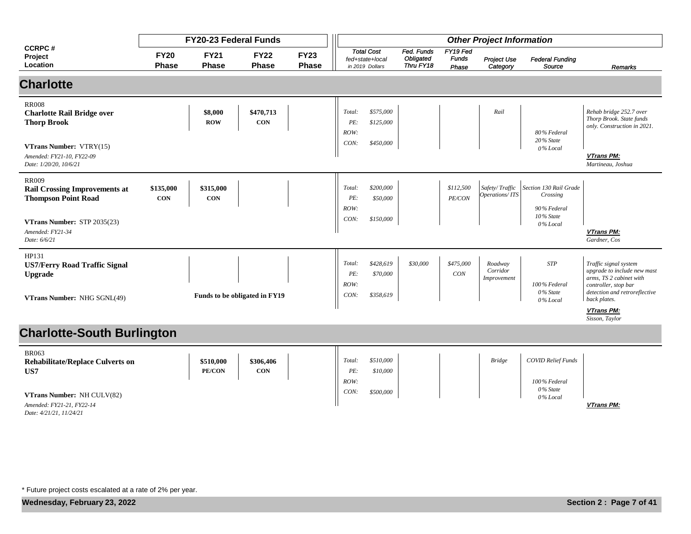|                                                                                                                                                                  |                             | FY20-23 Federal Funds       |                               |                             | <b>Other Project Information</b> |                                                         |                                             |                                   |                                    |                                                                            |                                                                                                                                                          |
|------------------------------------------------------------------------------------------------------------------------------------------------------------------|-----------------------------|-----------------------------|-------------------------------|-----------------------------|----------------------------------|---------------------------------------------------------|---------------------------------------------|-----------------------------------|------------------------------------|----------------------------------------------------------------------------|----------------------------------------------------------------------------------------------------------------------------------------------------------|
| <b>CCRPC#</b><br>Project<br>Location                                                                                                                             | <b>FY20</b><br><b>Phase</b> | <b>FY21</b><br><b>Phase</b> | <b>FY22</b><br><b>Phase</b>   | <b>FY23</b><br><b>Phase</b> |                                  | <b>Total Cost</b><br>fed+state+local<br>in 2019 Dollars | Fed. Funds<br><b>Obligated</b><br>Thru FY18 | FY19 Fed<br><b>Funds</b><br>Phase | Project Use<br>Category            | <b>Federal Funding</b><br>Source                                           | Remarks                                                                                                                                                  |
| <b>Charlotte</b>                                                                                                                                                 |                             |                             |                               |                             |                                  |                                                         |                                             |                                   |                                    |                                                                            |                                                                                                                                                          |
| <b>RR008</b><br><b>Charlotte Rail Bridge over</b><br><b>Thorp Brook</b><br><b>VTrans Number: VTRY(15)</b><br>Amended: FY21-10, FY22-09<br>Date: 1/20/20, 10/6/21 |                             | \$8,000<br><b>ROW</b>       | \$470,713<br><b>CON</b>       |                             | Total:<br>PE:<br>ROW:<br>CON:    | \$575,000<br>\$125,000<br>\$450,000                     |                                             |                                   | Rail                               | 80% Federal<br>20% State<br>0% Local                                       | Rehab bridge 252.7 over<br>Thorp Brook. State funds<br>only. Construction in 2021.<br>VTrans PM:<br>Martineau, Joshua                                    |
| <b>RR009</b><br><b>Rail Crossing Improvements at</b><br><b>Thompson Point Road</b><br>VTrans Number: STP 2035(23)<br>Amended: FY21-34<br>Date: 6/6/21            | \$135,000<br><b>CON</b>     | \$315,000<br><b>CON</b>     |                               |                             | Total:<br>PE:<br>ROW:<br>CON:    | \$200,000<br>\$50,000<br>\$150,000                      |                                             | \$112,500<br>PE/CON               | Safety/Traffic<br>Operations/ITS   | Section 130 Rail Grade<br>Crossing<br>90% Federal<br>10% State<br>0% Local | <b>VTrans PM:</b><br>Gardner, Cos                                                                                                                        |
| HP131<br><b>US7/Ferry Road Traffic Signal</b><br><b>Upgrade</b><br>VTrans Number: NHG SGNL(49)                                                                   |                             |                             | Funds to be obligated in FY19 |                             | Total:<br>PE:<br>ROW:<br>CON:    | \$428,619<br>\$70,000<br>\$358,619                      | \$30,000                                    | \$475,000<br><b>CON</b>           | Roadway<br>Corridor<br>Improvement | <b>STP</b><br>100% Federal<br>0% State<br>0% Local                         | Traffic signal system<br>upgrade to include new mast<br>arms, TS 2 cabinet with<br>controller, stop bar<br>detection and retroreflective<br>back plates. |
|                                                                                                                                                                  |                             |                             |                               |                             |                                  |                                                         |                                             |                                   |                                    |                                                                            | VTrans PM:<br>Sisson, Taylor                                                                                                                             |
| <b>Charlotte-South Burlington</b>                                                                                                                                |                             |                             |                               |                             |                                  |                                                         |                                             |                                   |                                    |                                                                            |                                                                                                                                                          |
| <b>BR063</b><br><b>Rehabilitate/Replace Culverts on</b><br>US7                                                                                                   |                             | \$510,000<br>PE/CON         | \$306,406<br><b>CON</b>       |                             | Total:<br>PE:<br>ROW:            | \$510,000<br>\$10,000                                   |                                             |                                   | <b>Bridge</b>                      | <b>COVID Relief Funds</b><br>100% Federal                                  |                                                                                                                                                          |
| VTrans Number: NH CULV(82)<br>Amended: FY21-21, FY22-14<br>Date: 4/21/21, 11/24/21                                                                               |                             |                             |                               |                             | CON:                             | \$500,000                                               |                                             |                                   |                                    | 0% State<br>0% Local                                                       | <b>VTrans PM:</b>                                                                                                                                        |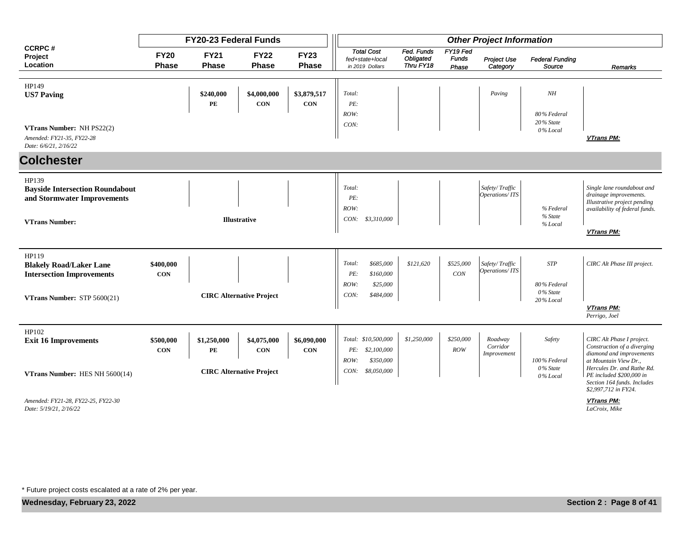|                                                                                 |                             | <b>FY20-23 Federal Funds</b> |                                 |                             |                                                         |                                      |                                   | <b>Other Project Information</b>   |                                      |                                                                                                                                        |
|---------------------------------------------------------------------------------|-----------------------------|------------------------------|---------------------------------|-----------------------------|---------------------------------------------------------|--------------------------------------|-----------------------------------|------------------------------------|--------------------------------------|----------------------------------------------------------------------------------------------------------------------------------------|
| <b>CCRPC#</b><br>Project<br>Location                                            | <b>FY20</b><br><b>Phase</b> | <b>FY21</b><br><b>Phase</b>  | <b>FY22</b><br><b>Phase</b>     | <b>FY23</b><br><b>Phase</b> | <b>Total Cost</b><br>fed+state+local<br>in 2019 Dollars | Fed. Funds<br>Obligated<br>Thru FY18 | FY19 Fed<br><b>Funds</b><br>Phase | <b>Project Use</b><br>Category     | <b>Federal Funding</b><br>Source     | Remarks                                                                                                                                |
|                                                                                 |                             |                              |                                 |                             |                                                         |                                      |                                   |                                    |                                      |                                                                                                                                        |
| HP149<br><b>US7 Paving</b>                                                      |                             | \$240,000<br>$\mathbf{PE}$   | \$4,000,000<br><b>CON</b>       | \$3,879,517<br>CON          | Total:<br>PE:<br>ROW:                                   |                                      |                                   | Paving                             | NH<br>80% Federal                    |                                                                                                                                        |
| VTrans Number: NH PS22(2)<br>Amended: FY21-35, FY22-28<br>Date: 6/6/21, 2/16/22 |                             |                              |                                 |                             | CON:                                                    |                                      |                                   |                                    | 20% State<br>0% Local                | VTrans PM:                                                                                                                             |
| <b>Colchester</b>                                                               |                             |                              |                                 |                             |                                                         |                                      |                                   |                                    |                                      |                                                                                                                                        |
| HP139<br><b>Bayside Intersection Roundabout</b><br>and Stormwater Improvements  |                             |                              |                                 |                             | Total:<br>PE:<br>ROW:                                   |                                      |                                   | Safety/Traffic<br>Operations/ITS   | % Federal                            | Single lane roundabout and<br>drainage improvements.<br>Illustrative project pending<br>availability of federal funds.                 |
| <b>VTrans Number:</b>                                                           |                             |                              | <b>Illustrative</b>             |                             | CON:<br>\$3,310,000                                     |                                      |                                   |                                    | % State<br>% Local                   | VTrans PM:                                                                                                                             |
| HP119<br><b>Blakely Road/Laker Lane</b><br><b>Intersection Improvements</b>     | \$400,000<br><b>CON</b>     |                              |                                 |                             | \$685,000<br>Total:<br>PE:<br>\$160,000                 | \$121,620                            | \$525,000<br>CON                  | Safety/Traffic<br>Operations/ITS   | <b>STP</b>                           | CIRC Alt Phase III project.                                                                                                            |
| VTrans Number: STP 5600(21)                                                     |                             |                              | <b>CIRC Alternative Project</b> |                             | ROW:<br>\$25,000<br>CON:<br>\$484,000                   |                                      |                                   |                                    | 80% Federal<br>0% State<br>20% Local | VTrans PM:<br>Perrigo, Joel                                                                                                            |
|                                                                                 |                             |                              |                                 |                             |                                                         |                                      |                                   |                                    |                                      |                                                                                                                                        |
| HP102<br><b>Exit 16 Improvements</b>                                            | \$500,000<br><b>CON</b>     | \$1,250,000<br>PE            | \$4,075,000<br><b>CON</b>       | \$6,090,000<br><b>CON</b>   | Total: \$10,500,000<br>\$2,100,000<br>PE:<br>\$350,000  | \$1,250,000                          | \$250,000<br>ROW                  | Roadway<br>Corridor<br>Improvement | Safety                               | CIRC Alt Phase I project.<br>Construction of a diverging<br>diamond and improvements                                                   |
| VTrans Number: HES NH 5600(14)                                                  |                             |                              | <b>CIRC Alternative Project</b> |                             | ROW:<br>CON:<br>\$8,050,000                             |                                      |                                   |                                    | 100% Federal<br>0% State<br>0% Local | at Mountain View Dr.,<br>Hercules Dr. and Rathe Rd.<br>PE included \$200,000 in<br>Section 164 funds. Includes<br>\$2,997,712 in FY24. |
| Amended: FY21-28, FY22-25, FY22-30<br>Date: 5/19/21, 2/16/22                    |                             |                              |                                 |                             |                                                         |                                      |                                   |                                    |                                      | <b>VTrans PM:</b><br>LaCroix, Mike                                                                                                     |

*Date: 5/19/21, 2/16/22*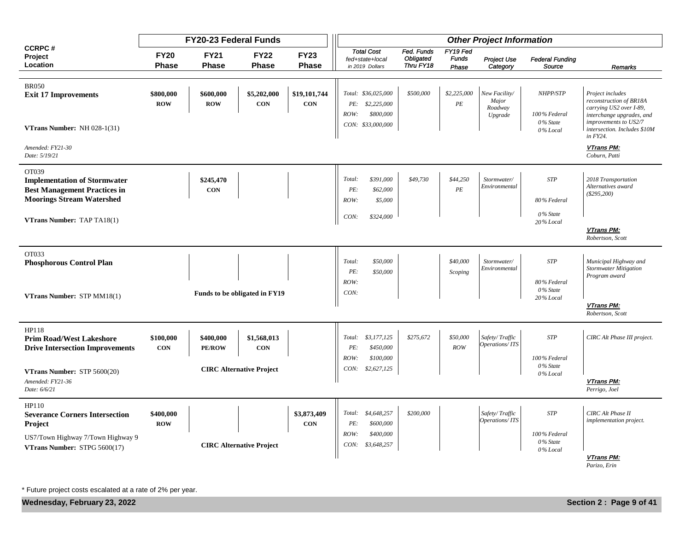|                                                                                                                                                       |                             | FY20-23 Federal Funds       |                                                              |                             |                               |                                                                          |                                             |                                   | <b>Other Project Information</b>             |                                                    |                                                                                                                                                                               |
|-------------------------------------------------------------------------------------------------------------------------------------------------------|-----------------------------|-----------------------------|--------------------------------------------------------------|-----------------------------|-------------------------------|--------------------------------------------------------------------------|---------------------------------------------|-----------------------------------|----------------------------------------------|----------------------------------------------------|-------------------------------------------------------------------------------------------------------------------------------------------------------------------------------|
| <b>CCRPC#</b><br>Project<br>Location                                                                                                                  | <b>FY20</b><br><b>Phase</b> | <b>FY21</b><br><b>Phase</b> | <b>FY22</b><br><b>Phase</b>                                  | <b>FY23</b><br><b>Phase</b> |                               | <b>Total Cost</b><br>fed+state+local<br>in 2019 Dollars                  | Fed. Funds<br><b>Obligated</b><br>Thru FY18 | FY19 Fed<br><b>Funds</b><br>Phase | Project Use<br>Category                      | <b>Federal Funding</b><br>Source                   | Remarks                                                                                                                                                                       |
| <b>BR050</b><br><b>Exit 17 Improvements</b><br>VTrans Number: NH 028-1(31)                                                                            | \$800,000<br><b>ROW</b>     | \$600,000<br><b>ROW</b>     | \$5,202,000<br><b>CON</b>                                    | \$19,101,744<br>CON         | ROW:                          | Total: \$36,025,000<br>PE: \$2,225,000<br>\$800,000<br>CON: \$33,000,000 | \$500,000                                   | \$2,225,000<br>$\cal{P}E$         | New Facility/<br>Major<br>Roadway<br>Upgrade | NHPP/STP<br>100% Federal<br>0% State<br>0% Local   | Project includes<br>reconstruction of BR18A<br>carrying US2 over I-89,<br>interchange upgrades, and<br>improvements to US2/7<br>intersection. Includes \$10M<br>$in$ $FY24$ . |
| Amended: FY21-30<br>Date: 5/19/21                                                                                                                     |                             |                             |                                                              |                             |                               |                                                                          |                                             |                                   |                                              |                                                    | VTrans PM:<br>Coburn, Patti                                                                                                                                                   |
| OT039<br><b>Implementation of Stormwater</b><br><b>Best Management Practices in</b><br><b>Moorings Stream Watershed</b>                               |                             | \$245,470<br><b>CON</b>     |                                                              |                             | Total:<br>PE:<br>ROW:         | \$391,000<br>\$62,000<br>\$5,000                                         | \$49,730                                    | \$44,250<br>$\cal PE$             | Stormwater/<br>Environmental                 | <b>STP</b><br>80% Federal                          | 2018 Transportation<br>Alternatives award<br>$(\$295,200)$                                                                                                                    |
| VTrans Number: TAP TA18(1)                                                                                                                            |                             |                             |                                                              |                             | CON:                          | \$324,000                                                                |                                             |                                   |                                              | 0% State<br>20% Local                              | VTrans PM:<br>Robertson, Scott                                                                                                                                                |
| OT033<br><b>Phosphorous Control Plan</b><br>VTrans Number: STP MM18(1)                                                                                |                             |                             | Funds to be obligated in FY19                                |                             | Total:<br>PE:<br>ROW:<br>CON: | \$50,000<br>\$50,000                                                     |                                             | \$40,000<br>Scoping               | Stormwater/<br>Environmental                 | <b>STP</b><br>80% Federal<br>0% State<br>20% Local | Municipal Highway and<br><b>Stormwater Mitigation</b><br>Program award<br>VTrans PM:<br>Robertson, Scott                                                                      |
| HP118<br><b>Prim Road/West Lakeshore</b><br><b>Drive Intersection Improvements</b><br>VTrans Number: STP 5600(20)<br>Amended: FY21-36<br>Date: 6/6/21 | \$100,000<br><b>CON</b>     | \$400,000<br><b>PE/ROW</b>  | \$1,568,013<br><b>CON</b><br><b>CIRC Alternative Project</b> |                             | PE:<br>ROW:                   | Total: \$3,177,125<br>\$450,000<br>\$100,000<br>CON: \$2,627,125         | \$275,672                                   | \$50,000<br>ROW                   | Safety/Traffic<br>Operations/ITS             | <b>STP</b><br>100% Federal<br>0% State<br>0% Local | CIRC Alt Phase III project.<br>VTrans PM:<br>Perrigo, Joel                                                                                                                    |
| HP110<br><b>Severance Corners Intersection</b><br>Project<br>US7/Town Highway 7/Town Highway 9<br>VTrans Number: STPG 5600(17)                        | \$400,000<br><b>ROW</b>     |                             | <b>CIRC Alternative Project</b>                              | \$3,873,409<br>CON          | PE:<br>ROW:                   | Total: \$4,648,257<br>\$600,000<br>\$400,000<br>CON: \$3,648,257         | \$200,000                                   |                                   | Safety/Traffic<br>Operations/ITS             | <b>STP</b><br>100% Federal<br>0% State<br>0% Local | <b>CIRC</b> Alt Phase II<br>implementation project.<br>VTrans PM:<br>Parizo, Erin                                                                                             |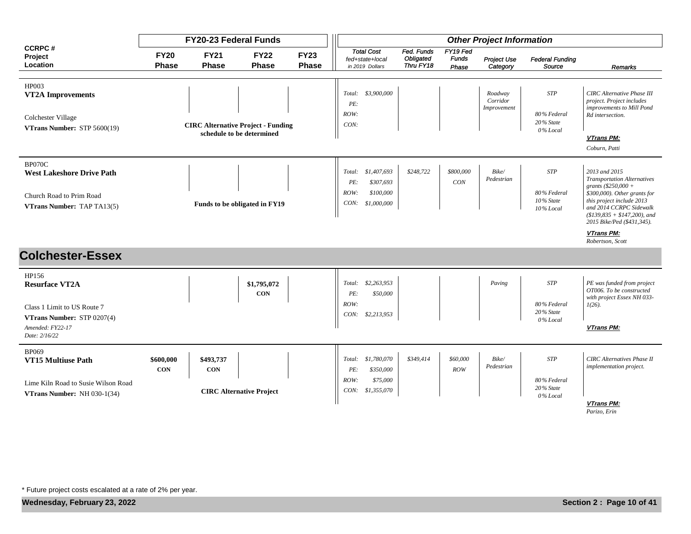|                                                                                                                                  |                             | <b>FY20-23 Federal Funds</b> |                                                                        |                             |                                                                                      |                                      |                                   | <b>Other Project Information</b>   |                                                        |                                                                                                                                                                                                                                                                         |
|----------------------------------------------------------------------------------------------------------------------------------|-----------------------------|------------------------------|------------------------------------------------------------------------|-----------------------------|--------------------------------------------------------------------------------------|--------------------------------------|-----------------------------------|------------------------------------|--------------------------------------------------------|-------------------------------------------------------------------------------------------------------------------------------------------------------------------------------------------------------------------------------------------------------------------------|
| <b>CCRPC#</b><br>Project<br>Location                                                                                             | <b>FY20</b><br><b>Phase</b> | <b>FY21</b><br><b>Phase</b>  | <b>FY22</b><br><b>Phase</b>                                            | <b>FY23</b><br><b>Phase</b> | <b>Total Cost</b><br>fed+state+local<br>in 2019 Dollars                              | Fed. Funds<br>Obligated<br>Thru FY18 | FY19 Fed<br><b>Funds</b><br>Phase | <b>Project Use</b><br>Category     | <b>Federal Funding</b><br>Source                       | Remarks                                                                                                                                                                                                                                                                 |
| HP003<br><b>VT2A Improvements</b><br>Colchester Village<br>VTrans Number: STP 5600(19)                                           |                             |                              | <b>CIRC Alternative Project - Funding</b><br>schedule to be determined |                             | Total: \$3,900,000<br>PE:<br>ROW:<br>CON:                                            |                                      |                                   | Roadway<br>Corridor<br>Improvement | <b>STP</b><br>80% Federal<br>20% State<br>0% Local     | <b>CIRC</b> Alternative Phase III<br>project. Project includes<br>improvements to Mill Pond<br>Rd intersection.<br>VTrans PM:<br>Coburn, Patti                                                                                                                          |
| BP070C<br><b>West Lakeshore Drive Path</b><br>Church Road to Prim Road<br>VTrans Number: TAP TA13(5)                             |                             |                              | Funds to be obligated in FY19                                          |                             | Total: \$1,407,693<br>PE:<br>\$307,693<br>ROW:<br>\$100,000<br>CON:<br>\$1,000,000   | \$248,722                            | \$800,000<br>CON                  | Bike/<br>Pedestrian                | <b>STP</b><br>80% Federal<br>10% State<br>$10\%$ Local | 2013 and 2015<br><b>Transportation Alternatives</b><br>grants $(\$250,000 +$<br>$$300,000$ ). Other grants for<br>this project include 2013<br>and 2014 CCRPC Sidewalk<br>$($139,835 + $147,200)$ , and<br>2015 Bike/Ped (\$431,345).<br>VTrans PM:<br>Robertson, Scott |
| <b>Colchester-Essex</b>                                                                                                          |                             |                              |                                                                        |                             |                                                                                      |                                      |                                   |                                    |                                                        |                                                                                                                                                                                                                                                                         |
| HP156<br><b>Resurface VT2A</b><br>Class 1 Limit to US Route 7<br>VTrans Number: STP 0207(4)<br>Amended: FY22-17<br>Date: 2/16/22 |                             |                              | \$1,795,072<br><b>CON</b>                                              |                             | \$2,263,953<br>Total:<br>PE:<br>\$50,000<br>ROW:<br>CON:<br>\$2,213,953              |                                      |                                   | Paving                             | <b>STP</b><br>80% Federal<br>20% State<br>$0\%$ Local  | PE was funded from project<br>OT006. To be constructed<br>with project Essex NH 033-<br>$1(26)$ .<br>VTrans PM:                                                                                                                                                         |
| <b>BP069</b><br><b>VT15 Multiuse Path</b><br>Lime Kiln Road to Susie Wilson Road<br><b>VTrans Number:</b> NH $030-1(34)$         | \$600,000<br><b>CON</b>     | \$493,737<br><b>CON</b>      | <b>CIRC Alternative Project</b>                                        |                             | \$1,780,070<br>Total:<br>PE:<br>\$350,000<br>ROW:<br>\$75,000<br>CON:<br>\$1,355,070 | \$349,414                            | \$60,000<br>ROW                   | Bike/<br>Pedestrian                | <b>STP</b><br>80% Federal<br>20% State<br>0% Local     | <b>CIRC</b> Alternatives Phase II<br>implementation project.<br>VTrans PM:                                                                                                                                                                                              |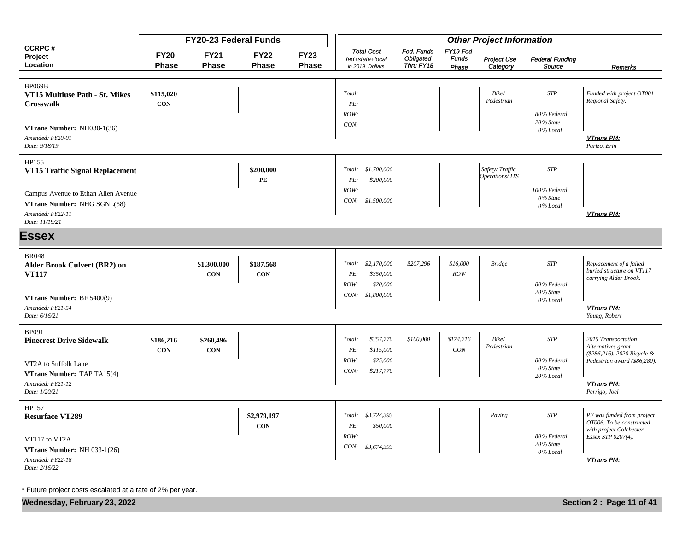|                                                                                                          |                             | <b>FY20-23 Federal Funds</b> |                             |                             |                                                             |                                      |                                   | <b>Other Project Information</b> |                                        |                                                                                                          |
|----------------------------------------------------------------------------------------------------------|-----------------------------|------------------------------|-----------------------------|-----------------------------|-------------------------------------------------------------|--------------------------------------|-----------------------------------|----------------------------------|----------------------------------------|----------------------------------------------------------------------------------------------------------|
| <b>CCRPC#</b><br>Project<br>Location                                                                     | <b>FY20</b><br><b>Phase</b> | <b>FY21</b><br><b>Phase</b>  | <b>FY22</b><br><b>Phase</b> | <b>FY23</b><br><b>Phase</b> | <b>Total Cost</b><br>fed+state+local<br>in 2019 Dollars     | Fed. Funds<br>Obligated<br>Thru FY18 | FY19 Fed<br><b>Funds</b><br>Phase | Project Use<br>Category          | <b>Federal Funding</b><br>Source       | <b>Remarks</b>                                                                                           |
| <b>BP069B</b><br>VT15 Multiuse Path - St. Mikes<br><b>Crosswalk</b>                                      | \$115,020<br><b>CON</b>     |                              |                             |                             | Total:<br>PE:<br>ROW:                                       |                                      |                                   | Bike/<br>Pedestrian              | <b>STP</b><br>80% Federal              | Funded with project OT001<br>Regional Safety.                                                            |
| VTrans Number: NH030-1(36)<br>Amended: FY20-01<br>Date: 9/18/19                                          |                             |                              |                             |                             | CON:                                                        |                                      |                                   |                                  | 20% State<br>0% Local                  | VTrans PM:<br>Parizo, Erin                                                                               |
| HP155<br>VT15 Traffic Signal Replacement                                                                 |                             |                              | \$200,000<br>PE             |                             | Total: \$1,700,000<br>\$200,000<br>PE:                      |                                      |                                   | Safety/Traffic<br>Operations/ITS | <b>STP</b>                             |                                                                                                          |
| Campus Avenue to Ethan Allen Avenue<br>VTrans Number: NHG SGNL(58)<br>Amended: FY22-11<br>Date: 11/19/21 |                             |                              |                             |                             | ROW:<br>CON: \$1,500,000                                    |                                      |                                   |                                  | 100% Federal<br>0% State<br>0% Local   | VTrans PM:                                                                                               |
| <b>Essex</b>                                                                                             |                             |                              |                             |                             |                                                             |                                      |                                   |                                  |                                        |                                                                                                          |
| <b>BR048</b><br>Alder Brook Culvert (BR2) on<br><b>VT117</b>                                             |                             | \$1,300,000<br><b>CON</b>    | \$187,568<br><b>CON</b>     |                             | Total: \$2,170,000<br>\$350,000<br>PE:<br>\$20,000<br>ROW:  | \$207,296                            | \$16,000<br>ROW                   | <b>Bridge</b>                    | <b>STP</b><br>80% Federal<br>20% State | Replacement of a failed<br>buried structure on VT117<br>carrying Alder Brook.                            |
| VTrans Number: BF 5400(9)<br>Amended: FY21-54<br>Date: 6/16/21                                           |                             |                              |                             |                             | \$1,800,000<br>CON:                                         |                                      |                                   |                                  | $0\%$ Local                            | VTrans PM:<br>Young, Robert                                                                              |
| <b>BP091</b><br><b>Pinecrest Drive Sidewalk</b>                                                          | \$186,216<br><b>CON</b>     | \$260,496<br><b>CON</b>      |                             |                             | \$357,770<br>Total:<br>PE:<br>\$115,000<br>ROW:<br>\$25,000 | \$100,000                            | \$174,216<br>CON                  | Bike/<br>Pedestrian              | <b>STP</b><br>80% Federal              | 2015 Transportation<br>Alternatives grant<br>(\$286,216). 2020 Bicycle &<br>Pedestrian award (\$86,280). |
| VT2A to Suffolk Lane<br>VTrans Number: TAP TA15(4)<br>Amended: FY21-12<br>Date: 1/20/21                  |                             |                              |                             |                             | CON:<br>\$217,770                                           |                                      |                                   |                                  | 0% State<br>20% Local                  | VTrans PM:<br>Perrigo, Joel                                                                              |
| HP157<br><b>Resurface VT289</b>                                                                          |                             |                              | \$2,979,197<br><b>CON</b>   |                             | \$3,724,393<br>Total:<br>PE:<br>\$50,000                    |                                      |                                   | Paving                           | <b>STP</b>                             | PE was funded from project<br>OT006. To be constructed<br>with project Colchester-                       |
| VT117 to VT2A<br>VTrans Number: NH 033-1(26)<br>Amended: FY22-18<br>Date: 2/16/22                        |                             |                              |                             |                             | ROW:<br>CON: \$3,674,393                                    |                                      |                                   |                                  | 80% Federal<br>20% State<br>0% Local   | Essex STP 0207(4).<br>VTrans PM:                                                                         |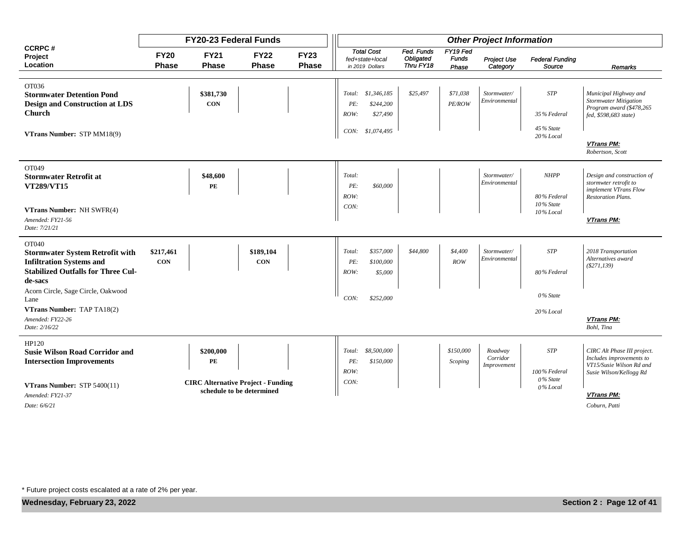|                                                                                                                                            |                             | <b>FY20-23 Federal Funds</b> |                                           |                             |                                                               |                                      |                                   | <b>Other Project Information</b>   |                                                    |                                                                                                                |
|--------------------------------------------------------------------------------------------------------------------------------------------|-----------------------------|------------------------------|-------------------------------------------|-----------------------------|---------------------------------------------------------------|--------------------------------------|-----------------------------------|------------------------------------|----------------------------------------------------|----------------------------------------------------------------------------------------------------------------|
| <b>CCRPC#</b><br>Project<br>Location                                                                                                       | <b>FY20</b><br><b>Phase</b> | <b>FY21</b><br><b>Phase</b>  | <b>FY22</b><br><b>Phase</b>               | <b>FY23</b><br><b>Phase</b> | <b>Total Cost</b><br>fed+state+local<br>in 2019 Dollars       | Fed. Funds<br>Obligated<br>Thru FY18 | FY19 Fed<br><b>Funds</b><br>Phase | Project Use<br>Category            | <b>Federal Funding</b><br>Source                   | Remarks                                                                                                        |
|                                                                                                                                            |                             |                              |                                           |                             |                                                               |                                      |                                   |                                    |                                                    |                                                                                                                |
| OT036<br><b>Stormwater Detention Pond</b><br><b>Design and Construction at LDS</b><br>Church                                               |                             | \$381,730<br><b>CON</b>      |                                           |                             | \$1,346,185<br>Total:<br>PE:<br>\$244,200<br>\$27,490<br>ROW: | \$25,497                             | \$71,038<br>PE/ROW                | Stormwater/<br>Environmental       | <b>STP</b><br>35% Federal                          | Municipal Highway and<br><b>Stormwater Mitigation</b><br>Program award (\$478,265<br>fed, \$598,683 state)     |
| VTrans Number: STP MM18(9)                                                                                                                 |                             |                              |                                           |                             | CON: \$1,074,495                                              |                                      |                                   |                                    | 45% State<br>20% Local                             | VTrans PM:<br>Robertson, Scott                                                                                 |
| OT049<br><b>Stormwater Retrofit at</b><br><b>VT289/VT15</b>                                                                                |                             | \$48,600<br>PE               |                                           |                             | Total:<br>\$60,000<br>PE:<br>ROW:                             |                                      |                                   | Stormwater/<br>Environmental       | <b>NHPP</b><br>80% Federal<br>10% State            | Design and construction of<br>stormwter retrofit to<br>implement VTrans Flow<br><b>Restoration Plans.</b>      |
| VTrans Number: NH SWFR(4)<br>Amended: FY21-56<br>Date: 7/21/21                                                                             |                             |                              |                                           |                             | CON:                                                          |                                      |                                   |                                    | 10% Local                                          | VTrans PM:                                                                                                     |
| OT040<br><b>Stormwater System Retrofit with</b><br><b>Infiltration Systems and</b><br><b>Stabilized Outfalls for Three Cul-</b><br>de-sacs | \$217,461<br><b>CON</b>     |                              | \$189,104<br><b>CON</b>                   |                             | \$357,000<br>Total:<br>\$100,000<br>PE:<br>\$5,000<br>ROW:    | \$44,800                             | \$4,400<br>ROW                    | Stormwater/<br>Environmental       | <b>STP</b><br>80% Federal                          | 2018 Transportation<br>Alternatives award<br>(S271, 139)                                                       |
| Acorn Circle, Sage Circle, Oakwood<br>Lane                                                                                                 |                             |                              |                                           |                             | CON:<br>\$252,000                                             |                                      |                                   |                                    | 0% State                                           |                                                                                                                |
| VTrans Number: TAP TA18(2)<br>Amended: FY22-26<br>Date: 2/16/22                                                                            |                             |                              |                                           |                             |                                                               |                                      |                                   |                                    | 20% Local                                          | VTrans PM:<br>Bohl, Tina                                                                                       |
| HP120<br><b>Susie Wilson Road Corridor and</b><br><b>Intersection Improvements</b><br><b>VTrans Number:</b> STP $5400(11)$                 |                             | \$200,000<br>PE              | <b>CIRC Alternative Project - Funding</b> |                             | \$8,500,000<br>Total:<br>\$150,000<br>PE:<br>ROW:<br>CON:     |                                      | \$150,000<br>Scoping              | Roadway<br>Corridor<br>Improvement | <b>STP</b><br>100% Federal<br>0% State<br>0% Local | CIRC Alt Phase III project.<br>Includes improvements to<br>VT15/Susie Wilson Rd and<br>Susie Wilson/Kellogg Rd |
| Amended: FY21-37<br>Date: 6/6/21                                                                                                           |                             |                              | schedule to be determined                 |                             |                                                               |                                      |                                   |                                    |                                                    | <b>VTrans PM:</b><br>Coburn, Patti                                                                             |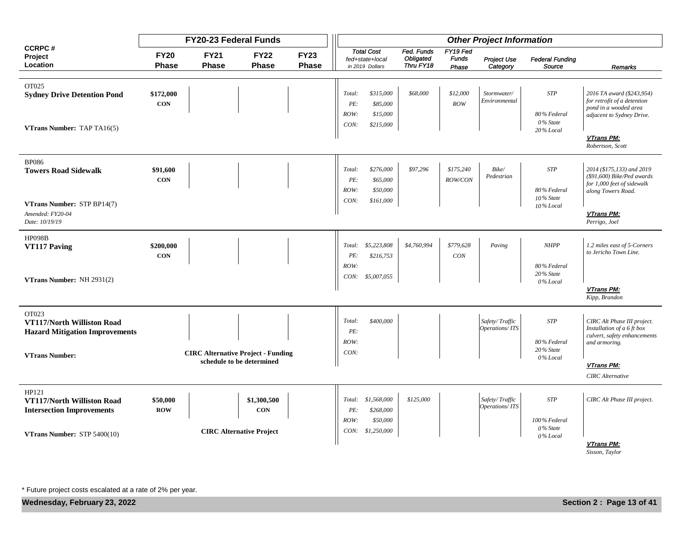|                                                                              |                             | <b>FY20-23 Federal Funds</b>              |                                 |                             |                       |                                                         |                                             |                                   | <b>Other Project Information</b>        |                                         |                                                                                                             |
|------------------------------------------------------------------------------|-----------------------------|-------------------------------------------|---------------------------------|-----------------------------|-----------------------|---------------------------------------------------------|---------------------------------------------|-----------------------------------|-----------------------------------------|-----------------------------------------|-------------------------------------------------------------------------------------------------------------|
| <b>CCRPC#</b><br>Project<br>Location                                         | <b>FY20</b><br><b>Phase</b> | <b>FY21</b><br><b>Phase</b>               | <b>FY22</b><br><b>Phase</b>     | <b>FY23</b><br><b>Phase</b> |                       | <b>Total Cost</b><br>fed+state+local<br>in 2019 Dollars | Fed. Funds<br><b>Obligated</b><br>Thru FY18 | FY19 Fed<br><b>Funds</b><br>Phase | <b>Project Use</b><br>Category          | <b>Federal Funding</b><br>Source        | Remarks                                                                                                     |
|                                                                              |                             |                                           |                                 |                             |                       |                                                         |                                             |                                   |                                         |                                         |                                                                                                             |
| OT025<br><b>Sydney Drive Detention Pond</b>                                  | \$172,000<br><b>CON</b>     |                                           |                                 |                             | Total:<br>PE:         | \$315,000<br>\$85,000                                   | \$68,000                                    | \$12,000<br>ROW                   | Stormwater/<br>Environmental            | <b>STP</b>                              | 2016 TA award (\$243,954)<br>for retrofit of a detention<br>pond in a wooded area                           |
| VTrans Number: TAP TA16(5)                                                   |                             |                                           |                                 |                             | ROW:<br>CON:          | \$15,000<br>\$215,000                                   |                                             |                                   |                                         | 80% Federal<br>0% State<br>20% Local    | adjacent to Sydney Drive.                                                                                   |
|                                                                              |                             |                                           |                                 |                             |                       |                                                         |                                             |                                   |                                         |                                         | VTrans PM:<br>Robertson, Scott                                                                              |
| <b>BP086</b><br><b>Towers Road Sidewalk</b>                                  | \$91,600<br><b>CON</b>      |                                           |                                 |                             | Total:<br>PE:<br>ROW: | \$276,000<br>\$65,000<br>\$50,000                       | \$97,296                                    | \$175,240<br><b>ROW/CON</b>       | Bike/<br>Pedestrian                     | <b>STP</b><br>80% Federal               | 2014 (\$175,133) and 2019<br>(\$91,600) Bike/Ped awards<br>for 1,000 feet of sidewalk<br>along Towers Road. |
| VTrans Number: STP BP14(7)<br>Amended: FY20-04<br>Date: 10/19/19             |                             |                                           |                                 |                             | CON:                  | \$161,000                                               |                                             |                                   |                                         | 10% State<br>10% Local                  | <b>VTrans PM:</b><br>Perrigo, Joel                                                                          |
| <b>HP098B</b><br><b>VT117 Paving</b>                                         | \$200,000<br><b>CON</b>     |                                           |                                 |                             | PE:<br>ROW:           | Total: \$5,223,808<br>\$216,753                         | \$4,760,994                                 | \$779,628<br>CON                  | Paving                                  | <b>NHPP</b><br>80% Federal              | 1.2 miles east of 5-Corners<br>to Jericho Town Line.                                                        |
| VTrans Number: NH 2931(2)                                                    |                             |                                           |                                 |                             |                       | CON: \$5,007,055                                        |                                             |                                   |                                         | 20% State<br>0% Local                   |                                                                                                             |
|                                                                              |                             |                                           |                                 |                             |                       |                                                         |                                             |                                   |                                         |                                         | VTrans PM:<br>Kipp, Brandon                                                                                 |
| OT023<br>VT117/North Williston Road<br><b>Hazard Mitigation Improvements</b> |                             |                                           |                                 |                             | Total:<br>PE:         | \$400,000                                               |                                             |                                   | Safety/Traffic<br>Operations/ITS        | <b>STP</b>                              | CIRC Alt Phase III project.<br>Installation of a 6 ft box                                                   |
| <b>VTrans Number:</b>                                                        |                             | <b>CIRC Alternative Project - Funding</b> |                                 |                             | ROW:<br>CON:          |                                                         |                                             |                                   |                                         | 80% Federal<br>20% State                | culvert, safety enhancements<br>and armoring.                                                               |
|                                                                              |                             |                                           | schedule to be determined       |                             |                       |                                                         |                                             |                                   |                                         | 0% Local                                | <b>VTrans PM:</b><br><b>CIRC</b> Alternative                                                                |
| HP121<br>VT117/North Williston Road<br><b>Intersection Improvements</b>      | \$50,000<br><b>ROW</b>      |                                           | \$1,300,500<br><b>CON</b>       |                             | Total:<br>PE:         | \$1,568,000<br>\$268,000                                | \$125,000                                   |                                   | $Safe$ ty/ $T$ raffic<br>Operations/ITS | <b>STP</b>                              | CIRC Alt Phase III project.                                                                                 |
| VTrans Number: STP 5400(10)                                                  |                             |                                           | <b>CIRC</b> Alternative Project |                             | ROW:<br>CON:          | \$50,000<br>\$1,250,000                                 |                                             |                                   |                                         | 100% Federal<br>0% State<br>$0\%$ Local |                                                                                                             |
|                                                                              |                             |                                           |                                 |                             |                       |                                                         |                                             |                                   |                                         |                                         | VTrans PM:<br>Sisson, Taylor                                                                                |

**Wednesday, February 23, 2022 Section 2 : Page 13 of 41**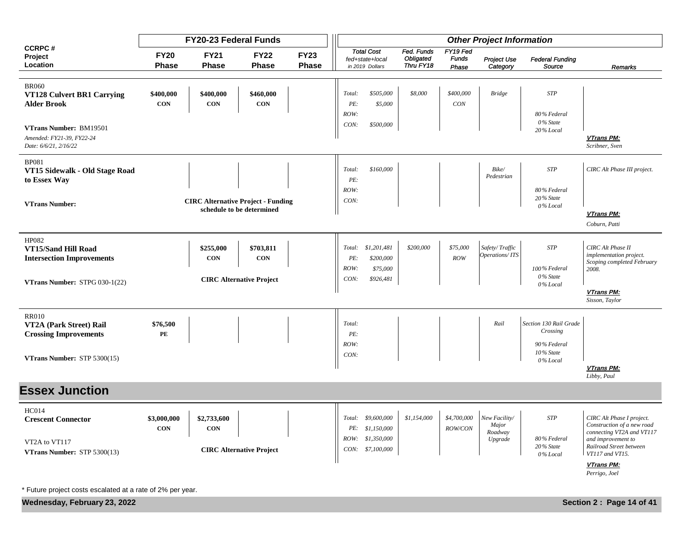|                                                                                                        |                             | FY20-23 Federal Funds                     |                                 |                      |                               |                                                                           |                                      |                                   | <b>Other Project Information</b>             |                                                                |                                                                                                                                                          |
|--------------------------------------------------------------------------------------------------------|-----------------------------|-------------------------------------------|---------------------------------|----------------------|-------------------------------|---------------------------------------------------------------------------|--------------------------------------|-----------------------------------|----------------------------------------------|----------------------------------------------------------------|----------------------------------------------------------------------------------------------------------------------------------------------------------|
| <b>CCRPC#</b><br>Project<br>Location                                                                   | <b>FY20</b><br><b>Phase</b> | <b>FY21</b><br>Phase                      | <b>FY22</b><br><b>Phase</b>     | <b>FY23</b><br>Phase |                               | <b>Total Cost</b><br>fed+state+local<br>in 2019 Dollars                   | Fed. Funds<br>Obligated<br>Thru FY18 | FY19 Fed<br><b>Funds</b><br>Phase | Project Use<br>Category                      | <b>Federal Funding</b><br>Source                               | Remarks                                                                                                                                                  |
| <b>BR060</b><br>VT128 Culvert BR1 Carrying<br><b>Alder Brook</b>                                       | \$400,000<br><b>CON</b>     | \$400,000<br><b>CON</b>                   | \$460,000<br><b>CON</b>         |                      | Total:<br>PE:<br>ROW:         | \$505,000<br>\$5,000                                                      | \$8,000                              | \$400,000<br>CON                  | <b>Bridge</b>                                | <b>STP</b><br>80% Federal                                      |                                                                                                                                                          |
| VTrans Number: BM19501<br>Amended: FY21-39, FY22-24<br>Date: 6/6/21, 2/16/22                           |                             |                                           |                                 |                      | CON:                          | \$500,000                                                                 |                                      |                                   |                                              | 0% State<br>20% Local                                          | VTrans PM:<br>Scribner, Sven                                                                                                                             |
| <b>BP081</b><br>VT15 Sidewalk - Old Stage Road<br>to Essex Way                                         |                             |                                           |                                 |                      | Total:<br>PE:<br>ROW:         | \$160,000                                                                 |                                      |                                   | Bike/<br>Pedestrian                          | <b>STP</b><br>80% Federal                                      | CIRC Alt Phase III project.                                                                                                                              |
| <b>VTrans Number:</b>                                                                                  |                             | <b>CIRC Alternative Project - Funding</b> | schedule to be determined       |                      | CON:                          |                                                                           |                                      |                                   |                                              | 20% State<br>0% Local                                          | VTrans PM:<br>Coburn, Patti                                                                                                                              |
| HP082<br>VT15/Sand Hill Road<br><b>Intersection Improvements</b>                                       |                             | \$255,000<br><b>CON</b>                   | \$703,811<br><b>CON</b>         |                      | PE:<br>ROW:                   | Total: \$1,201,481<br>\$200,000<br>\$75,000                               | \$200,000                            | \$75,000<br>ROW                   | Safety/Traffic<br>Operations/ITS             | <b>STP</b><br>100% Federal<br>0% State                         | CIRC Alt Phase II<br>implementation project.<br>Scoping completed February<br>2008.                                                                      |
| <b>VTrans Number:</b> STPG $030-1(22)$                                                                 |                             |                                           | <b>CIRC Alternative Project</b> |                      | CON:                          | \$926,481                                                                 |                                      |                                   |                                              | 0% Local                                                       | VTrans PM:<br>Sisson, Taylor                                                                                                                             |
| <b>RR010</b><br>VT2A (Park Street) Rail<br><b>Crossing Improvements</b><br>VTrans Number: STP 5300(15) | \$76,500<br>PE              |                                           |                                 |                      | Total:<br>PE:<br>ROW:<br>CON: |                                                                           |                                      |                                   | Rail                                         | Section 130 Rail Grade<br>Crossing<br>90% Federal<br>10% State |                                                                                                                                                          |
|                                                                                                        |                             |                                           |                                 |                      |                               |                                                                           |                                      |                                   |                                              | 0% Local                                                       | VTrans PM:<br>Libby, Paul                                                                                                                                |
| <b>Essex Junction</b>                                                                                  |                             |                                           |                                 |                      |                               |                                                                           |                                      |                                   |                                              |                                                                |                                                                                                                                                          |
| <b>HC014</b><br><b>Crescent Connector</b><br>VT2A to VT117<br>VTrans Number: STP 5300(13)              | \$3,000,000<br><b>CON</b>   | \$2,733,600<br>CON                        | <b>CIRC Alternative Project</b> |                      | PE:                           | Total: \$9,600,000<br>\$1,150,000<br>ROW: \$1,350,000<br>CON: \$7,100,000 | \$1,154,000                          | \$4,700,000<br>ROW/CON            | New Facility/<br>Major<br>Roadway<br>Upgrade | <b>STP</b><br>80% Federal<br>20% State<br>0% Local             | CIRC Alt Phase I project.<br>Construction of a new road<br>connecting VT2A and VT117<br>and improvement to<br>Railroad Street between<br>VT117 and VT15. |
|                                                                                                        |                             |                                           |                                 |                      |                               |                                                                           |                                      |                                   |                                              |                                                                | <b>VTrans PM:</b><br>Perrigo, Joel                                                                                                                       |

**Wednesday, February 23, 2022 Section 2 : Page 14 of 41**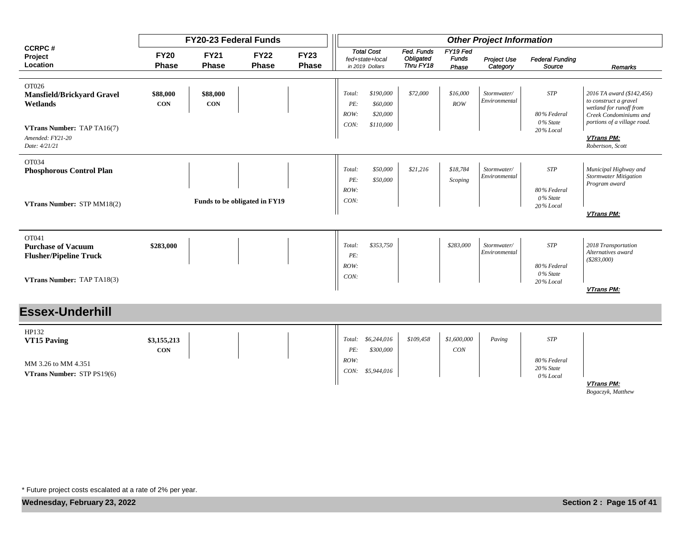|                                                                                                                           |                             | FY20-23 Federal Funds       |                               |                      |                                                                                 |                                      |                                   | <b>Other Project Information</b> |                                                       |                                                                                                                                                                          |
|---------------------------------------------------------------------------------------------------------------------------|-----------------------------|-----------------------------|-------------------------------|----------------------|---------------------------------------------------------------------------------|--------------------------------------|-----------------------------------|----------------------------------|-------------------------------------------------------|--------------------------------------------------------------------------------------------------------------------------------------------------------------------------|
| <b>CCRPC#</b><br>Project<br>Location                                                                                      | <b>FY20</b><br><b>Phase</b> | <b>FY21</b><br><b>Phase</b> | <b>FY22</b><br><b>Phase</b>   | <b>FY23</b><br>Phase | <b>Total Cost</b><br>fed+state+local<br>in 2019 Dollars                         | Fed. Funds<br>Obligated<br>Thru FY18 | FY19 Fed<br><b>Funds</b><br>Phase | Project Use<br>Category          | <b>Federal Funding</b><br>Source                      | Remarks                                                                                                                                                                  |
| OT026<br><b>Mansfield/Brickyard Gravel</b><br>Wetlands<br>VTrans Number: TAP TA16(7)<br>Amended: FY21-20<br>Date: 4/21/21 | \$88,000<br><b>CON</b>      | \$88,000<br><b>CON</b>      |                               |                      | \$190,000<br>Total:<br>\$60,000<br>PE:<br>ROW:<br>\$20,000<br>CON:<br>\$110,000 | \$72,000                             | \$16,000<br>ROW                   | Stormwater/<br>Environmental     | <b>STP</b><br>80% Federal<br>0% State<br>20% Local    | 2016 TA award (\$142,456)<br>to construct a gravel<br>wetland for runoff from<br>Creek Condominiums and<br>portions of a village road.<br>VTrans PM:<br>Robertson, Scott |
| OT034<br><b>Phosphorous Control Plan</b><br>VTrans Number: STP MM18(2)                                                    |                             |                             | Funds to be obligated in FY19 |                      | \$50,000<br>Total:<br>PE:<br>\$50,000<br>ROW:<br>CON:                           | \$21,216                             | \$18,784<br>Scoping               | Stormwater/<br>Environmental     | <b>STP</b><br>80% Federal<br>0% State<br>20% Local    | Municipal Highway and<br><b>Stormwater Mitigation</b><br>Program award<br>VTrans PM:                                                                                     |
| OT041<br><b>Purchase of Vacuum</b><br><b>Flusher/Pipeline Truck</b><br>VTrans Number: TAP TA18(3)                         | \$283,000                   |                             |                               |                      | \$353,750<br>Total:<br>PE:<br>ROW:<br>CON:                                      |                                      | \$283,000                         | Stormwater/<br>Environmental     | <b>STP</b><br>80% Federal<br>$0\%$ State<br>20% Local | 2018 Transportation<br>Alternatives award<br>( \$283,000)<br>VTrans PM:                                                                                                  |
| <b>Essex-Underhill</b>                                                                                                    |                             |                             |                               |                      |                                                                                 |                                      |                                   |                                  |                                                       |                                                                                                                                                                          |
| HP132<br><b>VT15 Paving</b><br>MM 3.26 to MM 4.351<br>VTrans Number: STP PS19(6)                                          | \$3,155,213<br><b>CON</b>   |                             |                               |                      | \$6,244,016<br>Total:<br>\$300,000<br>PE:<br>ROW:<br>CON:<br>\$5,944,016        | \$109,458                            | \$1,600,000<br>CON                | Paving                           | <b>STP</b><br>80% Federal<br>20% State<br>$0\%$ Local |                                                                                                                                                                          |

**VTrans PM:**

*Bogaczyk, Matthew*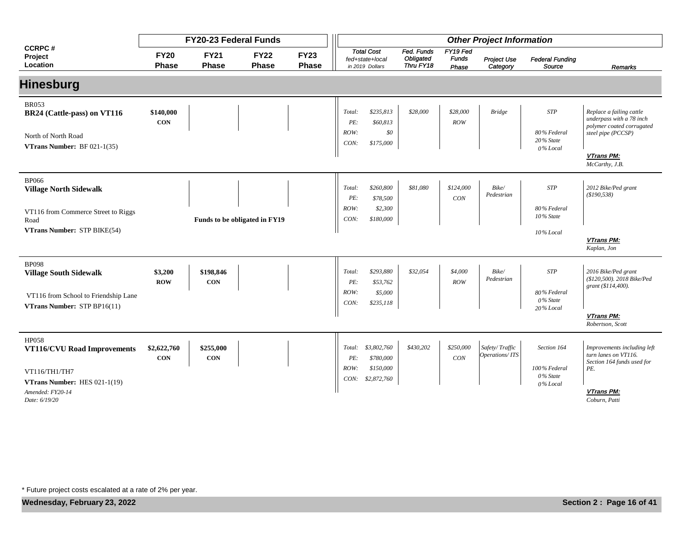|                                                                                                                                   |                             | FY20-23 Federal Funds       |                               |                             |                               |                                                         |                                      |                                   | <b>Other Project Information</b> |                                                       |                                                                                                                                             |
|-----------------------------------------------------------------------------------------------------------------------------------|-----------------------------|-----------------------------|-------------------------------|-----------------------------|-------------------------------|---------------------------------------------------------|--------------------------------------|-----------------------------------|----------------------------------|-------------------------------------------------------|---------------------------------------------------------------------------------------------------------------------------------------------|
| <b>CCRPC#</b><br>Project<br>Location                                                                                              | <b>FY20</b><br><b>Phase</b> | <b>FY21</b><br><b>Phase</b> | <b>FY22</b><br><b>Phase</b>   | <b>FY23</b><br><b>Phase</b> |                               | <b>Total Cost</b><br>fed+state+local<br>in 2019 Dollars | Fed. Funds<br>Obligated<br>Thru FY18 | FY19 Fed<br><b>Funds</b><br>Phase | Project Use<br>Category          | <b>Federal Funding</b><br>Source                      | Remarks                                                                                                                                     |
| <b>Hinesburg</b>                                                                                                                  |                             |                             |                               |                             |                               |                                                         |                                      |                                   |                                  |                                                       |                                                                                                                                             |
| <b>BR053</b><br>BR24 (Cattle-pass) on VT116<br>North of North Road<br><b>VTrans Number:</b> BF $021-1(35)$                        | \$140,000<br><b>CON</b>     |                             |                               |                             | Total:<br>PE:<br>ROW:<br>CON: | \$235,813<br>\$60,813<br>\$0<br>\$175,000               | \$28,000                             | \$28,000<br>ROW                   | <b>Bridge</b>                    | <b>STP</b><br>80% Federal<br>$20\%$ State<br>0% Local | Replace a failing cattle<br>underpass with a 78 inch<br>polymer coated corrugated<br>steel pipe (PCCSP)<br>VTrans PM:<br>McCarthy, J.B.     |
| <b>BP066</b><br><b>Village North Sidewalk</b><br>VT116 from Commerce Street to Riggs<br>Road                                      |                             |                             | Funds to be obligated in FY19 |                             | Total:<br>PE:<br>ROW:<br>CON: | \$260,800<br>\$78,500<br>\$2,300<br>\$180,000           | \$81,080                             | \$124,000<br>CON                  | Bike/<br>Pedestrian              | <b>STP</b><br>80% Federal<br>10% State                | 2012 Bike/Ped grant<br>(\$190,538)                                                                                                          |
| VTrans Number: STP BIKE(54)                                                                                                       |                             |                             |                               |                             |                               |                                                         |                                      |                                   |                                  | 10% Local                                             | VTrans PM:<br>Kaplan, Jon                                                                                                                   |
| <b>BP098</b><br><b>Village South Sidewalk</b><br>VT116 from School to Friendship Lane<br>VTrans Number: STP BP16(11)              | \$3,200<br><b>ROW</b>       | \$198,846<br><b>CON</b>     |                               |                             | Total:<br>PE:<br>ROW:<br>CON: | \$293,880<br>\$53,762<br>\$5,000<br>\$235,118           | \$32,054                             | \$4,000<br>ROW                    | Bike/<br>Pedestrian              | <b>STP</b><br>80% Federal<br>0% State<br>20% Local    | 2016 Bike/Ped grant<br>(\$120,500). 2018 Bike/Ped<br>grant (\$114,400).<br>VTrans PM:                                                       |
| <b>HP058</b><br>VT116/CVU Road Improvements<br>VT116/TH1/TH7<br>VTrans Number: HES 021-1(19)<br>Amended: FY20-14<br>Date: 6/19/20 | \$2,622,760<br><b>CON</b>   | \$255,000<br><b>CON</b>     |                               |                             | Total:<br>PE:<br>ROW:<br>CON: | \$3,802,760<br>\$780,000<br>\$150,000<br>\$2,872,760    | \$430,202                            | \$250,000<br>CON                  | Safety/Traffic<br>Operations/ITS | Section 164<br>100% Federal<br>0% State<br>0% Local   | Robertson, Scott<br>Improvements including left<br>turn lanes on VT116.<br>Section 164 funds used for<br>PE.<br>VTrans PM:<br>Coburn, Patti |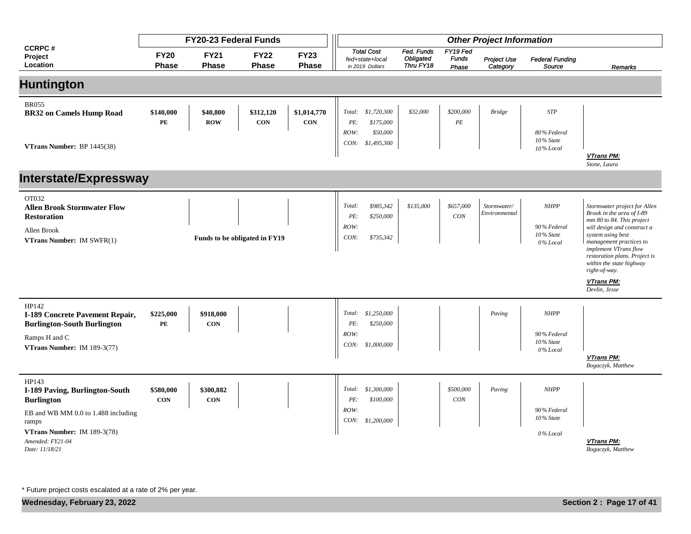|                                                                                                                                                                                          |                         | <b>FY20-23 Federal Funds</b> |                               |                           |                               |                                                         |                                      |                                   | <b>Other Project Information</b> |                                                     |                                                                                                                                                                                                                                                                                                             |
|------------------------------------------------------------------------------------------------------------------------------------------------------------------------------------------|-------------------------|------------------------------|-------------------------------|---------------------------|-------------------------------|---------------------------------------------------------|--------------------------------------|-----------------------------------|----------------------------------|-----------------------------------------------------|-------------------------------------------------------------------------------------------------------------------------------------------------------------------------------------------------------------------------------------------------------------------------------------------------------------|
| <b>CCRPC#</b><br>Project<br>Location                                                                                                                                                     | <b>FY20</b><br>Phase    | <b>FY21</b><br>Phase         | <b>FY22</b><br>Phase          | <b>FY23</b><br>Phase      |                               | <b>Total Cost</b><br>fed+state+local<br>in 2019 Dollars | Fed. Funds<br>Obligated<br>Thru FY18 | FY19 Fed<br><b>Funds</b><br>Phase | Project Use<br>Category          | <b>Federal Funding</b><br>Source                    | Remarks                                                                                                                                                                                                                                                                                                     |
| <b>Huntington</b>                                                                                                                                                                        |                         |                              |                               |                           |                               |                                                         |                                      |                                   |                                  |                                                     |                                                                                                                                                                                                                                                                                                             |
| <b>BR055</b><br><b>BR32 on Camels Hump Road</b><br>VTrans Number: BP 1445(38)                                                                                                            | \$140,000<br>PE         | \$40,800<br><b>ROW</b>       | \$312,120<br>CON              | \$1,014,770<br><b>CON</b> | Total:<br>PE:<br>ROW:<br>CON: | \$1,720,300<br>\$175,000<br>\$50,000<br>\$1,495,300     | \$32,000                             | \$200,000<br>$\cal PE$            | <b>Bridge</b>                    | <b>STP</b><br>80% Federal<br>10% State<br>10% Local | VTrans PM:<br>Stone, Laura                                                                                                                                                                                                                                                                                  |
| <b>Interstate/Expressway</b>                                                                                                                                                             |                         |                              |                               |                           |                               |                                                         |                                      |                                   |                                  |                                                     |                                                                                                                                                                                                                                                                                                             |
| OT032<br><b>Allen Brook Stormwater Flow</b><br><b>Restoration</b><br>Allen Brook<br><b>VTrans Number:</b> IM $SWFR(1)$                                                                   |                         |                              | Funds to be obligated in FY19 |                           | Total:<br>PE:<br>ROW:<br>CON: | \$985,342<br>\$250,000<br>\$735,342                     | \$135,000                            | \$657,000<br>CON                  | Stormwater/<br>Environmental     | NHPP<br>90% Federal<br>10% State<br>0% Local        | Stormwater project for Allen<br>Brook in the area of I-89<br>mm 80 to 84. This project<br>will design and construct a<br>system using best<br>management practices to<br>implement VTrans flow<br>restoration plans. Project is<br>within the state highway<br>right-of-way.<br>VTrans PM:<br>Devlin, Jesse |
| HP142<br>I-189 Concrete Pavement Repair,<br><b>Burlington-South Burlington</b><br>Ramps H and C<br>VTrans Number: IM 189-3(77)                                                           | \$225,000<br>PE         | \$918,000<br><b>CON</b>      |                               |                           | Total:<br>PE:<br>ROW:<br>CON: | \$1,250,000<br>\$250,000<br>\$1,000,000                 |                                      |                                   | Paving                           | <b>NHPP</b><br>90% Federal<br>10% State<br>0% Local | VTrans PM:<br>Bogaczyk, Matthew                                                                                                                                                                                                                                                                             |
| HP143<br><b>I-189 Paving, Burlington-South</b><br><b>Burlington</b><br>EB and WB MM 0.0 to 1.488 including<br>ramps<br>VTrans Number: IM 189-3(78)<br>Amended: FY21-04<br>Date: 11/18/21 | \$580,000<br><b>CON</b> | \$300,882<br><b>CON</b>      |                               |                           | Total:<br>PE:<br>ROW:<br>CON: | \$1,300,000<br>\$100,000<br>\$1,200,000                 |                                      | \$500,000<br>CON                  | Paving                           | <b>NHPP</b><br>90% Federal<br>10% State<br>0% Local | <b>VTrans PM:</b><br>Bogaczyk, Matthew                                                                                                                                                                                                                                                                      |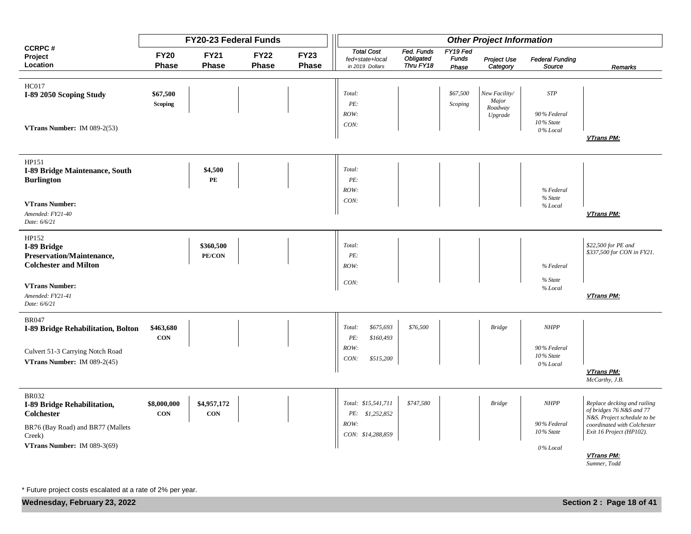|                                                                                                                                                |                            | FY20-23 Federal Funds      |                             |                      |                                                                      |                                      |                                   | <b>Other Project Information</b>             |                                                     |                                                                                                                                                                                 |
|------------------------------------------------------------------------------------------------------------------------------------------------|----------------------------|----------------------------|-----------------------------|----------------------|----------------------------------------------------------------------|--------------------------------------|-----------------------------------|----------------------------------------------|-----------------------------------------------------|---------------------------------------------------------------------------------------------------------------------------------------------------------------------------------|
| <b>CCRPC#</b><br>Project<br>Location                                                                                                           | <b>FY20</b><br>Phase       | <b>FY21</b><br>Phase       | <b>FY22</b><br><b>Phase</b> | <b>FY23</b><br>Phase | <b>Total Cost</b><br>fed+state+local<br>in 2019 Dollars              | Fed. Funds<br>Obligated<br>Thru FY18 | FY19 Fed<br><b>Funds</b><br>Phase | Project Use<br>Category                      | <b>Federal Funding</b><br>Source                    | <b>Remarks</b>                                                                                                                                                                  |
| <b>HC017</b><br>I-89 2050 Scoping Study<br>VTrans Number: IM $089-2(53)$                                                                       | \$67,500<br><b>Scoping</b> |                            |                             |                      | Total:<br>PE:<br>ROW:<br>CON:                                        |                                      | \$67,500<br>Scoping               | New Facility/<br>Major<br>Roadway<br>Upgrade | $STP$<br>90% Federal<br>10% State<br>0% Local       | VTrans PM:                                                                                                                                                                      |
| HP151<br>I-89 Bridge Maintenance, South<br><b>Burlington</b><br><b>VTrans Number:</b><br>Amended: FY21-40<br>Date: 6/6/21                      |                            | \$4,500<br>PE              |                             |                      | Total:<br>PE:<br>ROW:<br>CON:                                        |                                      |                                   |                                              | % Federal<br>% State<br>% Local                     | VTrans PM:                                                                                                                                                                      |
| HP152<br>I-89 Bridge<br>Preservation/Maintenance,<br><b>Colchester and Milton</b><br><b>VTrans Number:</b><br>Amended: FY21-41<br>Date: 6/6/21 |                            | \$360,500<br><b>PE/CON</b> |                             |                      | Total:<br>PE:<br>ROW:<br>CON:                                        |                                      |                                   |                                              | % Federal<br>% State<br>% Local                     | \$22,500 for PE and<br>\$337,500 for CON in FY21.<br>VTrans PM:                                                                                                                 |
| <b>BR047</b><br><b>I-89 Bridge Rehabilitation, Bolton</b><br>Culvert 51-3 Carrying Notch Road<br>VTrans Number: IM 089-2(45)                   | \$463,680<br>CON           |                            |                             |                      | \$675,693<br>Total:<br>PE:<br>\$160,493<br>ROW:<br>CON:<br>\$515,200 | \$76,500                             |                                   | <b>Bridge</b>                                | <b>NHPP</b><br>90% Federal<br>10% State<br>0% Local | VTrans PM:<br>McCarthy, J.B.                                                                                                                                                    |
| <b>BR032</b><br>I-89 Bridge Rehabilitation,<br><b>Colchester</b><br>BR76 (Bay Road) and BR77 (Mallets<br>Creek)<br>VTrans Number: IM 089-3(69) | \$8,000,000<br><b>CON</b>  | \$4,957,172<br><b>CON</b>  |                             |                      | Total: \$15,541,711<br>PE: \$1,252,852<br>ROW:<br>CON: \$14,288,859  | \$747,580                            |                                   | <b>Bridge</b>                                | NHPP<br>90% Federal<br>10% State<br>0% Local        | Replace decking and railing<br>of bridges 76 N&S and 77<br>N&S. Project schedule to be<br>coordinated with Colchester<br>Exit 16 Project (HP102).<br>VTrans PM:<br>Sumner, Todd |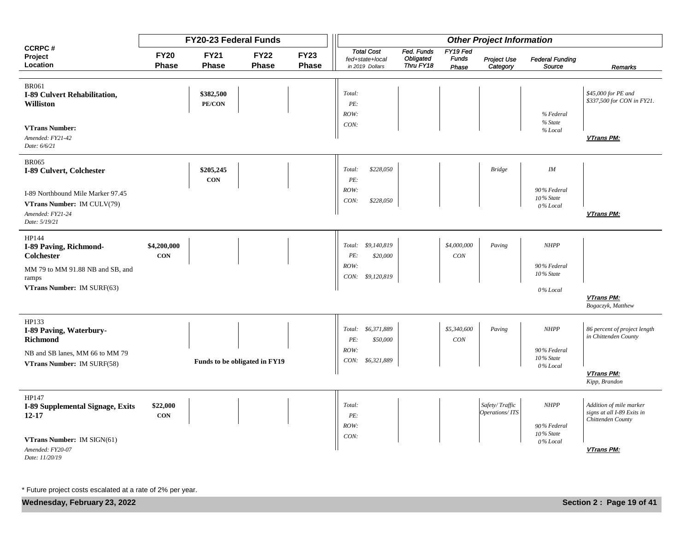|                                                                                     |                           | FY20-23 Federal Funds   |                               |                      |                                                         |                                      |                                   | <b>Other Project Information</b> |                                      |                                                                            |
|-------------------------------------------------------------------------------------|---------------------------|-------------------------|-------------------------------|----------------------|---------------------------------------------------------|--------------------------------------|-----------------------------------|----------------------------------|--------------------------------------|----------------------------------------------------------------------------|
| <b>CCRPC#</b><br>Project<br>Location                                                | <b>FY20</b><br>Phase      | <b>FY21</b><br>Phase    | <b>FY22</b><br>Phase          | <b>FY23</b><br>Phase | <b>Total Cost</b><br>fed+state+local<br>in 2019 Dollars | Fed. Funds<br>Obligated<br>Thru FY18 | FY19 Fed<br><b>Funds</b><br>Phase | Project Use<br>Category          | <b>Federal Funding</b><br>Source     | Remarks                                                                    |
|                                                                                     |                           |                         |                               |                      |                                                         |                                      |                                   |                                  |                                      |                                                                            |
| <b>BR061</b><br>I-89 Culvert Rehabilitation,<br><b>Williston</b>                    |                           | \$382,500<br>PE/CON     |                               |                      | Total:<br>PE:<br>ROW:                                   |                                      |                                   |                                  | % Federal                            | \$45,000 for PE and<br>\$337,500 for CON in FY21.                          |
| <b>VTrans Number:</b><br>Amended: FY21-42<br>Date: 6/6/21                           |                           |                         |                               |                      | CON:                                                    |                                      |                                   |                                  | % State<br>% Local                   | VTrans PM:                                                                 |
| <b>BR065</b><br>I-89 Culvert, Colchester                                            |                           | \$205,245<br><b>CON</b> |                               |                      | \$228,050<br>Total:<br>PE:                              |                                      |                                   | <b>Bridge</b>                    | IM                                   |                                                                            |
| I-89 Northbound Mile Marker 97.45<br>VTrans Number: IM CULV(79)<br>Amended: FY21-24 |                           |                         |                               |                      | ROW:<br>CON:<br>\$228,050                               |                                      |                                   |                                  | 90% Federal<br>10% State<br>0% Local | VTrans PM:                                                                 |
| Date: 5/19/21                                                                       |                           |                         |                               |                      |                                                         |                                      |                                   |                                  |                                      |                                                                            |
| HP144<br>I-89 Paving, Richmond-<br><b>Colchester</b>                                | \$4,200,000<br><b>CON</b> |                         |                               |                      | Total: \$9,140,819<br>\$20,000<br>PE:<br>ROW:           |                                      | \$4,000,000<br>CON                | Paving                           | <b>NHPP</b><br>90% Federal           |                                                                            |
| MM 79 to MM 91.88 NB and SB, and<br>ramps<br>VTrans Number: IM SURF(63)             |                           |                         |                               |                      | CON: \$9,120,819                                        |                                      |                                   |                                  | 10% State<br>0% Local                |                                                                            |
|                                                                                     |                           |                         |                               |                      |                                                         |                                      |                                   |                                  |                                      | VTrans PM:<br>Bogaczyk, Matthew                                            |
| HP133<br>I-89 Paving, Waterbury-<br><b>Richmond</b>                                 |                           |                         |                               |                      | \$6,371,889<br>Total:<br>\$50,000<br>PE:                |                                      | \$5,340,600<br><b>CON</b>         | Paving                           | <b>NHPP</b>                          | 86 percent of project length<br>in Chittenden County                       |
| NB and SB lanes, MM 66 to MM 79<br>VTrans Number: IM SURF(58)                       |                           |                         | Funds to be obligated in FY19 |                      | ROW:<br>CON:<br>\$6,321,889                             |                                      |                                   |                                  | 90% Federal<br>10% State<br>0% Local |                                                                            |
|                                                                                     |                           |                         |                               |                      |                                                         |                                      |                                   |                                  |                                      | VTrans PM:<br>Kipp, Brandon                                                |
| HP147<br>I-89 Supplemental Signage, Exits<br>12-17                                  | \$22,000<br><b>CON</b>    |                         |                               |                      | Total:<br>PE:                                           |                                      |                                   | Safety/Traffic<br>Operations/ITS | <b>NHPP</b>                          | Addition of mile marker<br>signs at all I-89 Exits in<br>Chittenden County |
| VTrans Number: IM SIGN(61)<br>Amended: FY20-07<br>Date: 11/20/19                    |                           |                         |                               |                      | ROW:<br>CON:                                            |                                      |                                   |                                  | 90% Federal<br>10% State<br>0% Local | VTrans PM:                                                                 |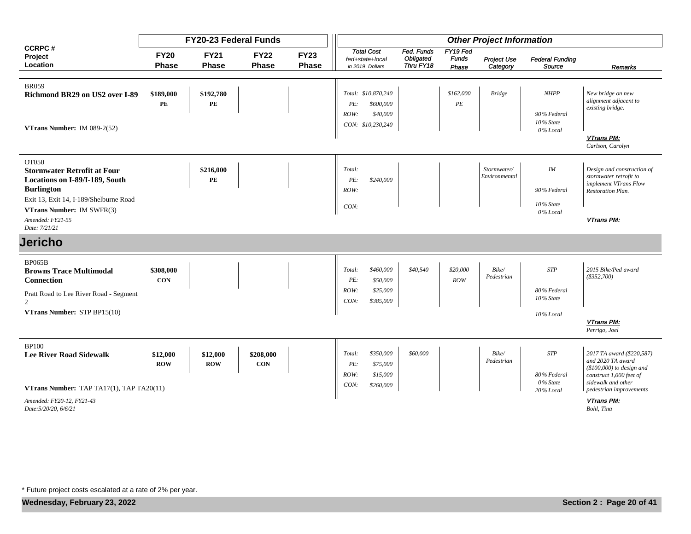|                                                                               |                             | <b>FY20-23 Federal Funds</b> |                             |                      |                                                                                  |                                      |                                   | <b>Other Project Information</b> |                                         |                                                                              |
|-------------------------------------------------------------------------------|-----------------------------|------------------------------|-----------------------------|----------------------|----------------------------------------------------------------------------------|--------------------------------------|-----------------------------------|----------------------------------|-----------------------------------------|------------------------------------------------------------------------------|
| <b>CCRPC#</b><br>Project<br>Location                                          | <b>FY20</b><br><b>Phase</b> | <b>FY21</b><br><b>Phase</b>  | <b>FY22</b><br><b>Phase</b> | <b>FY23</b><br>Phase | <b>Total Cost</b><br>fed+state+local<br>in 2019 Dollars                          | Fed. Funds<br>Obligated<br>Thru FY18 | FY19 Fed<br><b>Funds</b><br>Phase | Project Use<br>Category          | <b>Federal Funding</b><br>Source        | Remarks                                                                      |
|                                                                               |                             |                              |                             |                      |                                                                                  |                                      |                                   |                                  |                                         |                                                                              |
| <b>BR059</b><br>Richmond BR29 on US2 over I-89                                | \$189,000<br>PE             | \$192,780<br>PE              |                             |                      | Total: \$10,870,240<br>\$600,000<br>PE:<br>ROW:<br>\$40,000<br>CON: \$10,230,240 |                                      | \$162,000<br>PE                   | <b>Bridge</b>                    | <b>NHPP</b><br>90% Federal<br>10% State | New bridge on new<br>alignment adjacent to<br>existing bridge.               |
| VTrans Number: IM 089-2(52)                                                   |                             |                              |                             |                      |                                                                                  |                                      |                                   |                                  | 0% Local                                | VTrans PM:<br>Carlson, Carolyn                                               |
| OT050<br><b>Stormwater Retrofit at Four</b><br>Locations on I-89/I-189, South |                             | \$216,000<br>PE              |                             |                      | Total:<br>\$240,000<br>PE:                                                       |                                      |                                   | Stormwater/<br>Environmental     | $I\!M$                                  | Design and construction of<br>stormwater retrofit to                         |
| <b>Burlington</b><br>Exit 13, Exit 14, I-189/Shelburne Road                   |                             |                              |                             |                      | ROW:                                                                             |                                      |                                   |                                  | 90% Federal                             | implement VTrans Flow<br><b>Restoration Plan.</b>                            |
| <b>VTrans Number: IM SWFR(3)</b><br>Amended: FY21-55<br>Date: 7/21/21         |                             |                              |                             |                      | CON:                                                                             |                                      |                                   |                                  | 10% State<br>$0\%$ Local                | VTrans PM:                                                                   |
| <b>Jericho</b>                                                                |                             |                              |                             |                      |                                                                                  |                                      |                                   |                                  |                                         |                                                                              |
| <b>BP065B</b><br><b>Browns Trace Multimodal</b><br><b>Connection</b>          | \$308,000<br><b>CON</b>     |                              |                             |                      | Total:<br>\$460,000<br>\$50,000<br>PE:                                           | \$40,540                             | \$20,000<br>ROW                   | Bike/<br>Pedestrian              | <b>STP</b>                              | 2015 Bike/Ped award<br>$(*352,700)$                                          |
| Pratt Road to Lee River Road - Segment<br>$\mathcal{D}$                       |                             |                              |                             |                      | ROW:<br>\$25,000<br>\$385,000<br>CON:                                            |                                      |                                   |                                  | 80% Federal<br>10% State                |                                                                              |
| VTrans Number: STP BP15(10)                                                   |                             |                              |                             |                      |                                                                                  |                                      |                                   |                                  | 10% Local                               | VTrans PM:<br>Perrigo, Joel                                                  |
| <b>BP100</b><br><b>Lee River Road Sidewalk</b>                                | \$12,000<br><b>ROW</b>      | \$12,000<br><b>ROW</b>       | \$208,000<br><b>CON</b>     |                      | \$350,000<br>Total:<br>PE:<br>\$75,000                                           | \$60,000                             |                                   | Bike/<br>Pedestrian              | <b>STP</b>                              | 2017 TA award (\$220,587)<br>and 2020 TA award<br>$($100,000)$ to design and |
| VTrans Number: TAP TA17(1), TAP TA20(11)                                      |                             |                              |                             |                      | ROW:<br>\$15,000<br>CON:<br>\$260,000                                            |                                      |                                   |                                  | 80% Federal<br>0% State<br>20% Local    | construct 1,000 feet of<br>sidewalk and other<br>pedestrian improvements     |
| Amended: FY20-12, FY21-43<br>Date: 5/20/20, 6/6/21                            |                             |                              |                             |                      |                                                                                  |                                      |                                   |                                  |                                         | VTrans PM:<br>Bohl, Tina                                                     |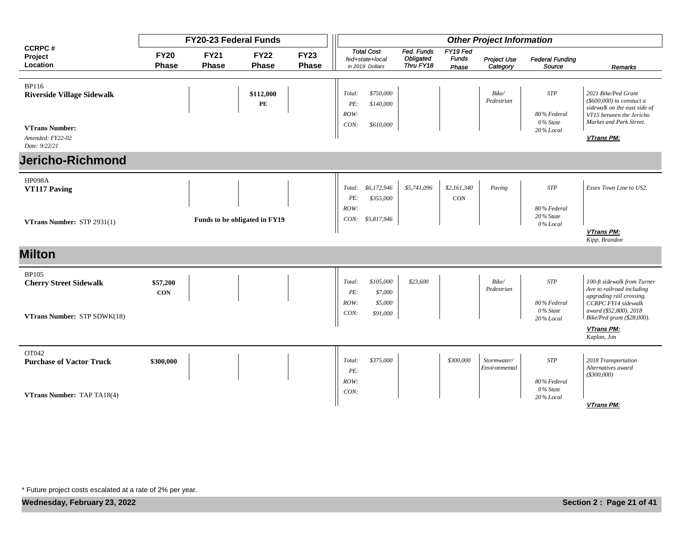|                                                            |                             | <b>FY20-23 Federal Funds</b> |                               |                             |                               |                                                         |                                      |                                   | <b>Other Project Information</b> |                                       |                                                                                                                                           |
|------------------------------------------------------------|-----------------------------|------------------------------|-------------------------------|-----------------------------|-------------------------------|---------------------------------------------------------|--------------------------------------|-----------------------------------|----------------------------------|---------------------------------------|-------------------------------------------------------------------------------------------------------------------------------------------|
| <b>CCRPC#</b><br>Project<br>Location                       | <b>FY20</b><br><b>Phase</b> | <b>FY21</b><br>Phase         | <b>FY22</b><br><b>Phase</b>   | <b>FY23</b><br><b>Phase</b> |                               | <b>Total Cost</b><br>fed+state+local<br>in 2019 Dollars | Fed. Funds<br>Obligated<br>Thru FY18 | FY19 Fed<br><b>Funds</b><br>Phase | Project Use<br>Category          | <b>Federal Funding</b><br>Source      | Remarks                                                                                                                                   |
|                                                            |                             |                              |                               |                             |                               |                                                         |                                      |                                   |                                  |                                       |                                                                                                                                           |
| <b>BP116</b><br><b>Riverside Village Sidewalk</b>          |                             |                              | \$112,000<br>PE               |                             | Total:<br>PE:<br>ROW:         | \$750,000<br>\$140,000                                  |                                      |                                   | Bike/<br>Pedestrian              | <b>STP</b><br>80% Federal<br>0% State | 2021 Bike/Ped Grant<br>$(\$600,000)$ to constuct a<br>sidewalk on the east side of<br>VT15 between the Jericho<br>Market and Park Street. |
| <b>VTrans Number:</b><br>Amended: FY22-02<br>Date: 9/22/21 |                             |                              |                               |                             | CON:                          | \$610,000                                               |                                      |                                   |                                  | 20% Local                             | VTrans PM:                                                                                                                                |
| <b>Jericho-Richmond</b>                                    |                             |                              |                               |                             |                               |                                                         |                                      |                                   |                                  |                                       |                                                                                                                                           |
| <b>HP098A</b><br>VT117 Paving                              |                             |                              |                               |                             | Total:<br>PE:<br>ROW:         | \$6,172,946<br>\$355,000                                | \$5,741,096                          | \$2,161,340<br>CON                | Paving                           | <b>STP</b><br>80% Federal             | Essex Town Line to US2.                                                                                                                   |
| VTrans Number: STP 2931(1)                                 |                             |                              | Funds to be obligated in FY19 |                             |                               | CON: \$5,817,946                                        |                                      |                                   |                                  | 20% State<br>0% Local                 | VTrans PM:<br>Kipp, Brandon                                                                                                               |
| <b>Milton</b>                                              |                             |                              |                               |                             |                               |                                                         |                                      |                                   |                                  |                                       |                                                                                                                                           |
| <b>BP105</b><br><b>Cherry Street Sidewalk</b>              | \$57,200<br><b>CON</b>      |                              |                               |                             | Total:<br>PE:<br>ROW:<br>CON: | \$105,000<br>\$7,000<br>\$5,000<br>\$91,000             | \$23,600                             |                                   | Bike/<br>Pedestrian              | <b>STP</b><br>80% Federal<br>0% State | 100-ft sidewalk from Turner<br>Ave to railroad including<br>upgrading rail crossing.<br>CCRPC FY14 sidewalk<br>award (\$52,800). 2018     |
| VTrans Number: STP SDWK(18)                                |                             |                              |                               |                             |                               |                                                         |                                      |                                   |                                  | 20% Local                             | Bike/Ped grant (\$28,000).<br>VTrans PM:<br>Kaplan, Jon                                                                                   |
| OT042<br><b>Purchase of Vactor Truck</b>                   | \$300,000                   |                              |                               |                             | Total:<br>PE:                 | \$375,000                                               |                                      | \$300,000                         | Stormwater/<br>Environmental     | <b>STP</b>                            | 2018 Transportation<br>Alternatives award<br>$($ \$300,000 $)$                                                                            |
| VTrans Number: TAP TA18(4)                                 |                             |                              |                               |                             | ROW:<br>CON:                  |                                                         |                                      |                                   |                                  | 80% Federal<br>0% State<br>20% Local  | <b>VTrans PM:</b>                                                                                                                         |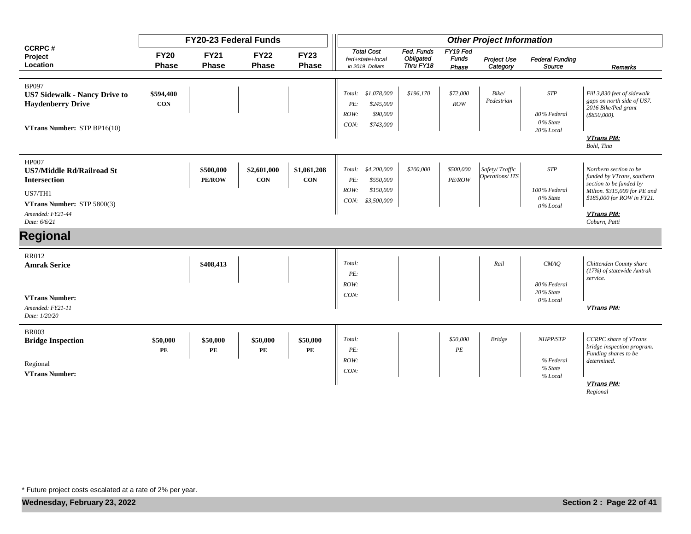|                                                                                                                                                      |                             | FY20-23 Federal Funds       |                             |                             |                                                                                       |                                      |                                   | <b>Other Project Information</b> |                                                    |                                                                                                                                                                              |
|------------------------------------------------------------------------------------------------------------------------------------------------------|-----------------------------|-----------------------------|-----------------------------|-----------------------------|---------------------------------------------------------------------------------------|--------------------------------------|-----------------------------------|----------------------------------|----------------------------------------------------|------------------------------------------------------------------------------------------------------------------------------------------------------------------------------|
| <b>CCRPC#</b><br>Project<br>Location                                                                                                                 | <b>FY20</b><br><b>Phase</b> | <b>FY21</b><br><b>Phase</b> | <b>FY22</b><br><b>Phase</b> | <b>FY23</b><br><b>Phase</b> | <b>Total Cost</b><br>fed+state+local<br>in 2019 Dollars                               | Fed. Funds<br>Obligated<br>Thru FY18 | FY19 Fed<br><b>Funds</b><br>Phase | Project Use<br>Category          | <b>Federal Funding</b><br>Source                   | Remarks                                                                                                                                                                      |
| <b>BP097</b><br><b>US7 Sidewalk - Nancy Drive to</b><br><b>Haydenberry Drive</b><br>VTrans Number: STP BP16(10)                                      | \$594,400<br><b>CON</b>     |                             |                             |                             | \$1,078,000<br>Total:<br>\$245,000<br>PE:<br>ROW:<br>\$90,000<br>CON:<br>\$743,000    | \$196,170                            | \$72,000<br>ROW                   | Bike/<br>Pedestrian              | <b>STP</b><br>80% Federal<br>0% State<br>20% Local | Fill 3,830 feet of sidewalk<br>gaps on north side of US7.<br>2016 Bike/Ped grant<br>$(*850,000).$<br>VTrans PM:<br>Bohl, Tina                                                |
| <b>HP007</b><br><b>US7/Middle Rd/Railroad St</b><br><b>Intersection</b><br>US7/TH1<br>VTrans Number: STP 5800(3)<br>Amended: FY21-44<br>Date: 6/6/21 |                             | \$500,000<br><b>PE/ROW</b>  | \$2,601,000<br><b>CON</b>   | \$1,061,208<br><b>CON</b>   | \$4,200,000<br>Total:<br>\$550,000<br>PE:<br>\$150,000<br>ROW:<br>CON:<br>\$3,500,000 | \$200,000                            | \$500,000<br><b>PE/ROW</b>        | Safety/Traffic<br>Operations/ITS | <b>STP</b><br>100% Federal<br>0% State<br>0% Local | Northern section to be<br>funded by VTrans, southern<br>section to be funded by<br>Milton. \$315,000 for PE and<br>\$185,000 for ROW in FY21.<br>VTrans PM:<br>Coburn, Patti |
| <b>Regional</b>                                                                                                                                      |                             |                             |                             |                             |                                                                                       |                                      |                                   |                                  |                                                    |                                                                                                                                                                              |
| <b>RR012</b><br><b>Amrak Serice</b><br><b>VTrans Number:</b><br>Amended: FY21-11<br>Date: 1/20/20                                                    |                             | \$408,413                   |                             |                             | Total:<br>PE:<br>ROW:<br>CON:                                                         |                                      |                                   | Rail                             | CMAQ<br>80% Federal<br>20% State<br>0% Local       | Chittenden County share<br>(17%) of statewide Amtrak<br>service.<br><b>VTrans PM:</b>                                                                                        |
| <b>BR003</b><br><b>Bridge Inspection</b><br>Regional<br><b>VTrans Number:</b>                                                                        | \$50,000<br>PE              | \$50,000<br>PE              | \$50,000<br>PE              | \$50,000<br>PE              | Total:<br>PE:<br>ROW:<br>CON:                                                         |                                      | \$50,000<br>$\cal PE$             | <b>Bridge</b>                    | NHPP/STP<br>% Federal<br>% State<br>% Local        | <b>CCRPC</b> share of VTrans<br>bridge inspection program.<br>Funding shares to be<br>determined.<br>VTrans PM:<br>Regional                                                  |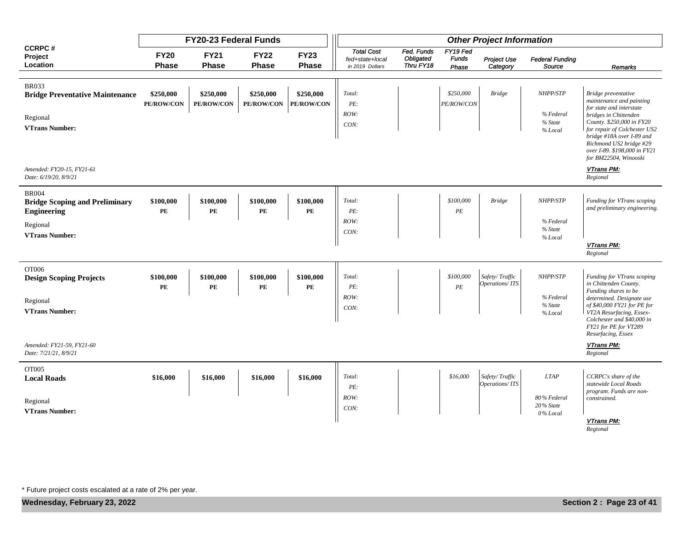|                                                                             |                                     | FY20-23 Federal Funds       |                             |                                     |                                                         |                                      |                                   | <b>Other Project Information</b> |                                      |                                                                                                                                                                                                     |
|-----------------------------------------------------------------------------|-------------------------------------|-----------------------------|-----------------------------|-------------------------------------|---------------------------------------------------------|--------------------------------------|-----------------------------------|----------------------------------|--------------------------------------|-----------------------------------------------------------------------------------------------------------------------------------------------------------------------------------------------------|
| <b>CCRPC#</b><br>Project<br>Location                                        | <b>FY20</b><br><b>Phase</b>         | <b>FY21</b><br><b>Phase</b> | <b>FY22</b><br><b>Phase</b> | <b>FY23</b><br><b>Phase</b>         | <b>Total Cost</b><br>fed+state+local<br>in 2019 Dollars | Fed. Funds<br>Obligated<br>Thru FY18 | FY19 Fed<br><b>Funds</b><br>Phase | <b>Project Use</b><br>Category   | <b>Federal Funding</b><br>Source     | <b>Remarks</b>                                                                                                                                                                                      |
|                                                                             |                                     |                             |                             |                                     |                                                         |                                      |                                   |                                  |                                      |                                                                                                                                                                                                     |
| <b>BR033</b><br><b>Bridge Preventative Maintenance</b>                      | \$250,000<br>PE/ROW/CON             | \$250,000<br>PE/ROW/CON     | \$250,000<br>PE/ROW/CON     | \$250,000<br>PE/ROW/CON             | Total:<br>PE:                                           |                                      | \$250,000<br>PE/ROW/CON           | <b>Bridge</b>                    | NHPP/STP                             | Bridge preventative<br>maintenance and painting<br>for state and interstate                                                                                                                         |
| Regional<br><b>VTrans Number:</b>                                           |                                     |                             |                             |                                     | ROW:<br>CON:                                            |                                      |                                   |                                  | % Federal<br>% State<br>% Local      | bridges in Chittenden<br>County. \$250,000 in FY20<br>for repair of Colchester US2<br>bridge #18A over I-89 and<br>Richmond US2 bridge #29<br>over I-89. \$198,000 in FY21<br>for BM22504, Winooski |
| Amended: FY20-15, FY21-61<br>Date: 6/19/20, 8/9/21                          |                                     |                             |                             |                                     |                                                         |                                      |                                   |                                  |                                      | VTrans PM:<br>Regional                                                                                                                                                                              |
| <b>BR004</b><br><b>Bridge Scoping and Preliminary</b><br><b>Engineering</b> | \$100,000<br>PE                     | \$100,000<br>PE             | \$100,000<br>PE             | \$100,000<br>PE                     | Total:<br>PE:                                           |                                      | \$100,000<br>PE                   | <b>Bridge</b>                    | NHPP/STP                             | Funding for VTrans scoping<br>and preliminary engineering.                                                                                                                                          |
| Regional<br><b>VTrans Number:</b>                                           |                                     |                             |                             |                                     | ROW:<br>CON:                                            |                                      |                                   |                                  | % Federal<br>% State<br>% Local      |                                                                                                                                                                                                     |
|                                                                             |                                     |                             |                             |                                     |                                                         |                                      |                                   |                                  |                                      | VTrans PM:<br>Regional                                                                                                                                                                              |
| OT006<br><b>Design Scoping Projects</b>                                     | \$100,000<br>$\mathbf{P}\mathbf{E}$ | \$100,000<br>PE             | \$100,000<br>PE             | \$100,000<br>$\mathbf{P}\mathbf{E}$ | Total:<br>PE:                                           |                                      | \$100,000<br>$\cal PE$            | Safety/Traffic<br>Operations/ITS | NHPP/STP                             | Funding for VTrans scoping<br>in Chittenden County.<br>Funding shares to be                                                                                                                         |
| Regional<br><b>VTrans Number:</b>                                           |                                     |                             |                             |                                     | ROW:<br>CON:                                            |                                      |                                   |                                  | % Federal<br>% State<br>% Local      | determined. Designate use<br>of \$40,000 FY21 for PE for<br>VT2A Resurfacing, Essex-<br>Colchester and \$40,000 in<br>FY21 for PE for VT289<br>Resurfacing, Essex                                   |
| Amended: FY21-59, FY21-60<br>Date: 7/21/21, 8/9/21                          |                                     |                             |                             |                                     |                                                         |                                      |                                   |                                  |                                      | <b>VTrans PM:</b><br>Regional                                                                                                                                                                       |
| OT005<br><b>Local Roads</b>                                                 | \$16,000                            | \$16,000                    | \$16,000                    | \$16,000                            | Total:<br>PE:                                           |                                      | \$16,000                          | Safety/Traffic<br>Operations/ITS | <b>LTAP</b>                          | CCRPC's share of the<br>statewide Local Roads<br>program. Funds are non-                                                                                                                            |
| Regional<br><b>VTrans Number:</b>                                           |                                     |                             |                             |                                     | ROW:<br>CON:                                            |                                      |                                   |                                  | 80% Federal<br>20% State<br>0% Local | constrained.                                                                                                                                                                                        |
|                                                                             |                                     |                             |                             |                                     |                                                         |                                      |                                   |                                  |                                      | VTrans PM:<br>Regional                                                                                                                                                                              |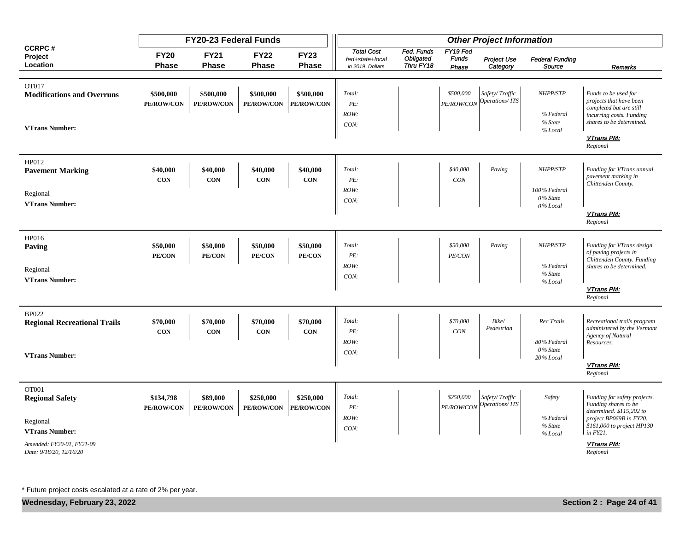|                                                      |                             | FY20-23 Federal Funds       |                             |                         |                                      |                                      |                          | <b>Other Project Information</b>               |                                 |                                                                                  |
|------------------------------------------------------|-----------------------------|-----------------------------|-----------------------------|-------------------------|--------------------------------------|--------------------------------------|--------------------------|------------------------------------------------|---------------------------------|----------------------------------------------------------------------------------|
| <b>CCRPC#</b><br>Project<br>Location                 | <b>FY20</b><br><b>Phase</b> | <b>FY21</b><br><b>Phase</b> | <b>FY22</b><br><b>Phase</b> | <b>FY23</b><br>Phase    | <b>Total Cost</b><br>fed+state+local | Fed. Funds<br>Obligated<br>Thru FY18 | FY19 Fed<br><b>Funds</b> | <b>Project Use</b>                             | <b>Federal Funding</b>          |                                                                                  |
|                                                      |                             |                             |                             |                         | in 2019 Dollars                      |                                      | Phase                    | Category                                       | Source                          | Remarks                                                                          |
| OT017<br><b>Modifications and Overruns</b>           | \$500,000<br>PE/ROW/CON     | \$500,000<br>PE/ROW/CON     | \$500,000<br>PE/ROW/CON     | \$500,000<br>PE/ROW/CON | Total:<br>PE:<br>ROW:                |                                      | \$500,000                | Safety/Traffic<br>$PE/ROW/CON$ Operations/ ITS | NHPP/STP<br>% Federal           | Funds to be used for<br>projects that have been<br>completed but are still       |
| <b>VTrans Number:</b>                                |                             |                             |                             |                         | CON:                                 |                                      |                          |                                                | % State<br>% Local              | incurring costs. Funding<br>shares to be determined.                             |
|                                                      |                             |                             |                             |                         |                                      |                                      |                          |                                                |                                 | VTrans PM:<br>Regional                                                           |
| HP012<br><b>Pavement Marking</b>                     | \$40,000                    | \$40,000                    | \$40,000                    | \$40,000                | Total:                               |                                      | \$40,000                 | Paving                                         | NHPP/STP                        | Funding for VTrans annual                                                        |
|                                                      | CON                         | CON                         | CON                         | CON                     | PE:                                  |                                      | CON                      |                                                |                                 | pavement marking in<br>Chittenden County.                                        |
| Regional<br><b>VTrans Number:</b>                    |                             |                             |                             |                         | ROW:<br>CON:                         |                                      |                          |                                                | 100% Federal<br>0% State        |                                                                                  |
|                                                      |                             |                             |                             |                         |                                      |                                      |                          |                                                | 0% Local                        | VTrans PM:<br>Regional                                                           |
| HP016<br>Paving                                      | \$50,000<br>PE/CON          | \$50,000<br>PE/CON          | \$50,000<br>PE/CON          | \$50,000<br>PE/CON      | Total:<br>PE:                        |                                      | \$50,000<br>PE/CON       | Paving                                         | NHPP/STP                        | Funding for VTrans design<br>of paving projects in<br>Chittenden County. Funding |
| Regional<br><b>VTrans Number:</b>                    |                             |                             |                             |                         | ROW:<br>CON:                         |                                      |                          |                                                | % Federal<br>% State            | shares to be determined.                                                         |
|                                                      |                             |                             |                             |                         |                                      |                                      |                          |                                                | % Local                         | VTrans PM:<br>Regional                                                           |
| <b>BP022</b><br><b>Regional Recreational Trails</b>  | \$70,000                    | \$70,000                    | \$70,000                    | \$70,000                | Total:                               |                                      | \$70,000                 | Bike/                                          | Rec Trails                      | Recreational trails program                                                      |
|                                                      | <b>CON</b>                  | <b>CON</b>                  | <b>CON</b>                  | <b>CON</b>              | PE:<br>ROW:                          |                                      | CON                      | Pedestrian                                     | 80% Federal<br>0% State         | administered by the Vermont<br><b>Agency of Natural</b><br>Resources.            |
| <b>VTrans Number:</b>                                |                             |                             |                             |                         | CON:                                 |                                      |                          |                                                | 20% Local                       | VTrans PM:<br>Regional                                                           |
|                                                      |                             |                             |                             |                         |                                      |                                      |                          |                                                |                                 |                                                                                  |
| OT001<br><b>Regional Safety</b>                      | \$134,798<br>PE/ROW/CON     | \$89,000<br>PE/ROW/CON      | \$250,000<br>PE/ROW/CON     | \$250,000<br>PE/ROW/CON | Total:<br>PE:                        |                                      | \$250,000<br>PE/ROW/CON  | Safety/Traffic<br>Operations/ITS               | Safety                          | Funding for safety projects.<br>Funding shares to be<br>determined. \$115,202 to |
| Regional<br><b>VTrans Number:</b>                    |                             |                             |                             |                         | ROW:<br>CON:                         |                                      |                          |                                                | % Federal<br>% State<br>% Local | project BP069B in FY20.<br>\$161,000 to project HP130<br>in FY21.                |
| Amended: FY20-01, FY21-09<br>Date: 9/18/20, 12/16/20 |                             |                             |                             |                         |                                      |                                      |                          |                                                |                                 | <b>VTrans PM:</b><br>Regional                                                    |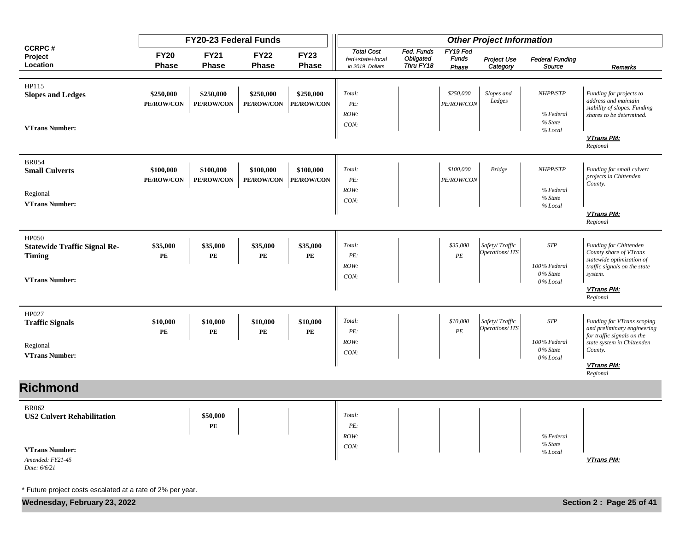|                                                                                                                |                             | FY20-23 Federal Funds          |                                |                                | <b>Other Project Information</b>                        |                                      |                                   |                                  |                                                    |                                                                                                                                                            |
|----------------------------------------------------------------------------------------------------------------|-----------------------------|--------------------------------|--------------------------------|--------------------------------|---------------------------------------------------------|--------------------------------------|-----------------------------------|----------------------------------|----------------------------------------------------|------------------------------------------------------------------------------------------------------------------------------------------------------------|
| <b>CCRPC#</b><br>Project<br>Location                                                                           | <b>FY20</b><br><b>Phase</b> | <b>FY21</b><br><b>Phase</b>    | <b>FY22</b><br><b>Phase</b>    | <b>FY23</b><br>Phase           | <b>Total Cost</b><br>fed+state+local<br>in 2019 Dollars | Fed. Funds<br>Obligated<br>Thru FY18 | FY19 Fed<br><b>Funds</b><br>Phase | <b>Project Use</b><br>Category   | <b>Federal Funding</b><br>Source                   | Remarks                                                                                                                                                    |
| HP115<br><b>Slopes and Ledges</b><br><b>VTrans Number:</b>                                                     | \$250,000<br>PE/ROW/CON     | \$250,000<br><b>PE/ROW/CON</b> | \$250,000<br>PE/ROW/CON        | \$250,000<br><b>PE/ROW/CON</b> | Total:<br>PE:<br>ROW:<br>CON:                           |                                      | \$250,000<br>PE/ROW/CON           | Slopes and<br>Ledges             | NHPP/STP<br>% Federal<br>% State<br>% Local        | Funding for projects to<br>address and maintain<br>stability of slopes. Funding<br>shares to be determined.<br>VTrans PM:<br>Regional                      |
| <b>BR054</b><br><b>Small Culverts</b><br>Regional<br><b>VTrans Number:</b>                                     | \$100,000<br>PE/ROW/CON     | \$100,000<br>PE/ROW/CON        | \$100,000<br><b>PE/ROW/CON</b> | \$100,000<br><b>PE/ROW/CON</b> | Total:<br>PE:<br>ROW:<br>CON:                           |                                      | \$100,000<br><b>PE/ROW/CON</b>    | <b>Bridge</b>                    | NHPP/STP<br>% Federal<br>% State<br>% Local        | Funding for small culvert<br>projects in Chittenden<br>County.<br>VTrans PM:<br>Regional                                                                   |
| HP050<br><b>Statewide Traffic Signal Re-</b><br><b>Timing</b><br><b>VTrans Number:</b>                         | \$35,000<br>PE              | \$35,000<br>PE                 | \$35,000<br>PE                 | \$35,000<br>PE                 | Total:<br>PE:<br>ROW:<br>CON:                           |                                      | \$35,000<br>$\cal PE$             | Safety/Traffic<br>Operations/ITS | <b>STP</b><br>100% Federal<br>0% State<br>0% Local | Funding for Chittenden<br>County share of VTrans<br>statewide optimization of<br>traffic signals on the state<br>system.<br>VTrans PM:<br>Regional         |
| HP027<br><b>Traffic Signals</b><br>Regional<br><b>VTrans Number:</b>                                           | \$10,000<br>PE              | \$10,000<br>PE                 | \$10,000<br>PE                 | \$10,000<br>PE                 | Total:<br>PE:<br>ROW:<br>CON:                           |                                      | \$10,000<br>$\cal PE$             | Safety/Traffic<br>Operations/ITS | <b>STP</b><br>100% Federal<br>0% State<br>0% Local | Funding for VTrans scoping<br>and preliminary engineering<br>for traffic signals on the<br>state system in Chittenden<br>County.<br>VTrans PM:<br>Regional |
| <b>Richmond</b>                                                                                                |                             |                                |                                |                                |                                                         |                                      |                                   |                                  |                                                    |                                                                                                                                                            |
| <b>BR062</b><br><b>US2 Culvert Rehabilitation</b><br><b>VTrans Number:</b><br>Amended: FY21-45<br>Date: 6/6/21 |                             | \$50,000<br>PE                 |                                |                                | Total:<br>PE:<br>ROW:<br>CON:                           |                                      |                                   |                                  | % Federal<br>% State<br>% Local                    | VTrans PM:                                                                                                                                                 |

**Mednesday, February 23, 2022 Section 2 : Page 25 of 41**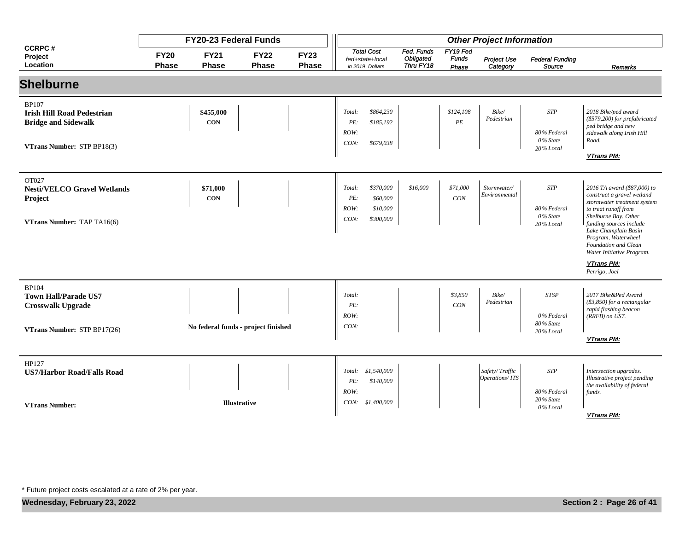|                                                                                                               |                             | FY20-23 Federal Funds       |                                     |                             | <b>Other Project Information</b> |                                                         |                                      |                                   |                                  |                                                     |                                                                                                                                                                                                                                                                                                        |
|---------------------------------------------------------------------------------------------------------------|-----------------------------|-----------------------------|-------------------------------------|-----------------------------|----------------------------------|---------------------------------------------------------|--------------------------------------|-----------------------------------|----------------------------------|-----------------------------------------------------|--------------------------------------------------------------------------------------------------------------------------------------------------------------------------------------------------------------------------------------------------------------------------------------------------------|
| <b>CCRPC#</b><br>Project<br>Location                                                                          | <b>FY20</b><br><b>Phase</b> | <b>FY21</b><br><b>Phase</b> | <b>FY22</b><br><b>Phase</b>         | <b>FY23</b><br><b>Phase</b> |                                  | <b>Total Cost</b><br>fed+state+local<br>in 2019 Dollars | Fed. Funds<br>Obligated<br>Thru FY18 | FY19 Fed<br><b>Funds</b><br>Phase | Project Use<br>Category          | <b>Federal Funding</b><br>Source                    | Remarks                                                                                                                                                                                                                                                                                                |
| <b>Shelburne</b>                                                                                              |                             |                             |                                     |                             |                                  |                                                         |                                      |                                   |                                  |                                                     |                                                                                                                                                                                                                                                                                                        |
| <b>BP107</b><br><b>Irish Hill Road Pedestrian</b><br><b>Bridge and Sidewalk</b><br>VTrans Number: STP BP18(3) |                             | \$455,000<br><b>CON</b>     |                                     |                             | Total:<br>PE:<br>ROW:<br>CON:    | \$864,230<br>\$185,192<br>\$679,038                     |                                      | \$124,108<br>$\cal PE$            | Bike/<br>Pedestrian              | <b>STP</b><br>80% Federal<br>0% State<br>20% Local  | 2018 Bike/ped award<br>(\$579,200) for prefabricated<br>ped bridge and new<br>sidewalk along Irish Hill<br>Road.<br><b>VTrans PM:</b>                                                                                                                                                                  |
| OT027<br><b>Nesti/VELCO Gravel Wetlands</b><br><b>Project</b><br>VTrans Number: TAP TA16(6)                   |                             | \$71,000<br><b>CON</b>      |                                     |                             | Total:<br>PE:<br>ROW:<br>CON:    | \$370,000<br>\$60,000<br>\$10,000<br>\$300,000          | \$16,000                             | \$71,000<br>CON                   | Stormwater/<br>Environmental     | <b>STP</b><br>80% Federal<br>0% State<br>20% Local  | 2016 TA award (\$87,000) to<br>construct a gravel wetland<br>stormwater treatment system<br>to treat runoff from<br>Shelburne Bay. Other<br>funding sources include<br>Lake Champlain Basin<br>Program, Waterwheel<br>Foundation and Clean<br>Water Initiative Program.<br>VTrans PM:<br>Perrigo, Joel |
| <b>BP104</b><br><b>Town Hall/Parade US7</b><br><b>Crosswalk Upgrade</b><br>VTrans Number: STP BP17(26)        |                             |                             | No federal funds - project finished |                             | Total:<br>PE:<br>ROW:<br>CON:    |                                                         |                                      | \$3,850<br>CON                    | Bike/<br>Pedestrian              | <b>STSP</b><br>0% Federal<br>80% State<br>20% Local | 2017 Bike &Ped Award<br>$(\$3,850)$ for a rectangular<br>rapid flashing beacon<br>(RRFB) on US7.<br><b>VTrans PM:</b>                                                                                                                                                                                  |
| HP127<br><b>US7/Harbor Road/Falls Road</b><br><b>VTrans Number:</b>                                           |                             |                             | <b>Illustrative</b>                 |                             | Total:<br>PE:<br>ROW:<br>CON:    | \$1,540,000<br>\$140,000<br>\$1,400,000                 |                                      |                                   | Safety/Traffic<br>Operations/ITS | $ST\!P$<br>80% Federal<br>20% State<br>0% Local     | Intersection upgrades.<br>Illustrative project pending<br>the availability of federal<br>funds.<br><b>VTrans PM:</b>                                                                                                                                                                                   |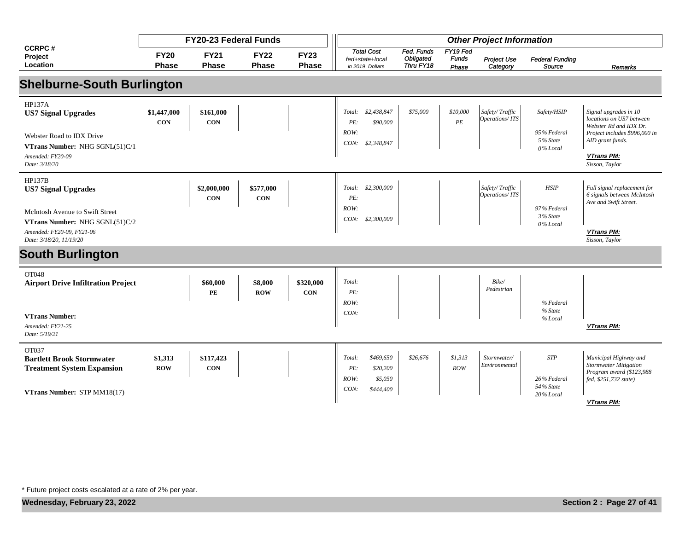|                                                                                                                                                 |                             | <b>FY20-23 Federal Funds</b> |                             |                             | <b>Other Project Information</b>                                        |                                             |                                   |                                  |                                                    |                                                                                                                                                                         |  |
|-------------------------------------------------------------------------------------------------------------------------------------------------|-----------------------------|------------------------------|-----------------------------|-----------------------------|-------------------------------------------------------------------------|---------------------------------------------|-----------------------------------|----------------------------------|----------------------------------------------------|-------------------------------------------------------------------------------------------------------------------------------------------------------------------------|--|
| <b>CCRPC#</b><br>Project<br>Location                                                                                                            | <b>FY20</b><br><b>Phase</b> | <b>FY21</b><br><b>Phase</b>  | <b>FY22</b><br><b>Phase</b> | <b>FY23</b><br><b>Phase</b> | <b>Total Cost</b><br>fed+state+local<br>in 2019 Dollars                 | Fed. Funds<br><b>Obligated</b><br>Thru FY18 | FY19 Fed<br><b>Funds</b><br>Phase | Project Use<br>Category          | <b>Federal Funding</b><br>Source                   | Remarks                                                                                                                                                                 |  |
| <b>Shelburne-South Burlington</b>                                                                                                               |                             |                              |                             |                             |                                                                         |                                             |                                   |                                  |                                                    |                                                                                                                                                                         |  |
| <b>HP137A</b><br><b>US7 Signal Upgrades</b><br>Webster Road to IDX Drive<br>VTrans Number: NHG SGNL(51)C/1<br>Amended: FY20-09<br>Date: 3/18/20 | \$1,447,000<br><b>CON</b>   | \$161,000<br><b>CON</b>      |                             |                             | \$2,438,847<br>Total:<br>PE:<br>\$90,000<br>ROW:<br>CON:<br>\$2,348,847 | \$75,000                                    | \$10,000<br>PE                    | Safety/Traffic<br>Operations/ITS | Safety/HSIP<br>95% Federal<br>5% State<br>0% Local | Signal upgrades in 10<br>locations on US7 between<br>Webster Rd and IDX Dr.<br>Project includes \$996,000 in<br>AID grant funds.<br><b>VTrans PM:</b><br>Sisson, Taylor |  |
| HP137B<br><b>US7 Signal Upgrades</b><br><b>McIntosh Avenue to Swift Street</b>                                                                  |                             | \$2,000,000<br><b>CON</b>    | \$577,000<br><b>CON</b>     |                             | \$2,300,000<br>Total:<br>PE:<br>ROW:<br>CON:<br>\$2,300,000             |                                             |                                   | Safety/Traffic<br>Operations/ITS | <b>HSIP</b><br>97% Federal<br>3% State             | Full signal replacement for<br>6 signals between McIntosh<br>Ave and Swift Street.                                                                                      |  |
| VTrans Number: NHG SGNL(51)C/2<br>Amended: FY20-09, FY21-06<br>Date: 3/18/20, 11/19/20                                                          |                             |                              |                             |                             |                                                                         |                                             |                                   |                                  | 0% Local                                           | <b>VTrans PM:</b><br>Sisson, Taylor                                                                                                                                     |  |
| <b>South Burlington</b>                                                                                                                         |                             |                              |                             |                             |                                                                         |                                             |                                   |                                  |                                                    |                                                                                                                                                                         |  |
| OT048<br><b>Airport Drive Infiltration Project</b>                                                                                              |                             | \$60,000<br>PE               | \$8,000<br><b>ROW</b>       | \$320,000<br><b>CON</b>     | Total:<br>PE:<br>ROW:                                                   |                                             |                                   | Bike/<br>Pedestrian              | % Federal                                          |                                                                                                                                                                         |  |
| <b>VTrans Number:</b><br>Amended: FY21-25<br>Date: 5/19/21                                                                                      |                             |                              |                             |                             | CON:                                                                    |                                             |                                   |                                  | % State<br>% Local                                 | <b>VTrans PM:</b>                                                                                                                                                       |  |
| OT037<br><b>Bartlett Brook Stormwater</b><br><b>Treatment System Expansion</b>                                                                  | \$1,313<br><b>ROW</b>       | \$117,423<br><b>CON</b>      |                             |                             | \$469,650<br>Total:<br>PE:<br>\$20,200<br>ROW:<br>\$5,050               | \$26,676                                    | \$1,313<br>ROW                    | Stormwater/<br>Environmental     | <b>STP</b><br>26% Federal                          | Municipal Highway and<br><b>Stormwater Mitigation</b><br>Program award (\$123,988<br>fed, \$251,732 state)                                                              |  |
| VTrans Number: STP MM18(17)                                                                                                                     |                             |                              |                             |                             | CON:<br>\$444,400                                                       |                                             |                                   |                                  | 54% State<br>$20\%$ Local                          | <b>VTrans PM:</b>                                                                                                                                                       |  |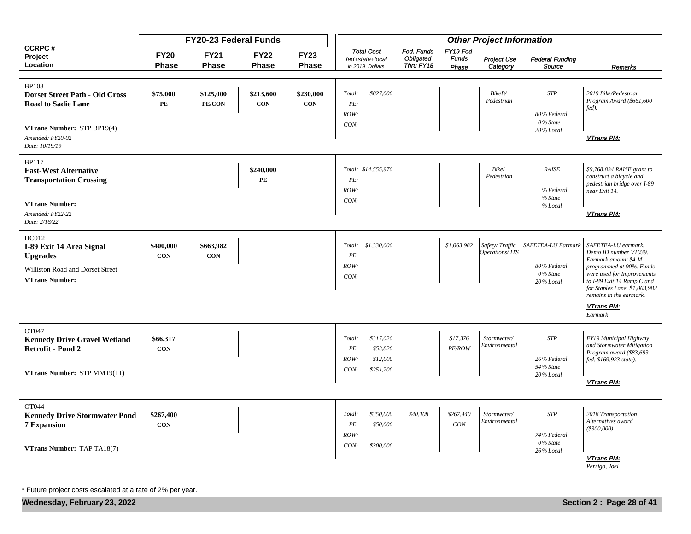|                                                                                                                             |                             | FY20-23 Federal Funds       |                             | <b>Other Project Information</b> |                                                                                 |                                      |                                   |                                  |                                                            |                                                                                                                                                                                                                                        |
|-----------------------------------------------------------------------------------------------------------------------------|-----------------------------|-----------------------------|-----------------------------|----------------------------------|---------------------------------------------------------------------------------|--------------------------------------|-----------------------------------|----------------------------------|------------------------------------------------------------|----------------------------------------------------------------------------------------------------------------------------------------------------------------------------------------------------------------------------------------|
| <b>CCRPC#</b><br>Project<br>Location                                                                                        | <b>FY20</b><br><b>Phase</b> | <b>FY21</b><br><b>Phase</b> | <b>FY22</b><br><b>Phase</b> | <b>FY23</b><br>Phase             | <b>Total Cost</b><br>fed+state+local<br>in 2019 Dollars                         | Fed. Funds<br>Obligated<br>Thru FY18 | FY19 Fed<br><b>Funds</b><br>Phase | Project Use<br>Category          | <b>Federal Funding</b><br>Source                           | Remarks                                                                                                                                                                                                                                |
| <b>BP108</b><br><b>Dorset Street Path - Old Cross</b><br><b>Road to Sadie Lane</b>                                          | \$75,000<br>PE              | \$125,000<br>PE/CON         | \$213,600<br>CON            | \$230,000<br><b>CON</b>          | \$827,000<br>Total:<br>PE:<br>ROW:<br>CON:                                      |                                      |                                   | BikeB/<br>Pedestrian             | $STP$<br>80% Federal<br>0% State                           | 2019 Bike/Pedestrian<br>Program Award (\$661,600<br>fed).                                                                                                                                                                              |
| VTrans Number: STP BP19(4)<br>Amended: FY20-02<br>Date: 10/19/19                                                            |                             |                             |                             |                                  |                                                                                 |                                      |                                   |                                  | 20% Local                                                  | VTrans PM:                                                                                                                                                                                                                             |
| <b>BP117</b><br><b>East-West Alternative</b><br><b>Transportation Crossing</b><br><b>VTrans Number:</b><br>Amended: FY22-22 |                             |                             | \$240,000<br>PE             |                                  | Total: \$14,555,970<br>PE:<br>ROW:<br>CON:                                      |                                      |                                   | Bike/<br>Pedestrian              | <b>RAISE</b><br>% Federal<br>% State<br>% Local            | \$9,768,834 RAISE grant to<br>construct a bicycle and<br>pedestrian bridge over I-89<br>near Exit 14.<br>VTrans PM:                                                                                                                    |
| Date: 2/16/22                                                                                                               |                             |                             |                             |                                  |                                                                                 |                                      |                                   |                                  |                                                            |                                                                                                                                                                                                                                        |
| HC012<br>I-89 Exit 14 Area Signal<br><b>Upgrades</b><br>Williston Road and Dorset Street<br><b>VTrans Number:</b>           | \$400,000<br><b>CON</b>     | \$663,982<br><b>CON</b>     |                             |                                  | Total: \$1,330,000<br>PE:<br>ROW:<br>CON:                                       |                                      | \$1,063,982                       | Safety/Traffic<br>Operations/ITS | SAFETEA-LU Earmark<br>80% Federal<br>0% State<br>20% Local | SAFETEA-LU earmark.<br>Demo ID number VT039.<br>Earmark amount \$4 M<br>programmed at 90%. Funds<br>were used for Improvements<br>to I-89 Exit 14 Ramp C and<br>for Staples Lane. \$1,063,982<br>remains in the earmark.<br>VTrans PM: |
|                                                                                                                             |                             |                             |                             |                                  |                                                                                 |                                      |                                   |                                  |                                                            | Earmark                                                                                                                                                                                                                                |
| OT047<br><b>Kennedy Drive Gravel Wetland</b><br><b>Retrofit - Pond 2</b><br>VTrans Number: STP MM19(11)                     | \$66,317<br><b>CON</b>      |                             |                             |                                  | \$317,020<br>Total:<br>PE:<br>\$53,820<br>ROW:<br>\$12,000<br>CON:<br>\$251,200 |                                      | \$17,376<br>PE/ROW                | Stormwater/<br>Environmental     | $STP$<br>26% Federal<br>54% State<br>20% Local             | FY19 Municipal Highway<br>and Stormwater Mitigation<br>Program award (\$83,693<br>fed, \$169,923 state).<br>VTrans PM:                                                                                                                 |
|                                                                                                                             |                             |                             |                             |                                  |                                                                                 |                                      |                                   |                                  |                                                            |                                                                                                                                                                                                                                        |
| OT044<br><b>Kennedy Drive Stormwater Pond</b><br><b>7 Expansion</b>                                                         | \$267,400<br><b>CON</b>     |                             |                             |                                  | Total:<br>\$350,000<br>PE:<br>\$50,000<br>ROW:                                  | \$40,108                             | \$267,440<br>CON                  | Stormwater/<br>Environmental     | <b>STP</b><br>74% Federal                                  | 2018 Transportation<br>Alternatives award<br>$($ \$300,000 $)$                                                                                                                                                                         |
| VTrans Number: TAP TA18(7)                                                                                                  |                             |                             |                             |                                  | CON:<br>\$300,000                                                               |                                      |                                   |                                  | 0% State<br>26% Local                                      | VTrans PM:<br>Perrigo, Joel                                                                                                                                                                                                            |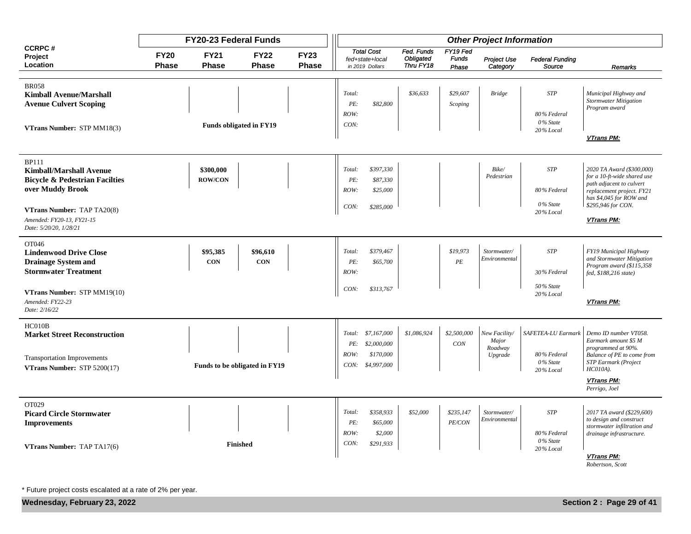|                                                                                                                                                      |                             | FY20-23 Federal Funds       |                                |                             |                                                                                      |                                      |                                   | <b>Other Project Information</b>             |                                                            |                                                                                                                                                                    |
|------------------------------------------------------------------------------------------------------------------------------------------------------|-----------------------------|-----------------------------|--------------------------------|-----------------------------|--------------------------------------------------------------------------------------|--------------------------------------|-----------------------------------|----------------------------------------------|------------------------------------------------------------|--------------------------------------------------------------------------------------------------------------------------------------------------------------------|
| <b>CCRPC#</b><br>Project<br>Location                                                                                                                 | <b>FY20</b><br><b>Phase</b> | <b>FY21</b><br><b>Phase</b> | <b>FY22</b><br><b>Phase</b>    | <b>FY23</b><br><b>Phase</b> | <b>Total Cost</b><br>fed+state+local<br>in 2019 Dollars                              | Fed. Funds<br>Obligated<br>Thru FY18 | FY19 Fed<br><b>Funds</b><br>Phase | Project Use<br>Category                      | <b>Federal Funding</b><br>Source                           | Remarks                                                                                                                                                            |
| <b>BR058</b><br><b>Kimball Avenue/Marshall</b><br><b>Avenue Culvert Scoping</b><br>VTrans Number: STP MM18(3)                                        |                             |                             | <b>Funds obligated in FY19</b> |                             | Total:<br>PE:<br>\$82,800<br>ROW:<br>CON:                                            | \$36,633                             | \$29,607<br>Scoping               | <b>Bridge</b>                                | <b>STP</b><br>80% Federal<br>$0\%$ State<br>20% Local      | Municipal Highway and<br><b>Stormwater Mitigation</b><br>Program award<br><b>VTrans PM:</b>                                                                        |
| <b>BP111</b><br><b>Kimball/Marshall Avenue</b><br><b>Bicycle &amp; Pedestrian Facilties</b><br>over Muddy Brook<br><b>VTrans Number: TAP TA20(8)</b> |                             | \$300,000<br><b>ROW/CON</b> |                                |                             | \$397,330<br>Total:<br>PE:<br>\$87,330<br>ROW:<br>\$25,000<br>\$285,000<br>CON:      |                                      |                                   | Bike/<br>Pedestrian                          | <b>STP</b><br>80% Federal<br>0% State<br>20% Local         | 2020 TA Award (\$300,000)<br>for a 10-ft-wide shared use<br>path adjacent to culvert<br>replacement project. FY21<br>has \$4,045 for ROW and<br>\$295,946 for CON. |
| Amended: FY20-13, FY21-15<br>Date: 5/20/20, 1/28/21                                                                                                  |                             |                             |                                |                             |                                                                                      |                                      |                                   |                                              |                                                            | VTrans PM:                                                                                                                                                         |
| OT046<br><b>Lindenwood Drive Close</b><br><b>Drainage System and</b><br><b>Stormwater Treatment</b>                                                  |                             | \$95,385<br><b>CON</b>      | \$96,610<br><b>CON</b>         |                             | \$379,467<br>Total:<br>PE:<br>\$65,700<br>ROW:                                       |                                      | \$19,973<br>PE                    | Stormwater/<br>Environmental                 | <b>STP</b><br>30% Federal                                  | FY19 Municipal Highway<br>and Stormwater Mitigation<br>Program award (\$115,358<br>fed, \$188,216 state)                                                           |
| VTrans Number: STP MM19(10)<br>Amended: FY22-23<br>Date: 2/16/22                                                                                     |                             |                             |                                |                             | CON:<br>\$313,767                                                                    |                                      |                                   |                                              | 50% State<br>20% Local                                     | VTrans PM:                                                                                                                                                         |
| HC010B<br><b>Market Street Reconstruction</b><br><b>Transportation Improvements</b><br>VTrans Number: STP 5200(17)                                   |                             |                             | Funds to be obligated in FY19  |                             | Total: \$7,167,000<br>PE:<br>\$2,000,000<br>\$170,000<br>ROW:<br>CON:<br>\$4,997,000 | \$1,086,924                          | \$2,500,000<br>CON                | New Facility/<br>Major<br>Roadway<br>Upgrade | SAFETEA-LU Earmark<br>80% Federal<br>0% State<br>20% Local | Demo ID number VT058.<br>Earmark amount \$5 M<br>programmed at 90%.<br>Balance of PE to come from<br><b>STP</b> Earmark (Project<br>$HCO10A$ ).                    |
|                                                                                                                                                      |                             |                             |                                |                             |                                                                                      |                                      |                                   |                                              |                                                            | <b>VTrans PM:</b><br>Perrigo, Joel                                                                                                                                 |
| OT029<br><b>Picard Circle Stormwater</b><br><b>Improvements</b>                                                                                      |                             |                             | <b>Finished</b>                |                             | \$358,933<br>Total:<br>PE:<br>\$65,000<br>ROW:<br>CON:<br>\$291,933                  | \$52,000<br>\$2,000                  | \$235,147<br>PE/CON               | Stormwater/<br>Environmental                 | <b>STP</b><br>80% Federal<br>0% State                      | 2017 TA award (\$229,600)<br>to design and construct<br>stormwater infiltration and<br>drainage infrastructure.                                                    |
| VTrans Number: TAP TA17(6)                                                                                                                           |                             |                             |                                |                             |                                                                                      |                                      |                                   |                                              | 20% Local                                                  | <b>VTrans PM:</b><br>Robertson, Scott                                                                                                                              |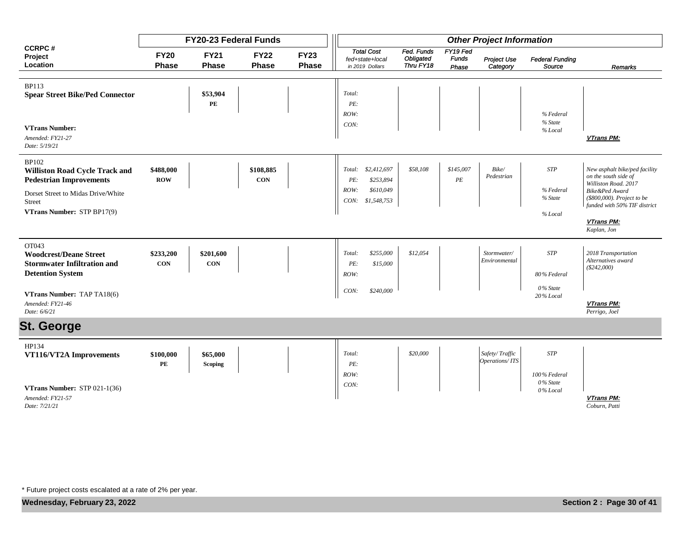|                                                                                                                                                                                        |                             | <b>FY20-23 Federal Funds</b>       |                             |                      | <b>Other Project Information</b>                                                      |                                      |                                   |                                  |                                                    |                                                                                                                                                                             |  |
|----------------------------------------------------------------------------------------------------------------------------------------------------------------------------------------|-----------------------------|------------------------------------|-----------------------------|----------------------|---------------------------------------------------------------------------------------|--------------------------------------|-----------------------------------|----------------------------------|----------------------------------------------------|-----------------------------------------------------------------------------------------------------------------------------------------------------------------------------|--|
| <b>CCRPC#</b><br>Project<br>Location                                                                                                                                                   | <b>FY20</b><br><b>Phase</b> | <b>FY21</b><br><b>Phase</b>        | <b>FY22</b><br><b>Phase</b> | <b>FY23</b><br>Phase | <b>Total Cost</b><br>fed+state+local<br>in 2019 Dollars                               | Fed. Funds<br>Obligated<br>Thru FY18 | FY19 Fed<br><b>Funds</b><br>Phase | Project Use<br>Category          | <b>Federal Funding</b><br>Source                   | Remarks                                                                                                                                                                     |  |
| <b>BP113</b><br><b>Spear Street Bike/Ped Connector</b><br><b>VTrans Number:</b><br>Amended: FY21-27                                                                                    |                             | \$53,904<br>$\mathbf{P}\mathbf{E}$ |                             |                      | Total:<br>PE:<br>ROW:<br>CON:                                                         |                                      |                                   |                                  | % Federal<br>% State<br>% Local                    | VTrans PM:                                                                                                                                                                  |  |
| Date: 5/19/21<br><b>BP102</b><br><b>Williston Road Cycle Track and</b><br><b>Pedestrian Improvements</b><br>Dorset Street to Midas Drive/White<br>Street<br>VTrans Number: STP BP17(9) | \$488,000<br><b>ROW</b>     |                                    | \$108,885<br><b>CON</b>     |                      | \$2,412,697<br>Total:<br>\$253,894<br>PE:<br>\$610,049<br>ROW:<br>\$1,548,753<br>CON: | \$58,108                             | \$145,007<br>$\cal{P}E$           | Bike/<br>Pedestrian              | <b>STP</b><br>% Federal<br>% State<br>% Local      | New asphalt bike/ped facility<br>on the south side of<br>Williston Road. 2017<br>Bike&Ped Award<br>(\$800,000). Project to be<br>funded with 50% TIF district<br>VTrans PM: |  |
| OT043<br><b>Woodcrest/Deane Street</b><br><b>Stormwater Infiltration and</b><br><b>Detention System</b><br>VTrans Number: TAP TA18(6)                                                  | \$233,200<br><b>CON</b>     | \$201,600<br><b>CON</b>            |                             |                      | \$255,000<br>Total:<br>PE:<br>\$15,000<br>ROW:<br>\$240,000<br>CON:                   | \$12,054                             |                                   | Stormwater/<br>Environmental     | <b>STP</b><br>80% Federal<br>0% State<br>20% Local | Kaplan, Jon<br>2018 Transportation<br>Alternatives award<br>$(\$242,000)$                                                                                                   |  |
| Amended: FY21-46<br>Date: 6/6/21<br><b>St. George</b>                                                                                                                                  |                             |                                    |                             |                      |                                                                                       |                                      |                                   |                                  |                                                    | VTrans PM:<br>Perrigo, Joel                                                                                                                                                 |  |
| HP134<br>VT116/VT2A Improvements                                                                                                                                                       | \$100,000<br>PE             | \$65,000<br><b>Scoping</b>         |                             |                      | Total:<br>PE:<br>ROW:                                                                 | \$20,000                             |                                   | Safety/Traffic<br>Operations/ITS | <b>STP</b><br>100% Federal<br>$0\%$ State          |                                                                                                                                                                             |  |
| VTrans Number: STP 021-1(36)<br>Amended: FY21-57<br>Date: 7/21/21                                                                                                                      |                             |                                    |                             |                      | CON:                                                                                  |                                      |                                   |                                  | 0% Local                                           | VTrans PM:<br>Coburn, Patti                                                                                                                                                 |  |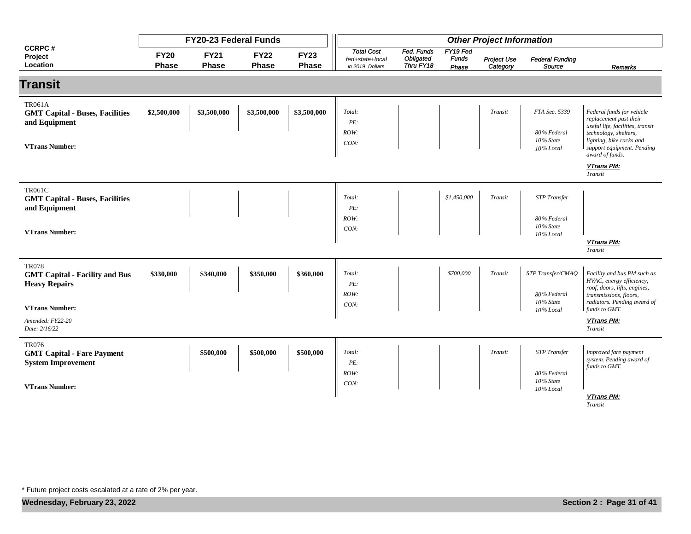|                                                                                                                                             |                             | <b>FY20-23 Federal Funds</b> |                             |                      | <b>Other Project Information</b>                        |                                      |                                   |                         |                                                              |                                                                                                                                                                                               |  |
|---------------------------------------------------------------------------------------------------------------------------------------------|-----------------------------|------------------------------|-----------------------------|----------------------|---------------------------------------------------------|--------------------------------------|-----------------------------------|-------------------------|--------------------------------------------------------------|-----------------------------------------------------------------------------------------------------------------------------------------------------------------------------------------------|--|
| <b>CCRPC#</b><br>Project<br>Location                                                                                                        | <b>FY20</b><br><b>Phase</b> | <b>FY21</b><br><b>Phase</b>  | <b>FY22</b><br><b>Phase</b> | <b>FY23</b><br>Phase | <b>Total Cost</b><br>fed+state+local<br>in 2019 Dollars | Fed. Funds<br>Obligated<br>Thru FY18 | FY19 Fed<br><b>Funds</b><br>Phase | Project Use<br>Category | <b>Federal Funding</b><br>Source                             | Remarks                                                                                                                                                                                       |  |
| <b>Transit</b>                                                                                                                              |                             |                              |                             |                      |                                                         |                                      |                                   |                         |                                                              |                                                                                                                                                                                               |  |
| <b>TR061A</b><br><b>GMT Capital - Buses, Facilities</b><br>and Equipment<br><b>VTrans Number:</b>                                           | \$2,500,000                 | \$3,500,000                  | \$3,500,000                 | \$3,500,000          | Total:<br>$\cal PE.$<br>ROW:<br>CON:                    |                                      |                                   | Transit                 | FTA Sec. 5339<br>80% Federal<br>10% State<br>10% Local       | Federal funds for vehicle<br>replacement past their<br>useful life, facilities, transit<br>technology, shelters,<br>lighting, bike racks and<br>support equipment. Pending<br>award of funds. |  |
|                                                                                                                                             |                             |                              |                             |                      |                                                         |                                      |                                   |                         |                                                              | VTrans PM:<br>Transit                                                                                                                                                                         |  |
| <b>TR061C</b><br><b>GMT Capital - Buses, Facilities</b><br>and Equipment<br><b>VTrans Number:</b>                                           |                             |                              |                             |                      | Total:<br>PE:<br>ROW:<br>CON:                           |                                      | \$1,450,000                       | Transit                 | <b>STP</b> Transfer<br>80% Federal<br>10% State<br>10% Local | VTrans PM:<br>Transit                                                                                                                                                                         |  |
| <b>TR078</b><br><b>GMT Capital - Facility and Bus</b><br><b>Heavy Repairs</b><br><b>VTrans Number:</b><br>Amended: FY22-20<br>Date: 2/16/22 | \$330,000                   | \$340,000                    | \$350,000                   | \$360,000            | Total:<br>PE:<br>ROW:<br>CON:                           |                                      | \$700,000                         | Transit                 | STP Transfer/CMAQ<br>80% Federal<br>10% State<br>10% Local   | Facility and bus PM such as<br>HVAC, energy efficiency,<br>roof, doors, lifts, engines,<br>transmissions, floors,<br>radiators. Pending award of<br>funds to GMT.<br>VTrans PM:<br>Transit    |  |
| <b>TR076</b><br><b>GMT Capital - Fare Payment</b><br><b>System Improvement</b><br><b>VTrans Number:</b>                                     |                             | \$500,000                    | \$500,000                   | \$500,000            | Total:<br>PE:<br>ROW:<br>CON:                           |                                      |                                   | Transit                 | <b>STP</b> Transfer<br>80% Federal<br>10% State<br>10% Local | Improved fare payment<br>system. Pending award of<br>funds to GMT.<br>VTrans PM:<br>Transit                                                                                                   |  |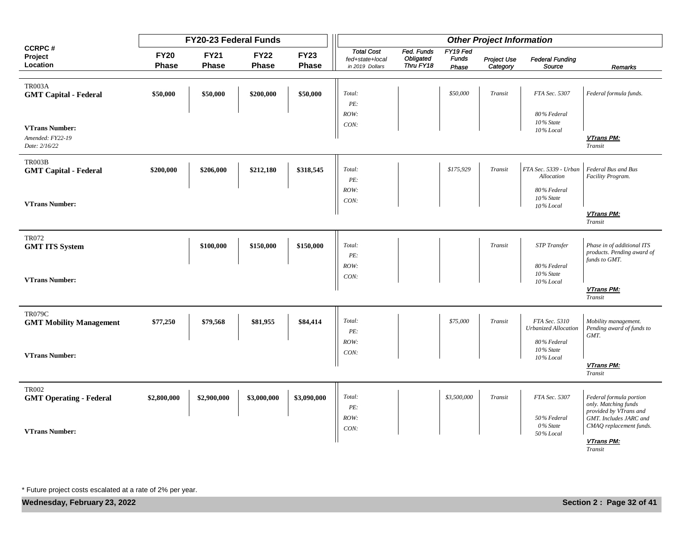|                                                            |                      | FY20-23 Federal Funds |                             |                      | <b>Other Project Information</b>                        |                                      |                                   |                         |                                       |                                                                           |
|------------------------------------------------------------|----------------------|-----------------------|-----------------------------|----------------------|---------------------------------------------------------|--------------------------------------|-----------------------------------|-------------------------|---------------------------------------|---------------------------------------------------------------------------|
| <b>CCRPC#</b><br>Project<br>Location                       | <b>FY20</b><br>Phase | <b>FY21</b><br>Phase  | <b>FY22</b><br><b>Phase</b> | <b>FY23</b><br>Phase | <b>Total Cost</b><br>fed+state+local<br>in 2019 Dollars | Fed. Funds<br>Obligated<br>Thru FY18 | FY19 Fed<br><b>Funds</b><br>Phase | Project Use<br>Category | <b>Federal Funding</b><br>Source      | Remarks                                                                   |
| <b>TR003A</b><br><b>GMT Capital - Federal</b>              | \$50,000             | \$50,000              | \$200,000                   | \$50,000             | Total:<br>PE:                                           |                                      | \$50,000                          | Transit                 | FTA Sec. 5307                         | Federal formula funds.                                                    |
|                                                            |                      |                       |                             |                      | ROW:                                                    |                                      |                                   |                         | 80% Federal<br>10% State              |                                                                           |
| <b>VTrans Number:</b><br>Amended: FY22-19<br>Date: 2/16/22 |                      |                       |                             |                      | CON:                                                    |                                      |                                   |                         | 10% Local                             | VTrans PM:<br>Transit                                                     |
| <b>TR003B</b><br><b>GMT Capital - Federal</b>              | \$200,000            | \$206,000             | \$212,180                   | \$318,545            | Total:<br>PE:                                           |                                      | \$175,929                         | Transit                 | FTA Sec. 5339 - Urban<br>Allocation   | Federal Bus and Bus<br>Facility Program.                                  |
| <b>VTrans Number:</b>                                      |                      |                       |                             |                      | ROW:<br>CON:                                            |                                      |                                   |                         | 80% Federal<br>10% State<br>10% Local |                                                                           |
|                                                            |                      |                       |                             |                      |                                                         |                                      |                                   |                         |                                       | VTrans PM:<br>Transit                                                     |
| <b>TR072</b><br><b>GMT ITS System</b>                      |                      | \$100,000             | \$150,000                   | \$150,000            | Total:<br>PE:                                           |                                      |                                   | Transit                 | <b>STP</b> Transfer                   | Phase in of additional ITS<br>products. Pending award of                  |
| <b>VTrans Number:</b>                                      |                      |                       |                             |                      | ROW:<br>CON:                                            |                                      |                                   |                         | 80% Federal<br>10% State<br>10% Local | funds to GMT.                                                             |
|                                                            |                      |                       |                             |                      |                                                         |                                      |                                   |                         |                                       | VTrans PM:<br>Transit                                                     |
| <b>TR079C</b><br><b>GMT Mobility Management</b>            | \$77,250             | \$79,568              | \$81,955                    | \$84,414             | Total:<br>PE:                                           |                                      | \$75,000                          | Transit                 | FTA Sec. 5310<br>Urbanized Allocation | Mobility management.<br>Pending award of funds to<br>GMT.                 |
| <b>VTrans Number:</b>                                      |                      |                       |                             |                      | ROW:<br>CON:                                            |                                      |                                   |                         | 80% Federal<br>10% State<br>10% Local |                                                                           |
|                                                            |                      |                       |                             |                      |                                                         |                                      |                                   |                         |                                       | VTrans PM:<br>Transit                                                     |
| <b>TR002</b><br><b>GMT Operating - Federal</b>             | \$2,800,000          | \$2,900,000           | \$3,000,000                 | \$3,090,000          | Total:<br>PE:                                           |                                      | \$3,500,000                       | Transit                 | FTA Sec. 5307                         | Federal formula portion<br>only. Matching funds<br>provided by VTrans and |
| <b>VTrans Number:</b>                                      |                      |                       |                             |                      | ROW:<br>CON:                                            |                                      |                                   |                         | 50% Federal<br>0% State<br>50% Local  | GMT. Includes JARC and<br>CMAQ replacement funds.                         |
|                                                            |                      |                       |                             |                      |                                                         |                                      |                                   |                         |                                       | VTrans PM:<br>Transit                                                     |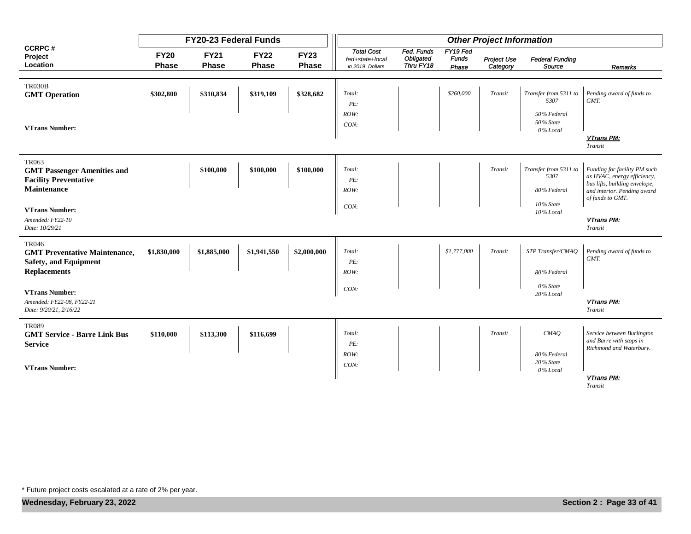|                                                                      |                             | FY20-23 Federal Funds       |                             |                             |                                                         |                                      |                                   | <b>Other Project Information</b> |                                  |                                                              |
|----------------------------------------------------------------------|-----------------------------|-----------------------------|-----------------------------|-----------------------------|---------------------------------------------------------|--------------------------------------|-----------------------------------|----------------------------------|----------------------------------|--------------------------------------------------------------|
| <b>CCRPC#</b><br>Project<br>Location                                 | <b>FY20</b><br><b>Phase</b> | <b>FY21</b><br><b>Phase</b> | <b>FY22</b><br><b>Phase</b> | <b>FY23</b><br><b>Phase</b> | <b>Total Cost</b><br>fed+state+local<br>in 2019 Dollars | Fed. Funds<br>Obligated<br>Thru FY18 | FY19 Fed<br><b>Funds</b><br>Phase | <b>Project Use</b><br>Category   | <b>Federal Funding</b><br>Source | Remarks                                                      |
|                                                                      |                             |                             |                             |                             |                                                         |                                      |                                   |                                  |                                  |                                                              |
| <b>TR030B</b><br><b>GMT</b> Operation                                | \$302,800                   | \$310,834                   | \$319,109                   | \$328,682                   | Total:                                                  |                                      | \$260,000                         | Transit                          | Transfer from 5311 to            | Pending award of funds to                                    |
|                                                                      |                             |                             |                             |                             | PE:                                                     |                                      |                                   |                                  | 5307                             | GMT.                                                         |
|                                                                      |                             |                             |                             |                             | ROW:                                                    |                                      |                                   |                                  | 50% Federal                      |                                                              |
| <b>VTrans Number:</b>                                                |                             |                             |                             |                             | CON:                                                    |                                      |                                   |                                  | 50% State<br>0% Local            |                                                              |
|                                                                      |                             |                             |                             |                             |                                                         |                                      |                                   |                                  |                                  | VTrans PM:<br>Transit                                        |
| <b>TR063</b><br><b>GMT Passenger Amenities and</b>                   |                             | \$100,000                   | \$100,000                   | \$100,000                   | Total:                                                  |                                      |                                   | Transit                          | Transfer from 5311 to            | Funding for facility PM such                                 |
| <b>Facility Preventative</b>                                         |                             |                             |                             |                             | PE:                                                     |                                      |                                   |                                  | 5307                             | as HVAC, energy efficiency,                                  |
| Maintenance                                                          |                             |                             |                             |                             | ROW:                                                    |                                      |                                   |                                  | 80% Federal                      | bus lifts, building envelope,<br>and interior. Pending award |
| <b>VTrans Number:</b>                                                |                             |                             |                             |                             | CON:                                                    |                                      |                                   |                                  | $10\%$ State<br>10% Local        | of funds to GMT.                                             |
| Amended: FY22-10<br>Date: 10/29/21                                   |                             |                             |                             |                             |                                                         |                                      |                                   |                                  |                                  | VTrans PM:<br>Transit                                        |
| <b>TR046</b>                                                         | \$1,830,000                 | \$1,885,000                 | \$1,941,550                 | \$2,000,000                 | Total:                                                  |                                      | \$1,777,000                       | Transit                          | STP Transfer/CMAQ                | Pending award of funds to                                    |
| <b>GMT Preventative Maintenance,</b><br><b>Safety, and Equipment</b> |                             |                             |                             |                             | PE:                                                     |                                      |                                   |                                  |                                  | GMT.                                                         |
| <b>Replacements</b>                                                  |                             |                             |                             |                             | ROW:                                                    |                                      |                                   |                                  | 80% Federal                      |                                                              |
| <b>VTrans Number:</b>                                                |                             |                             |                             |                             | CON:                                                    |                                      |                                   |                                  | 0% State<br>20% Local            |                                                              |
| Amended: FY22-08, FY22-21<br>Date: 9/20/21, 2/16/22                  |                             |                             |                             |                             |                                                         |                                      |                                   |                                  |                                  | VTrans PM:<br>Transit                                        |
| <b>TR089</b>                                                         |                             |                             |                             |                             |                                                         |                                      |                                   |                                  |                                  |                                                              |
| <b>GMT Service - Barre Link Bus</b><br><b>Service</b>                | \$110,000                   | \$113,300                   | \$116,699                   |                             | Total:<br>PE:                                           |                                      |                                   | Transit                          | CMAQ                             | Service between Burlington<br>and Barre with stops in        |
|                                                                      |                             |                             |                             |                             | ROW:                                                    |                                      |                                   |                                  | 80% Federal                      | Richmond and Waterbury.                                      |
| <b>VTrans Number:</b>                                                |                             |                             |                             |                             | CON:                                                    |                                      |                                   |                                  | 20% State<br>0% Local            |                                                              |
|                                                                      |                             |                             |                             |                             |                                                         |                                      |                                   |                                  |                                  | VTrans PM:<br>Transit                                        |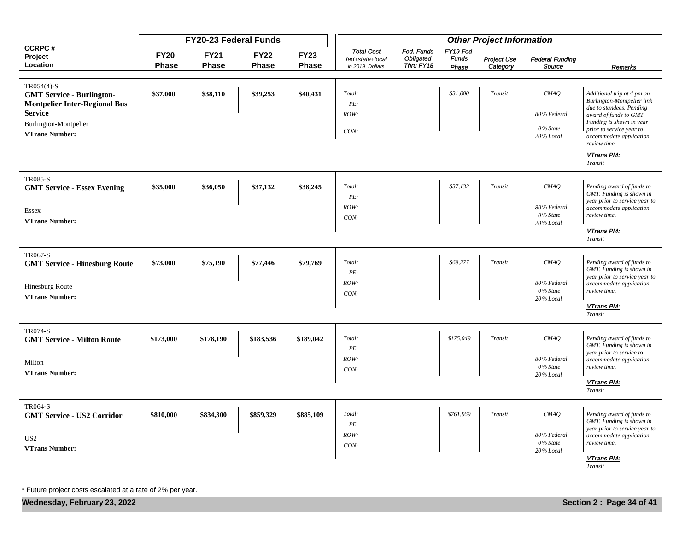|                                                     |                             | FY20-23 Federal Funds       |                             | <b>Other Project Information</b> |                                                         |                                      |                                   |                         |                                  |                                                           |
|-----------------------------------------------------|-----------------------------|-----------------------------|-----------------------------|----------------------------------|---------------------------------------------------------|--------------------------------------|-----------------------------------|-------------------------|----------------------------------|-----------------------------------------------------------|
| <b>CCRPC#</b><br>Project<br>Location                | <b>FY20</b><br><b>Phase</b> | <b>FY21</b><br><b>Phase</b> | <b>FY22</b><br><b>Phase</b> | <b>FY23</b><br>Phase             | <b>Total Cost</b><br>fed+state+local<br>in 2019 Dollars | Fed. Funds<br>Obligated<br>Thru FY18 | FY19 Fed<br><b>Funds</b><br>Phase | Project Use<br>Category | <b>Federal Funding</b><br>Source | Remarks                                                   |
| TR054(4)-S                                          |                             |                             |                             |                                  |                                                         |                                      |                                   |                         |                                  |                                                           |
| <b>GMT Service - Burlington-</b>                    | \$37,000                    | \$38,110                    | \$39,253                    | \$40,431                         | Total:                                                  |                                      | \$31,000                          | Transit                 | CMAQ                             | Additional trip at 4 pm on                                |
| <b>Montpelier Inter-Regional Bus</b>                |                             |                             |                             |                                  | PE:                                                     |                                      |                                   |                         |                                  | Burlington-Montpelier link<br>due to standees. Pending    |
| <b>Service</b><br>Burlington-Montpelier             |                             |                             |                             |                                  | ROW:                                                    |                                      |                                   |                         | 80% Federal                      | award of funds to GMT.<br>Funding is shown in year        |
| <b>VTrans Number:</b>                               |                             |                             |                             |                                  | CON:                                                    |                                      |                                   |                         | 0% State<br>20% Local            | prior to service year to                                  |
|                                                     |                             |                             |                             |                                  |                                                         |                                      |                                   |                         |                                  | accommodate application<br>review time.                   |
|                                                     |                             |                             |                             |                                  |                                                         |                                      |                                   |                         |                                  | VTrans PM:<br>Transit                                     |
| <b>TR085-S</b>                                      |                             |                             |                             |                                  |                                                         |                                      |                                   |                         |                                  |                                                           |
| <b>GMT Service - Essex Evening</b>                  | \$35,000                    | \$36,050                    | \$37,132                    | \$38,245                         | Total:                                                  |                                      | \$37,132                          | Transit                 | CMAQ                             | Pending award of funds to                                 |
|                                                     |                             |                             |                             |                                  | PE:                                                     |                                      |                                   |                         |                                  | GMT. Funding is shown in<br>year prior to service year to |
| Essex                                               |                             |                             |                             |                                  | ROW:                                                    |                                      |                                   |                         | 80% Federal<br>0% State          | accommodate application<br>review time.                   |
| <b>VTrans Number:</b>                               |                             |                             |                             |                                  | CON:                                                    |                                      |                                   |                         | 20% Local                        |                                                           |
|                                                     |                             |                             |                             |                                  |                                                         |                                      |                                   |                         |                                  | VTrans PM:<br>Transit                                     |
| <b>TR067-S</b>                                      |                             |                             |                             |                                  |                                                         |                                      |                                   |                         |                                  |                                                           |
| <b>GMT Service - Hinesburg Route</b>                | \$73,000                    | \$75,190                    | \$77,446                    | \$79,769                         | Total:<br>PE:                                           |                                      | \$69,277                          | Transit                 | CMAQ                             | Pending award of funds to<br>GMT. Funding is shown in     |
|                                                     |                             |                             |                             |                                  | ROW:                                                    |                                      |                                   |                         | 80% Federal                      | year prior to service year to<br>accommodate application  |
| <b>Hinesburg Route</b><br><b>VTrans Number:</b>     |                             |                             |                             |                                  | CON:                                                    |                                      |                                   |                         | 0% State                         | review time.                                              |
|                                                     |                             |                             |                             |                                  |                                                         |                                      |                                   |                         | 20% Local                        | VTrans PM:<br>Transit                                     |
|                                                     |                             |                             |                             |                                  |                                                         |                                      |                                   |                         |                                  |                                                           |
| <b>TR074-S</b><br><b>GMT Service - Milton Route</b> | \$173,000                   | \$178,190                   | \$183,536                   | \$189,042                        | Total:                                                  |                                      | \$175,049                         | Transit                 | CMAQ                             | Pending award of funds to                                 |
|                                                     |                             |                             |                             |                                  | PE:                                                     |                                      |                                   |                         |                                  | GMT. Funding is shown in<br>year prior to service to      |
| Milton                                              |                             |                             |                             |                                  | ROW:                                                    |                                      |                                   |                         | 80% Federal<br>0% State          | accommodate application<br>review time.                   |
| <b>VTrans Number:</b>                               |                             |                             |                             |                                  | CON:                                                    |                                      |                                   |                         | 20% Local                        |                                                           |
|                                                     |                             |                             |                             |                                  |                                                         |                                      |                                   |                         |                                  | VTrans PM:<br>Transit                                     |
| <b>TR064-S</b>                                      |                             |                             |                             |                                  |                                                         |                                      |                                   |                         |                                  |                                                           |
| <b>GMT Service - US2 Corridor</b>                   | \$810,000                   | \$834,300                   | \$859,329                   | \$885,109                        | Total:                                                  |                                      | \$761,969                         | Transit                 | CMAQ                             | Pending award of funds to<br>GMT. Funding is shown in     |
|                                                     |                             |                             |                             |                                  | PE:<br>ROW:                                             |                                      |                                   |                         | 80% Federal                      | year prior to service year to                             |
| US <sub>2</sub>                                     |                             |                             |                             |                                  | CON:                                                    |                                      |                                   |                         | 0% State                         | accommodate application<br>review time.                   |
| <b>VTrans Number:</b>                               |                             |                             |                             |                                  |                                                         |                                      |                                   |                         | 20% Local                        | VTrans PM:                                                |
|                                                     |                             |                             |                             |                                  |                                                         |                                      |                                   |                         |                                  | Transit                                                   |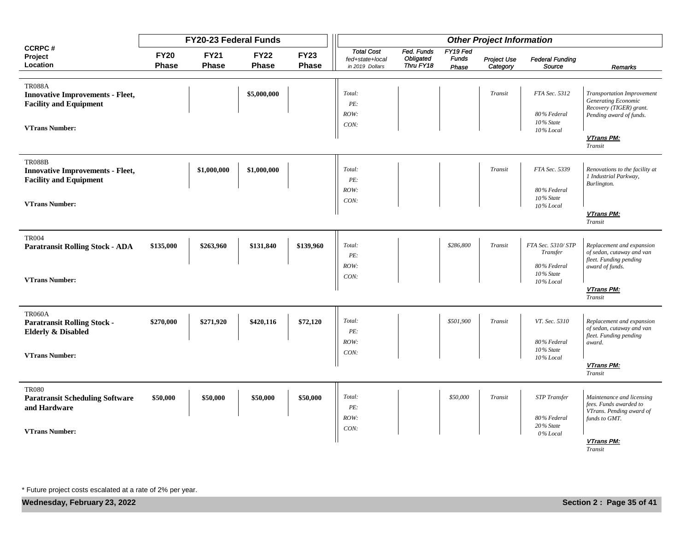|                                                                                           |                             | FY20-23 Federal Funds       |                             | <b>Other Project Information</b> |                                                         |                                      |                                   |                         |                                  |                                                                                            |
|-------------------------------------------------------------------------------------------|-----------------------------|-----------------------------|-----------------------------|----------------------------------|---------------------------------------------------------|--------------------------------------|-----------------------------------|-------------------------|----------------------------------|--------------------------------------------------------------------------------------------|
| <b>CCRPC#</b><br>Project<br>Location                                                      | <b>FY20</b><br><b>Phase</b> | <b>FY21</b><br><b>Phase</b> | <b>FY22</b><br><b>Phase</b> | <b>FY23</b><br><b>Phase</b>      | <b>Total Cost</b><br>fed+state+local<br>in 2019 Dollars | Fed. Funds<br>Obligated<br>Thru FY18 | FY19 Fed<br><b>Funds</b><br>Phase | Project Use<br>Category | <b>Federal Funding</b><br>Source | Remarks                                                                                    |
|                                                                                           |                             |                             |                             |                                  |                                                         |                                      |                                   |                         |                                  |                                                                                            |
| <b>TR088A</b><br><b>Innovative Improvements - Fleet,</b><br><b>Facility and Equipment</b> |                             |                             | \$5,000,000                 |                                  | Total:<br>PE:                                           |                                      |                                   | Transit                 | FTA Sec. 5312                    | <b>Transportation Improvement</b><br><b>Generating Economic</b><br>Recovery (TIGER) grant. |
|                                                                                           |                             |                             |                             |                                  | ROW:                                                    |                                      |                                   |                         | 80% Federal                      | Pending award of funds.                                                                    |
| <b>VTrans Number:</b>                                                                     |                             |                             |                             |                                  | CON:                                                    |                                      |                                   |                         | 10% State                        |                                                                                            |
|                                                                                           |                             |                             |                             |                                  |                                                         |                                      |                                   |                         | 10% Local                        | VTrans PM:<br>Transit                                                                      |
| <b>TR088B</b>                                                                             |                             |                             |                             |                                  |                                                         |                                      |                                   |                         |                                  |                                                                                            |
| <b>Innovative Improvements - Fleet,</b>                                                   |                             | \$1,000,000                 | \$1,000,000                 |                                  | Total:                                                  |                                      |                                   | Transit                 | FTA Sec. 5339                    | Renovations to the facility at                                                             |
| <b>Facility and Equipment</b>                                                             |                             |                             |                             |                                  | PE:                                                     |                                      |                                   |                         |                                  | 1 Industrial Parkway,<br>Burlington.                                                       |
|                                                                                           |                             |                             |                             |                                  | ROW:                                                    |                                      |                                   |                         | 80% Federal                      |                                                                                            |
| <b>VTrans Number:</b>                                                                     |                             |                             |                             |                                  | CON:                                                    |                                      |                                   |                         | 10% State<br>10% Local           |                                                                                            |
|                                                                                           |                             |                             |                             |                                  |                                                         |                                      |                                   |                         |                                  | VTrans PM:<br>Transit                                                                      |
| <b>TR004</b>                                                                              |                             |                             |                             |                                  |                                                         |                                      |                                   |                         |                                  |                                                                                            |
| <b>Paratransit Rolling Stock - ADA</b>                                                    | \$135,000                   | \$263,960                   | \$131,840                   | \$139,960                        | Total:                                                  |                                      | \$286,800                         | Transit                 | FTA Sec. 5310/STP                | Replacement and expansion                                                                  |
|                                                                                           |                             |                             |                             |                                  | PE:                                                     |                                      |                                   |                         | Transfer                         | of sedan, cutaway and van<br>fleet. Funding pending                                        |
|                                                                                           |                             |                             |                             |                                  | ROW:                                                    |                                      |                                   |                         | 80% Federal                      | award of funds.                                                                            |
| <b>VTrans Number:</b>                                                                     |                             |                             |                             |                                  | CON:                                                    |                                      |                                   |                         | 10% State<br>10% Local           |                                                                                            |
|                                                                                           |                             |                             |                             |                                  |                                                         |                                      |                                   |                         |                                  | VTrans PM:                                                                                 |
|                                                                                           |                             |                             |                             |                                  |                                                         |                                      |                                   |                         |                                  | Transit                                                                                    |
| <b>TR060A</b>                                                                             |                             |                             |                             |                                  |                                                         |                                      |                                   |                         |                                  |                                                                                            |
| <b>Paratransit Rolling Stock -</b>                                                        | \$270,000                   | \$271,920                   | \$420,116                   | \$72,120                         | Total:                                                  |                                      | \$501,900                         | Transit                 | VT. Sec. 5310                    | Replacement and expansion                                                                  |
| <b>Elderly &amp; Disabled</b>                                                             |                             |                             |                             |                                  | PE:                                                     |                                      |                                   |                         |                                  | of sedan, cutaway and van                                                                  |
|                                                                                           |                             |                             |                             |                                  | ROW:                                                    |                                      |                                   |                         | 80% Federal                      | fleet. Funding pending<br>award.                                                           |
| <b>VTrans Number:</b>                                                                     |                             |                             |                             |                                  | CON:                                                    |                                      |                                   |                         | 10% State                        |                                                                                            |
|                                                                                           |                             |                             |                             |                                  |                                                         |                                      |                                   |                         | 10% Local                        | VTrans PM:                                                                                 |
|                                                                                           |                             |                             |                             |                                  |                                                         |                                      |                                   |                         |                                  | Transit                                                                                    |
| <b>TR080</b>                                                                              |                             |                             |                             |                                  |                                                         |                                      |                                   |                         |                                  |                                                                                            |
| <b>Paratransit Scheduling Software</b>                                                    | \$50,000                    | \$50,000                    | \$50,000                    | \$50,000                         | Total:                                                  |                                      | \$50,000                          | Transit                 | <b>STP</b> Transfer              | Maintenance and licensing<br>fees. Funds awarded to                                        |
| and Hardware                                                                              |                             |                             |                             |                                  | PE:                                                     |                                      |                                   |                         |                                  | VTrans. Pending award of                                                                   |
|                                                                                           |                             |                             |                             |                                  | ROW:                                                    |                                      |                                   |                         | 80% Federal                      | funds to GMT.                                                                              |
| <b>VTrans Number:</b>                                                                     |                             |                             |                             |                                  | CON:                                                    |                                      |                                   |                         | $20\%$ State<br>0% Local         |                                                                                            |
|                                                                                           |                             |                             |                             |                                  |                                                         |                                      |                                   |                         |                                  | <b>VTrans PM:</b><br>Transit                                                               |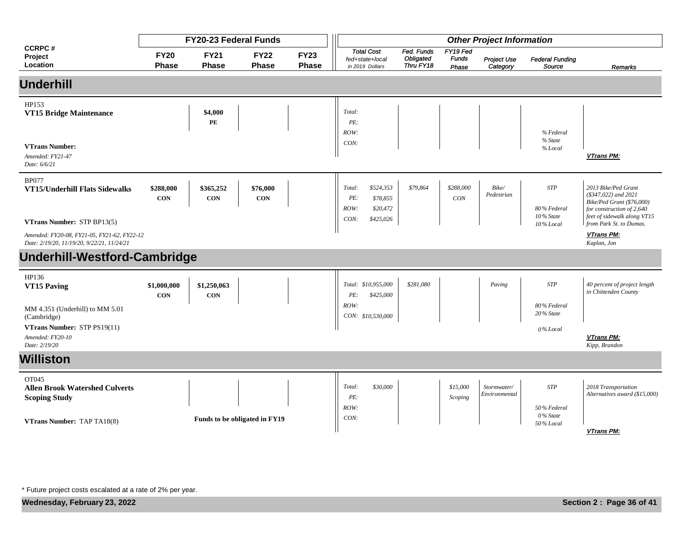|                                                                                                                         |                             | FY20-23 Federal Funds       |                               |                             | <b>Other Project Information</b>                                                |                                      |                                   |                              |                                           |                                                                                                                                         |  |
|-------------------------------------------------------------------------------------------------------------------------|-----------------------------|-----------------------------|-------------------------------|-----------------------------|---------------------------------------------------------------------------------|--------------------------------------|-----------------------------------|------------------------------|-------------------------------------------|-----------------------------------------------------------------------------------------------------------------------------------------|--|
| <b>CCRPC#</b><br>Project<br>Location                                                                                    | <b>FY20</b><br><b>Phase</b> | <b>FY21</b><br><b>Phase</b> | <b>FY22</b><br><b>Phase</b>   | <b>FY23</b><br><b>Phase</b> | <b>Total Cost</b><br>fed+state+local<br>in 2019 Dollars                         | Fed. Funds<br>Obligated<br>Thru FY18 | FY19 Fed<br><b>Funds</b><br>Phase | Project Use<br>Category      | <b>Federal Funding</b><br>Source          | Remarks                                                                                                                                 |  |
| <b>Underhill</b>                                                                                                        |                             |                             |                               |                             |                                                                                 |                                      |                                   |                              |                                           |                                                                                                                                         |  |
| HP153<br>VT15 Bridge Maintenance                                                                                        |                             | \$4,000<br>PE               |                               |                             | Total:<br>PE:<br>ROW:                                                           |                                      |                                   |                              | % Federal                                 |                                                                                                                                         |  |
| <b>VTrans Number:</b><br>Amended: FY21-47<br>Date: 6/6/21                                                               |                             |                             |                               |                             | CON:                                                                            |                                      |                                   |                              | % State<br>% Local                        | VTrans PM:                                                                                                                              |  |
| <b>BP077</b><br>VT15/Underhill Flats Sidewalks                                                                          | \$288,000<br><b>CON</b>     | \$365,252<br><b>CON</b>     | \$76,000<br><b>CON</b>        |                             | \$524,353<br>Total:<br>PE:<br>\$78,855<br>ROW:<br>\$20,472<br>CON:<br>\$425,026 | \$79,864                             | \$288,000<br>CON                  | Bike/<br>Pedestrian          | <b>STP</b><br>80% Federal<br>$10\%$ State | 2013 Bike/Ped Grant<br>$($347,022)$ and $2021$<br>Bike/Ped Grant (\$76,000)<br>for construction of 2,640<br>feet of sidewalk along VT15 |  |
| VTrans Number: STP BP13(5)<br>Amended: FY20-08, FY21-05, FY21-62, FY22-12<br>Date: 2/19/20, 11/19/20, 9/22/21, 11/24/21 |                             |                             |                               |                             |                                                                                 |                                      |                                   |                              | 10% Local                                 | from Park St. to Dumas.<br><b>VTrans PM:</b><br>Kaplan, Jon                                                                             |  |
| Underhill-Westford-Cambridge                                                                                            |                             |                             |                               |                             |                                                                                 |                                      |                                   |                              |                                           |                                                                                                                                         |  |
| HP136<br>VT15 Paving                                                                                                    | \$1,000,000<br><b>CON</b>   | \$1,250,063<br><b>CON</b>   |                               |                             | Total: \$10,955,000<br>\$425,000<br>PE:                                         | \$281,080                            |                                   | Paving                       | <b>STP</b>                                | 40 percent of project length<br>in Chittenden County                                                                                    |  |
| MM 4.351 (Underhill) to MM 5.01<br>(Cambridge)<br>VTrans Number: STP PS19(11)                                           |                             |                             |                               |                             | ROW:<br>CON: \$10,530,000                                                       |                                      |                                   |                              | 80% Federal<br>$20\%$ State<br>0% Local   |                                                                                                                                         |  |
| Amended: FY20-10<br>Date: 2/19/20                                                                                       |                             |                             |                               |                             |                                                                                 |                                      |                                   |                              |                                           | VTrans PM:<br>Kipp, Brandon                                                                                                             |  |
| <b>Williston</b>                                                                                                        |                             |                             |                               |                             |                                                                                 |                                      |                                   |                              |                                           |                                                                                                                                         |  |
| OT045<br><b>Allen Brook Watershed Culverts</b><br><b>Scoping Study</b>                                                  |                             |                             |                               |                             | Total:<br>\$30,000<br>PE:                                                       |                                      | \$15,000<br>Scoping               | Stormwater/<br>Environmental | <b>STP</b>                                | 2018 Transportation<br>Alternatives award (\$15,000)                                                                                    |  |
| <b>VTrans Number: TAP TA18(8)</b>                                                                                       |                             |                             | Funds to be obligated in FY19 |                             | ROW:<br>CON:                                                                    |                                      |                                   |                              | 50% Federal<br>0% State<br>50% Local      | VTrans PM:                                                                                                                              |  |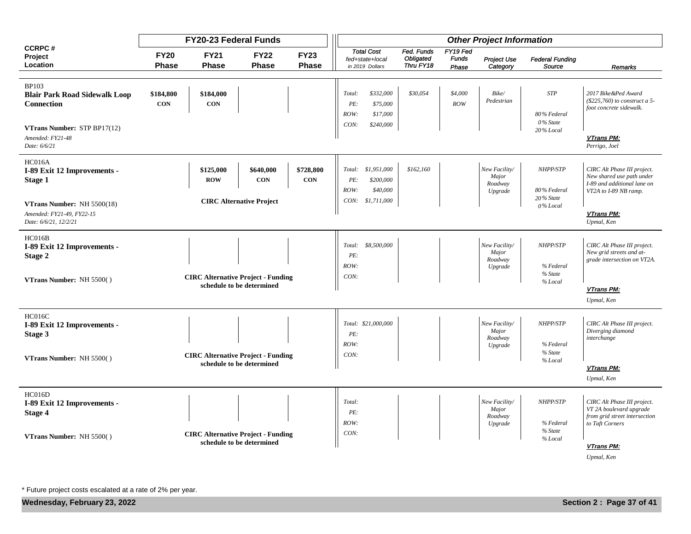|                                                                                  |                      | FY20-23 Federal Funds                     |                                                            |                         | <b>Other Project Information</b>                                                     |                                      |                                   |                                              |                                             |                                                                                                                  |  |  |
|----------------------------------------------------------------------------------|----------------------|-------------------------------------------|------------------------------------------------------------|-------------------------|--------------------------------------------------------------------------------------|--------------------------------------|-----------------------------------|----------------------------------------------|---------------------------------------------|------------------------------------------------------------------------------------------------------------------|--|--|
| <b>CCRPC#</b><br>Project<br>Location                                             | <b>FY20</b><br>Phase | <b>FY21</b><br><b>Phase</b>               | <b>FY22</b><br><b>Phase</b>                                | <b>FY23</b><br>Phase    | <b>Total Cost</b><br>fed+state+local<br>in 2019 Dollars                              | Fed. Funds<br>Obligated<br>Thru FY18 | FY19 Fed<br><b>Funds</b><br>Phase | <b>Project Use</b><br>Category               | <b>Federal Funding</b><br>Source            | Remarks                                                                                                          |  |  |
|                                                                                  |                      |                                           |                                                            |                         |                                                                                      |                                      |                                   |                                              |                                             |                                                                                                                  |  |  |
| <b>BP103</b><br><b>Blair Park Road Sidewalk Loop</b><br><b>Connection</b>        | \$184,800<br>CON     | \$184,000<br><b>CON</b>                   |                                                            |                         | \$332,000<br>Total:<br>PE:<br>\$75,000<br>ROW:<br>\$17,000                           | \$30,054                             | \$4,000<br>ROW                    | $\it Bike/$<br>Pedestrian                    | <b>STP</b><br>80% Federal<br>0% State       | 2017 Bike &Ped Award<br>(\$225,760) to construct a 5-<br>foot concrete sidewalk.                                 |  |  |
| VTrans Number: STP BP17(12)<br>Amended: FY21-48<br>Date: 6/6/21                  |                      |                                           |                                                            |                         | CON:<br>\$240,000                                                                    |                                      |                                   |                                              | 20% Local                                   | <b>VTrans PM:</b><br>Perrigo, Joel                                                                               |  |  |
| HC016A<br>I-89 Exit 12 Improvements -<br>Stage 1                                 |                      | \$125,000<br><b>ROW</b>                   | \$640,000<br><b>CON</b><br><b>CIRC Alternative Project</b> | \$728,800<br><b>CON</b> | \$1,951,000<br>Total:<br>PE:<br>\$200,000<br>ROW:<br>\$40,000<br>CON:<br>\$1,711,000 | \$162,160                            |                                   | New Facility/<br>Major<br>Roadway<br>Upgrade | NHPP/STP<br>80% Federal<br>20% State        | CIRC Alt Phase III project.<br>New shared use path under<br>I-89 and additional lane on<br>VT2A to I-89 NB ramp. |  |  |
| VTrans Number: NH 5500(18)<br>Amended: FY21-49, FY22-15<br>Date: 6/6/21, 12/2/21 |                      |                                           |                                                            |                         |                                                                                      |                                      |                                   |                                              | 0% Local                                    | <b>VTrans PM:</b><br>Upmal, Ken                                                                                  |  |  |
| HC016B<br>I-89 Exit 12 Improvements -<br>Stage 2                                 |                      |                                           |                                                            |                         | \$8,500,000<br>Total:<br>PE:<br>ROW:                                                 |                                      |                                   | New Facility/<br>Major<br>Roadway<br>Upgrade | NHPP/STP<br>% Federal<br>% State            | CIRC Alt Phase III project.<br>New grid streets and at-<br>grade intersection on VT2A.                           |  |  |
| VTrans Number: NH 5500()                                                         |                      | <b>CIRC Alternative Project - Funding</b> | schedule to be determined                                  |                         | CON:                                                                                 |                                      |                                   |                                              | % Local                                     | <b>VTrans PM:</b><br>Upmal, Ken                                                                                  |  |  |
| HC016C<br>I-89 Exit 12 Improvements -<br>Stage 3<br>VTrans Number: NH 5500()     |                      | <b>CIRC Alternative Project - Funding</b> |                                                            |                         | Total: \$21,000,000<br>PE:<br>ROW:<br>CON:                                           |                                      |                                   | New Facility/<br>Major<br>Roadway<br>Upgrade | NHPP/STP<br>% Federal<br>% State<br>% Local | CIRC Alt Phase III project.<br>Diverging diamond<br>interchange                                                  |  |  |
|                                                                                  |                      |                                           | schedule to be determined                                  |                         |                                                                                      |                                      |                                   |                                              |                                             | <b>VTrans PM:</b><br>Upmal, Ken                                                                                  |  |  |
| HC016D<br>I-89 Exit 12 Improvements -<br>Stage 4                                 |                      |                                           |                                                            |                         | Total:<br>PE:<br>ROW:                                                                |                                      |                                   | New Facility/<br>Major<br>Roadway<br>Upgrade | NHPP/STP<br>% Federal<br>% State            | CIRC Alt Phase III project.<br>VT 2A boulevard upgrade<br>from grid street intersection<br>to Taft Corners       |  |  |
| VTrans Number: NH 5500()                                                         |                      | <b>CIRC Alternative Project - Funding</b> | schedule to be determined                                  |                         | CON:                                                                                 |                                      |                                   |                                              | % Local                                     | <b>VTrans PM:</b><br>Upmal, Ken                                                                                  |  |  |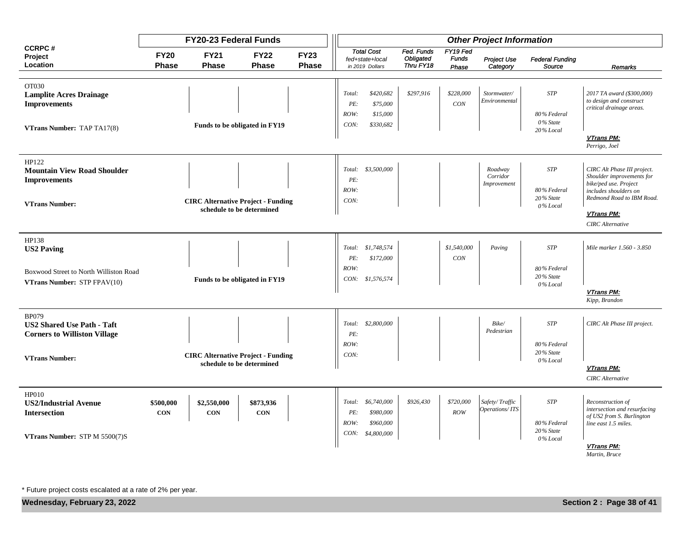|                                                                                                     |                         | <b>FY20-23 Federal Funds</b> |                                                                        | <b>Other Project Information</b> |                               |                                                         |                                      |                                   |                                    |                                                    |                                                                                                                                                       |  |
|-----------------------------------------------------------------------------------------------------|-------------------------|------------------------------|------------------------------------------------------------------------|----------------------------------|-------------------------------|---------------------------------------------------------|--------------------------------------|-----------------------------------|------------------------------------|----------------------------------------------------|-------------------------------------------------------------------------------------------------------------------------------------------------------|--|
| <b>CCRPC#</b><br>Project<br>Location                                                                | <b>FY20</b><br>Phase    | <b>FY21</b><br><b>Phase</b>  | <b>FY22</b><br>Phase                                                   | <b>FY23</b><br>Phase             |                               | <b>Total Cost</b><br>fed+state+local<br>in 2019 Dollars | Fed. Funds<br>Obligated<br>Thru FY18 | FY19 Fed<br><b>Funds</b><br>Phase | Project Use<br>Category            | <b>Federal Funding</b><br>Source                   | Remarks                                                                                                                                               |  |
|                                                                                                     |                         |                              |                                                                        |                                  |                               |                                                         |                                      |                                   |                                    |                                                    |                                                                                                                                                       |  |
| OT030<br><b>Lamplite Acres Drainage</b><br><b>Improvements</b>                                      |                         |                              | Funds to be obligated in FY19                                          |                                  | Total:<br>PE:<br>ROW:<br>CON: | \$420,682<br>\$75,000<br>\$15,000<br>\$330,682          | \$297,916                            | \$228,000<br>CON                  | Stormwater/<br>Environmental       | <b>STP</b><br>80% Federal<br>0% State              | 2017 TA award (\$300,000)<br>to design and construct<br>critical drainage areas.                                                                      |  |
| VTrans Number: TAP TA17(8)                                                                          |                         |                              |                                                                        |                                  |                               |                                                         |                                      |                                   |                                    | 20% Local                                          | <b>VTrans PM:</b><br>Perrigo, Joel                                                                                                                    |  |
| HP122<br><b>Mountain View Road Shoulder</b><br><b>Improvements</b><br><b>VTrans Number:</b>         |                         |                              | <b>CIRC Alternative Project - Funding</b><br>schedule to be determined |                                  | PE:<br>ROW:<br>CON:           | Total: \$3,500,000                                      |                                      |                                   | Roadway<br>Corridor<br>Improvement | <b>STP</b><br>80% Federal<br>20% State<br>0% Local | CIRC Alt Phase III project.<br>Shoulder improvements for<br>bike/ped use. Project<br>includes shoulders on<br>Redmond Road to IBM Road.<br>VTrans PM: |  |
|                                                                                                     |                         |                              |                                                                        |                                  |                               |                                                         |                                      |                                   |                                    |                                                    | <b>CIRC</b> Alternative                                                                                                                               |  |
| HP138<br><b>US2 Paving</b><br>Boxwood Street to North Williston Road<br>VTrans Number: STP FPAV(10) |                         |                              | Funds to be obligated in FY19                                          |                                  | PE:<br>ROW:                   | Total: \$1,748,574<br>\$172,000<br>CON: \$1,576,574     |                                      | \$1,540,000<br>CON                | Paving                             | <b>STP</b><br>80% Federal<br>20% State<br>0% Local | Mile marker 1.560 - 3.850                                                                                                                             |  |
|                                                                                                     |                         |                              |                                                                        |                                  |                               |                                                         |                                      |                                   |                                    |                                                    | <b>VTrans PM:</b><br>Kipp, Brandon                                                                                                                    |  |
| <b>BP079</b><br><b>US2 Shared Use Path - Taft</b><br><b>Corners to Williston Village</b>            |                         |                              | <b>CIRC Alternative Project - Funding</b>                              |                                  | PE:<br>ROW:<br>CON:           | Total: \$2,800,000                                      |                                      |                                   | Bike/<br>Pedestrian                | <b>STP</b><br>80% Federal<br>20% State             | CIRC Alt Phase III project.                                                                                                                           |  |
| <b>VTrans Number:</b>                                                                               |                         |                              | schedule to be determined                                              |                                  |                               |                                                         |                                      |                                   |                                    | 0% Local                                           | <b>VTrans PM:</b><br><b>CIRC</b> Alternative                                                                                                          |  |
| HP010<br><b>US2/Industrial Avenue</b><br><b>Intersection</b><br>VTrans Number: STP M 5500(7)S       | \$500,000<br><b>CON</b> | \$2,550,000<br><b>CON</b>    | \$873,936<br><b>CON</b>                                                |                                  | Total:<br>PE:<br>ROW:<br>CON: | \$6,740,000<br>\$980,000<br>\$960,000<br>\$4,800,000    | \$926,430                            | \$720,000<br>ROW                  | Safety/Traffic<br>Operations/ITS   | $STP$<br>80% Federal<br>20% State<br>0% Local      | Reconstruction of<br>intersection and resurfacing<br>of US2 from S. Burlington<br>line east 1.5 miles.<br>VTrans PM:<br>Martin, Bruce                 |  |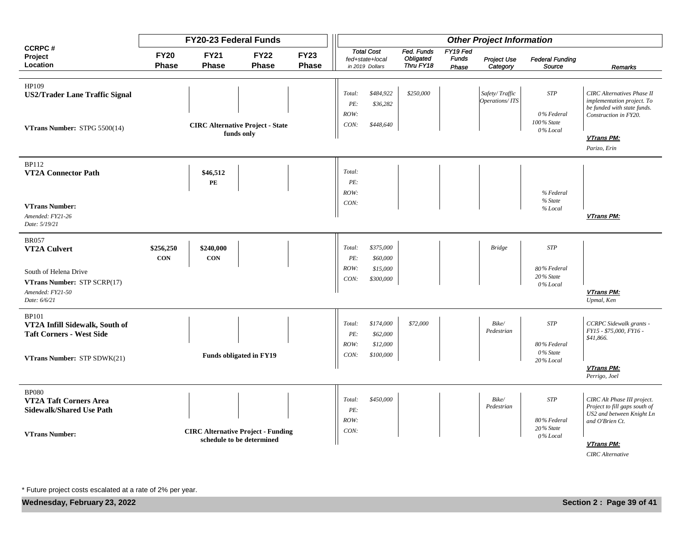|                                                            |                             | <b>FY20-23 Federal Funds</b>              |                                | <b>Other Project Information</b> |                                                         |                       |                                      |                                   |                                  |                                  |                                                                                                                         |
|------------------------------------------------------------|-----------------------------|-------------------------------------------|--------------------------------|----------------------------------|---------------------------------------------------------|-----------------------|--------------------------------------|-----------------------------------|----------------------------------|----------------------------------|-------------------------------------------------------------------------------------------------------------------------|
| <b>CCRPC#</b><br>Project<br>Location                       | <b>FY20</b><br><b>Phase</b> | <b>FY21</b><br><b>Phase</b>               | <b>FY22</b><br><b>Phase</b>    | <b>FY23</b><br><b>Phase</b>      | <b>Total Cost</b><br>fed+state+local<br>in 2019 Dollars |                       | Fed. Funds<br>Obligated<br>Thru FY18 | FY19 Fed<br><b>Funds</b><br>Phase | Project Use<br>Category          | <b>Federal Funding</b><br>Source | Remarks                                                                                                                 |
|                                                            |                             |                                           |                                |                                  |                                                         |                       |                                      |                                   |                                  |                                  |                                                                                                                         |
| HP109<br><b>US2/Trader Lane Traffic Signal</b>             |                             |                                           |                                |                                  | Total:<br>PE:<br>ROW:                                   | \$484,922<br>\$36,282 | \$250,000                            |                                   | Safety/Traffic<br>Operations/ITS | <b>STP</b><br>0% Federal         | <b>CIRC</b> Alternatives Phase II<br>implementation project. To<br>be funded with state funds.<br>Construction in FY20. |
| VTrans Number: STPG 5500(14)                               |                             | <b>CIRC Alternative Project - State</b>   | funds only                     |                                  | CON:                                                    | \$448,640             |                                      |                                   |                                  | 100% State<br>0% Local           |                                                                                                                         |
|                                                            |                             |                                           |                                |                                  |                                                         |                       |                                      | VTrans PM:<br>Parizo, Erin        |                                  |                                  |                                                                                                                         |
| <b>BP112</b>                                               |                             |                                           |                                |                                  |                                                         |                       |                                      |                                   |                                  |                                  |                                                                                                                         |
| <b>VT2A Connector Path</b>                                 |                             | \$46,512                                  |                                |                                  | Total:                                                  |                       |                                      |                                   |                                  |                                  |                                                                                                                         |
|                                                            |                             | PE                                        |                                |                                  | PE:                                                     |                       |                                      |                                   |                                  |                                  |                                                                                                                         |
|                                                            |                             |                                           |                                |                                  | ROW:<br>CON:                                            |                       |                                      |                                   |                                  | % Federal<br>% State             |                                                                                                                         |
| <b>VTrans Number:</b><br>Amended: FY21-26<br>Date: 5/19/21 |                             |                                           |                                |                                  |                                                         |                       |                                      |                                   |                                  | % Local                          | VTrans PM:                                                                                                              |
| <b>BR057</b>                                               |                             |                                           |                                |                                  |                                                         |                       |                                      |                                   |                                  |                                  |                                                                                                                         |
| VT2A Culvert                                               | \$256,250                   | \$240,000                                 |                                |                                  | Total:                                                  | \$375,000             |                                      |                                   | <b>Bridge</b>                    | <b>STP</b>                       |                                                                                                                         |
|                                                            | <b>CON</b>                  | <b>CON</b>                                |                                |                                  | PE:<br>ROW:                                             | \$60,000<br>\$15,000  |                                      |                                   |                                  | 80% Federal                      |                                                                                                                         |
| South of Helena Drive                                      |                             |                                           |                                |                                  | CON:                                                    | \$300,000             |                                      |                                   |                                  | 20% State                        |                                                                                                                         |
| VTrans Number: STP SCRP(17)<br>Amended: FY21-50            |                             |                                           |                                |                                  |                                                         |                       |                                      |                                   |                                  | 0% Local                         | VTrans PM:                                                                                                              |
| Date: 6/6/21                                               |                             |                                           |                                |                                  |                                                         |                       |                                      |                                   |                                  |                                  | Upmal, Ken                                                                                                              |
| <b>BP101</b>                                               |                             |                                           |                                |                                  |                                                         |                       |                                      |                                   |                                  |                                  |                                                                                                                         |
| VT2A Infill Sidewalk, South of                             |                             |                                           |                                |                                  | Total:                                                  | \$174,000             | \$72,000                             |                                   | Bike/<br>Pedestrian              | <b>STP</b>                       | CCRPC Sidewalk grants -<br>FY15 - \$75,000, FY16 -                                                                      |
| <b>Taft Corners - West Side</b>                            |                             |                                           |                                |                                  | PE:                                                     | \$62,000              |                                      |                                   |                                  |                                  | \$41,866.                                                                                                               |
|                                                            |                             |                                           |                                |                                  | ROW:                                                    | \$12,000              |                                      |                                   |                                  | 80% Federal<br>0% State          |                                                                                                                         |
| VTrans Number: STP SDWK(21)                                |                             |                                           | <b>Funds obligated in FY19</b> |                                  | CON:                                                    | \$100,000             |                                      |                                   |                                  | 20% Local                        |                                                                                                                         |
|                                                            |                             |                                           |                                |                                  |                                                         |                       |                                      |                                   |                                  |                                  | VTrans PM:<br>Perrigo, Joel                                                                                             |
| <b>BP080</b>                                               |                             |                                           |                                |                                  |                                                         |                       |                                      |                                   |                                  |                                  |                                                                                                                         |
| VT2A Taft Corners Area<br><b>Sidewalk/Shared Use Path</b>  |                             |                                           |                                |                                  | Total:<br>PE:                                           | \$450,000             |                                      |                                   | Bike/<br>Pedestrian              | <b>STP</b>                       | CIRC Alt Phase III project.<br>Project to fill gaps south of                                                            |
|                                                            |                             |                                           |                                |                                  | ROW:                                                    |                       |                                      |                                   |                                  | 80% Federal                      | US2 and between Knight Ln<br>and O'Brien Ct.                                                                            |
| <b>VTrans Number:</b>                                      |                             | <b>CIRC Alternative Project - Funding</b> |                                |                                  | CON:                                                    |                       |                                      |                                   |                                  | $20\%$ State<br>0% Local         |                                                                                                                         |
|                                                            |                             | schedule to be determined                 |                                |                                  |                                                         |                       |                                      |                                   |                                  |                                  | VTrans PM:                                                                                                              |
|                                                            |                             |                                           |                                |                                  |                                                         |                       |                                      |                                   |                                  |                                  | <b>CIRC</b> Alternative                                                                                                 |

**Wednesday, February 23, 2022 Section 2 : Page 39 of 41**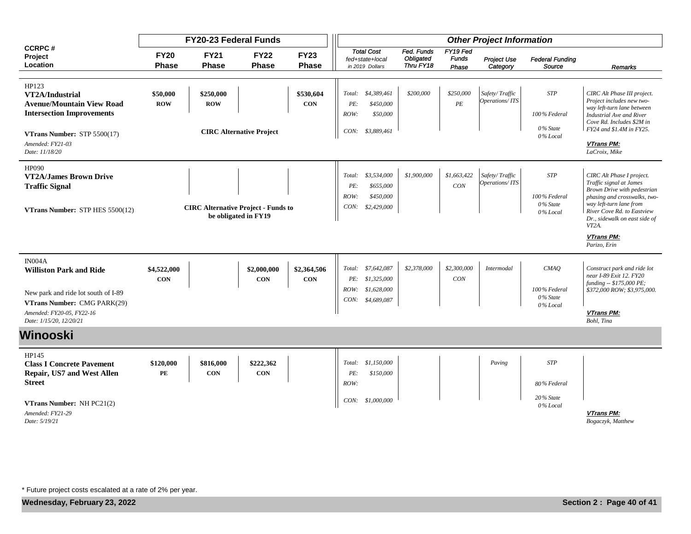|                                                                                                                                                                                | <b>FY20-23 Federal Funds</b> |                                            |                                 |                             |                       | <b>Other Project Information</b>                            |                                             |                                   |                                  |                                                    |                                                                                                                                                                                                            |  |  |  |
|--------------------------------------------------------------------------------------------------------------------------------------------------------------------------------|------------------------------|--------------------------------------------|---------------------------------|-----------------------------|-----------------------|-------------------------------------------------------------|---------------------------------------------|-----------------------------------|----------------------------------|----------------------------------------------------|------------------------------------------------------------------------------------------------------------------------------------------------------------------------------------------------------------|--|--|--|
| <b>CCRPC#</b><br>Project<br>Location                                                                                                                                           | <b>FY20</b><br><b>Phase</b>  | <b>FY21</b><br><b>Phase</b>                | <b>FY22</b><br><b>Phase</b>     | <b>FY23</b><br><b>Phase</b> |                       | <b>Total Cost</b><br>fed+state+local<br>in 2019 Dollars     | Fed. Funds<br><b>Obligated</b><br>Thru FY18 | FY19 Fed<br><b>Funds</b><br>Phase | Project Use<br>Category          | <b>Federal Funding</b><br>Source                   | Remarks                                                                                                                                                                                                    |  |  |  |
|                                                                                                                                                                                |                              |                                            |                                 |                             |                       |                                                             |                                             |                                   |                                  |                                                    |                                                                                                                                                                                                            |  |  |  |
| HP123<br>VT2A/Industrial<br><b>Avenue/Mountain View Road</b><br><b>Intersection Improvements</b><br><b>VTrans Number:</b> $STP 5500(17)$<br>Amended: FY21-03<br>Date: 11/18/20 | \$50,000<br><b>ROW</b>       | \$250,000<br><b>ROW</b>                    | <b>CIRC Alternative Project</b> | \$530,604<br><b>CON</b>     | PE:<br>ROW:<br>CON:   | Total: \$4,389,461<br>\$450,000<br>\$50,000<br>\$3,889,461  | \$200,000                                   | \$250,000<br>PE                   | Safety/Traffic<br>Operations/ITS | <b>STP</b><br>100% Federal<br>0% State<br>0% Local | CIRC Alt Phase III project.<br>Project includes new two-<br>way left-turn lane between<br>Industrial Ave and River<br>Cove Rd. Includes \$2M in<br>FY24 and \$1.4M in FY25.<br>VTrans PM:<br>LaCroix, Mike |  |  |  |
|                                                                                                                                                                                |                              |                                            |                                 |                             |                       |                                                             |                                             |                                   |                                  |                                                    |                                                                                                                                                                                                            |  |  |  |
| HP090<br><b>VT2A/James Brown Drive</b><br><b>Traffic Signal</b><br>VTrans Number: STP HES 5500(12)                                                                             |                              | <b>CIRC Alternative Project - Funds to</b> | be obligated in FY19            |                             | PE:<br>ROW:<br>CON:   | Total: \$3,534,000<br>\$655,000<br>\$450,000<br>\$2,429,000 | \$1,900,000                                 | \$1,663,422<br>CON                | Safety/Traffic<br>Operations/ITS | <b>STP</b><br>100% Federal<br>0% State<br>0% Local | CIRC Alt Phase I project.<br>Traffic signal at James<br>Brown Drive with pedestrian<br>phasing and crosswalks, two-<br>way left-turn lane from<br>River Cove Rd. to Eastview                               |  |  |  |
|                                                                                                                                                                                |                              |                                            |                                 |                             |                       |                                                             |                                             |                                   |                                  |                                                    | Dr., sidewalk on east side of<br>VT2A.                                                                                                                                                                     |  |  |  |
|                                                                                                                                                                                |                              |                                            |                                 |                             |                       |                                                             |                                             |                                   |                                  |                                                    | VTrans PM:<br>Parizo, Erin                                                                                                                                                                                 |  |  |  |
| IN004A<br><b>Williston Park and Ride</b>                                                                                                                                       | \$4,522,000<br><b>CON</b>    |                                            | \$2,000,000<br><b>CON</b>       | \$2,364,506<br><b>CON</b>   | Total:                | \$7,642,087<br>PE: \$1,325,000                              | \$2,378,000                                 | \$2,300,000<br>CON                | Intermodal                       | CMAO                                               | Construct park and ride lot<br>near I-89 Exit 12. FY20<br>funding -- \$175,000 PE;                                                                                                                         |  |  |  |
| New park and ride lot south of I-89<br>VTrans Number: CMG PARK(29)                                                                                                             |                              |                                            |                                 |                             |                       | ROW: \$1,628,000<br>CON: \$4,689,087                        |                                             |                                   |                                  | 100% Federal<br>0% State<br>0% Local               | \$372,000 ROW; \$3,975,000.                                                                                                                                                                                |  |  |  |
| Amended: FY20-05, FY22-16<br>Date: 1/15/20, 12/20/21                                                                                                                           |                              |                                            |                                 |                             |                       |                                                             |                                             |                                   |                                  |                                                    | <b>VTrans PM:</b><br>Bohl, Tina                                                                                                                                                                            |  |  |  |
| Winooski                                                                                                                                                                       |                              |                                            |                                 |                             |                       |                                                             |                                             |                                   |                                  |                                                    |                                                                                                                                                                                                            |  |  |  |
| HP145<br><b>Class I Concrete Pavement</b><br><b>Repair, US7 and West Allen</b><br><b>Street</b>                                                                                | \$120,000<br>PE              | \$816,000<br><b>CON</b>                    | \$222,362<br><b>CON</b>         |                             | Total:<br>PE:<br>ROW: | \$1,150,000<br>\$150,000                                    |                                             |                                   | Paving                           | <b>STP</b><br>80% Federal                          |                                                                                                                                                                                                            |  |  |  |
| VTrans Number: NH PC21(2)<br>Amended: FY21-29<br>Date: 5/19/21                                                                                                                 |                              |                                            |                                 |                             |                       | CON: \$1,000,000                                            |                                             |                                   |                                  | 20% State<br>0% Local                              | <b>VTrans PM:</b><br>Bogaczyk, Matthew                                                                                                                                                                     |  |  |  |